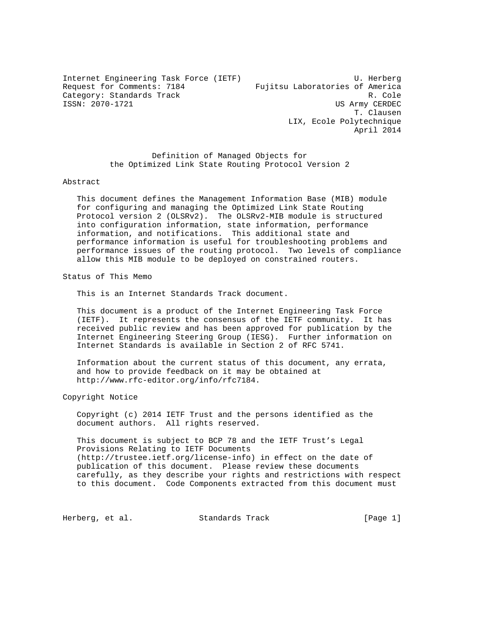Internet Engineering Task Force (IETF) U. Herberg Request for Comments: 7184 Fujitsu Laboratories of America Category: Standards Track Research 2010 R. Cole<br>ISSN: 2070-1721 R. Cole

US Army CERDEC T. Clausen LIX, Ecole Polytechnique April 2014

 Definition of Managed Objects for the Optimized Link State Routing Protocol Version 2

#### Abstract

 This document defines the Management Information Base (MIB) module for configuring and managing the Optimized Link State Routing Protocol version 2 (OLSRv2). The OLSRv2-MIB module is structured into configuration information, state information, performance information, and notifications. This additional state and performance information is useful for troubleshooting problems and performance issues of the routing protocol. Two levels of compliance allow this MIB module to be deployed on constrained routers.

Status of This Memo

This is an Internet Standards Track document.

 This document is a product of the Internet Engineering Task Force (IETF). It represents the consensus of the IETF community. It has received public review and has been approved for publication by the Internet Engineering Steering Group (IESG). Further information on Internet Standards is available in Section 2 of RFC 5741.

 Information about the current status of this document, any errata, and how to provide feedback on it may be obtained at http://www.rfc-editor.org/info/rfc7184.

Copyright Notice

 Copyright (c) 2014 IETF Trust and the persons identified as the document authors. All rights reserved.

 This document is subject to BCP 78 and the IETF Trust's Legal Provisions Relating to IETF Documents (http://trustee.ietf.org/license-info) in effect on the date of publication of this document. Please review these documents carefully, as they describe your rights and restrictions with respect to this document. Code Components extracted from this document must

Herberg, et al. Standards Track [Page 1]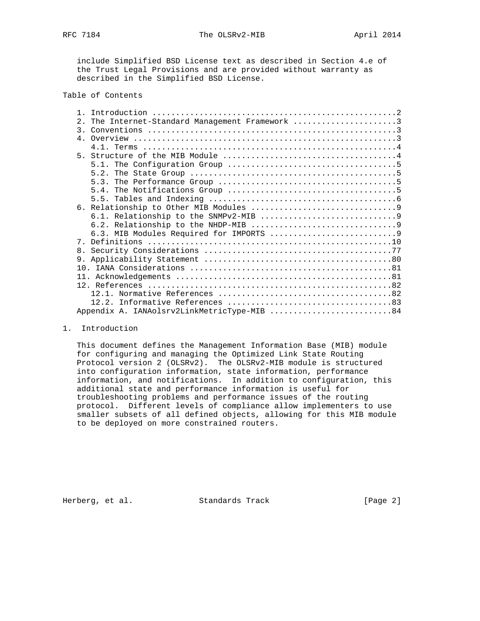RFC 7184 The OLSRv2-MIB April 2014

 include Simplified BSD License text as described in Section 4.e of the Trust Legal Provisions and are provided without warranty as described in the Simplified BSD License.

### Table of Contents

| $2^{\circ}$    | The Internet-Standard Management Framework 3 |
|----------------|----------------------------------------------|
|                |                                              |
|                |                                              |
|                |                                              |
|                |                                              |
|                |                                              |
|                |                                              |
|                |                                              |
|                |                                              |
|                |                                              |
|                |                                              |
|                |                                              |
|                |                                              |
|                |                                              |
|                |                                              |
| 8 <sub>1</sub> |                                              |
| 9.             |                                              |
|                |                                              |
|                |                                              |
|                |                                              |
|                |                                              |
|                |                                              |
|                | Appendix A. IANAolsrv2LinkMetricType-MIB 84  |

#### 1. Introduction

 This document defines the Management Information Base (MIB) module for configuring and managing the Optimized Link State Routing Protocol version 2 (OLSRv2). The OLSRv2-MIB module is structured into configuration information, state information, performance information, and notifications. In addition to configuration, this additional state and performance information is useful for troubleshooting problems and performance issues of the routing protocol. Different levels of compliance allow implementers to use smaller subsets of all defined objects, allowing for this MIB module to be deployed on more constrained routers.

Herberg, et al. Standards Track [Page 2]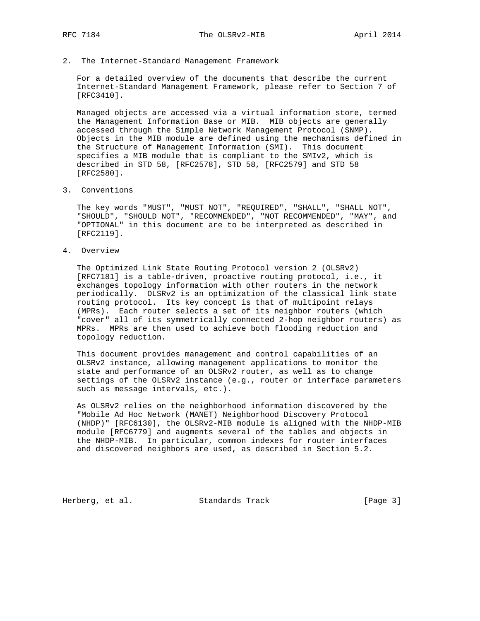2. The Internet-Standard Management Framework

 For a detailed overview of the documents that describe the current Internet-Standard Management Framework, please refer to Section 7 of [RFC3410].

 Managed objects are accessed via a virtual information store, termed the Management Information Base or MIB. MIB objects are generally accessed through the Simple Network Management Protocol (SNMP). Objects in the MIB module are defined using the mechanisms defined in the Structure of Management Information (SMI). This document specifies a MIB module that is compliant to the SMIv2, which is described in STD 58, [RFC2578], STD 58, [RFC2579] and STD 58 [RFC2580].

3. Conventions

 The key words "MUST", "MUST NOT", "REQUIRED", "SHALL", "SHALL NOT", "SHOULD", "SHOULD NOT", "RECOMMENDED", "NOT RECOMMENDED", "MAY", and "OPTIONAL" in this document are to be interpreted as described in [RFC2119].

4. Overview

 The Optimized Link State Routing Protocol version 2 (OLSRv2) [RFC7181] is a table-driven, proactive routing protocol, i.e., it exchanges topology information with other routers in the network periodically. OLSRv2 is an optimization of the classical link state routing protocol. Its key concept is that of multipoint relays (MPRs). Each router selects a set of its neighbor routers (which "cover" all of its symmetrically connected 2-hop neighbor routers) as MPRs. MPRs are then used to achieve both flooding reduction and topology reduction.

 This document provides management and control capabilities of an OLSRv2 instance, allowing management applications to monitor the state and performance of an OLSRv2 router, as well as to change settings of the OLSRv2 instance (e.g., router or interface parameters such as message intervals, etc.).

 As OLSRv2 relies on the neighborhood information discovered by the "Mobile Ad Hoc Network (MANET) Neighborhood Discovery Protocol (NHDP)" [RFC6130], the OLSRv2-MIB module is aligned with the NHDP-MIB module [RFC6779] and augments several of the tables and objects in the NHDP-MIB. In particular, common indexes for router interfaces and discovered neighbors are used, as described in Section 5.2.

Herberg, et al. Standards Track [Page 3]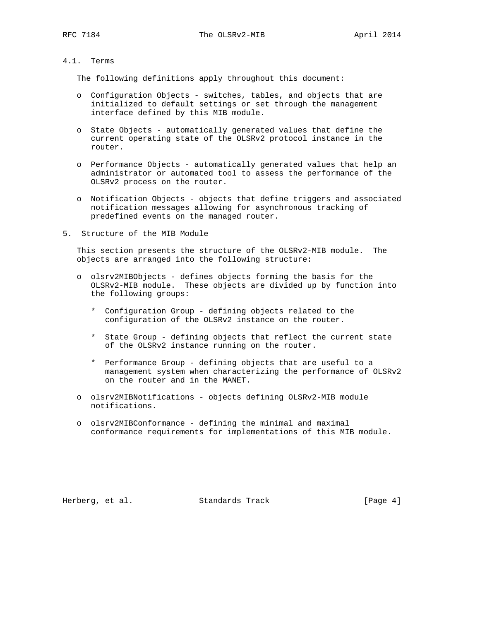### 4.1. Terms

The following definitions apply throughout this document:

- o Configuration Objects switches, tables, and objects that are initialized to default settings or set through the management interface defined by this MIB module.
- o State Objects automatically generated values that define the current operating state of the OLSRv2 protocol instance in the router.
- o Performance Objects automatically generated values that help an administrator or automated tool to assess the performance of the OLSRv2 process on the router.
- o Notification Objects objects that define triggers and associated notification messages allowing for asynchronous tracking of predefined events on the managed router.
- 5. Structure of the MIB Module

 This section presents the structure of the OLSRv2-MIB module. The objects are arranged into the following structure:

- o olsrv2MIBObjects defines objects forming the basis for the OLSRv2-MIB module. These objects are divided up by function into the following groups:
	- \* Configuration Group defining objects related to the configuration of the OLSRv2 instance on the router.
	- \* State Group defining objects that reflect the current state of the OLSRv2 instance running on the router.
	- \* Performance Group defining objects that are useful to a management system when characterizing the performance of OLSRv2 on the router and in the MANET.
- o olsrv2MIBNotifications objects defining OLSRv2-MIB module notifications.
- o olsrv2MIBConformance defining the minimal and maximal conformance requirements for implementations of this MIB module.

Herberg, et al. Standards Track [Page 4]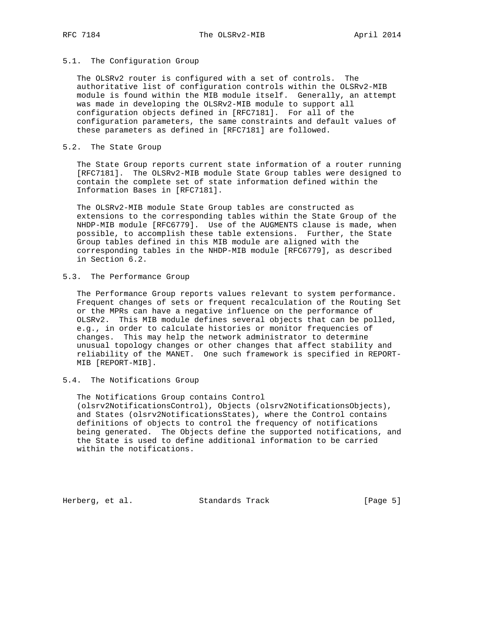### 5.1. The Configuration Group

 The OLSRv2 router is configured with a set of controls. The authoritative list of configuration controls within the OLSRv2-MIB module is found within the MIB module itself. Generally, an attempt was made in developing the OLSRv2-MIB module to support all configuration objects defined in [RFC7181]. For all of the configuration parameters, the same constraints and default values of these parameters as defined in [RFC7181] are followed.

### 5.2. The State Group

 The State Group reports current state information of a router running [RFC7181]. The OLSRv2-MIB module State Group tables were designed to contain the complete set of state information defined within the Information Bases in [RFC7181].

 The OLSRv2-MIB module State Group tables are constructed as extensions to the corresponding tables within the State Group of the NHDP-MIB module [RFC6779]. Use of the AUGMENTS clause is made, when possible, to accomplish these table extensions. Further, the State Group tables defined in this MIB module are aligned with the corresponding tables in the NHDP-MIB module [RFC6779], as described in Section 6.2.

## 5.3. The Performance Group

 The Performance Group reports values relevant to system performance. Frequent changes of sets or frequent recalculation of the Routing Set or the MPRs can have a negative influence on the performance of OLSRv2. This MIB module defines several objects that can be polled, e.g., in order to calculate histories or monitor frequencies of changes. This may help the network administrator to determine unusual topology changes or other changes that affect stability and reliability of the MANET. One such framework is specified in REPORT- MIB [REPORT-MIB].

### 5.4. The Notifications Group

 The Notifications Group contains Control (olsrv2NotificationsControl), Objects (olsrv2NotificationsObjects), and States (olsrv2NotificationsStates), where the Control contains definitions of objects to control the frequency of notifications being generated. The Objects define the supported notifications, and the State is used to define additional information to be carried within the notifications.

Herberg, et al. Standards Track [Page 5]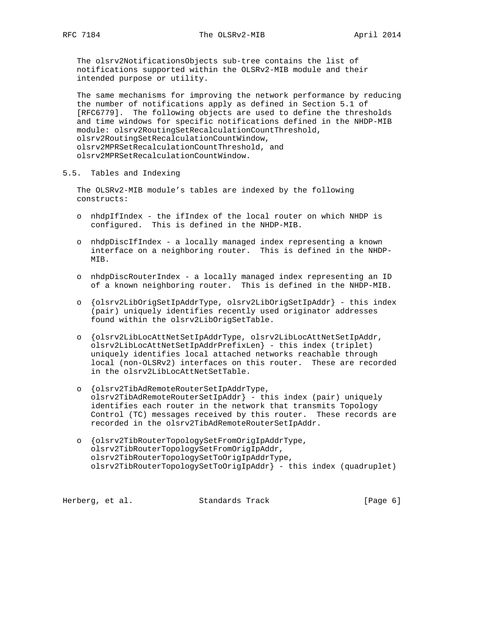The olsrv2NotificationsObjects sub-tree contains the list of notifications supported within the OLSRv2-MIB module and their intended purpose or utility.

 The same mechanisms for improving the network performance by reducing the number of notifications apply as defined in Section 5.1 of [RFC6779]. The following objects are used to define the thresholds and time windows for specific notifications defined in the NHDP-MIB module: olsrv2RoutingSetRecalculationCountThreshold, olsrv2RoutingSetRecalculationCountWindow, olsrv2MPRSetRecalculationCountThreshold, and olsrv2MPRSetRecalculationCountWindow.

5.5. Tables and Indexing

 The OLSRv2-MIB module's tables are indexed by the following constructs:

- o nhdpIfIndex the ifIndex of the local router on which NHDP is configured. This is defined in the NHDP-MIB.
- o nhdpDiscIfIndex a locally managed index representing a known interface on a neighboring router. This is defined in the NHDP- MIB.
- o nhdpDiscRouterIndex a locally managed index representing an ID of a known neighboring router. This is defined in the NHDP-MIB.
- o {olsrv2LibOrigSetIpAddrType, olsrv2LibOrigSetIpAddr} this index (pair) uniquely identifies recently used originator addresses found within the olsrv2LibOrigSetTable.
- o {olsrv2LibLocAttNetSetIpAddrType, olsrv2LibLocAttNetSetIpAddr, olsrv2LibLocAttNetSetIpAddrPrefixLen} - this index (triplet) uniquely identifies local attached networks reachable through local (non-OLSRv2) interfaces on this router. These are recorded in the olsrv2LibLocAttNetSetTable.
- o {olsrv2TibAdRemoteRouterSetIpAddrType, olsrv2TibAdRemoteRouterSetIpAddr} - this index (pair) uniquely identifies each router in the network that transmits Topology Control (TC) messages received by this router. These records are recorded in the olsrv2TibAdRemoteRouterSetIpAddr.
- o {olsrv2TibRouterTopologySetFromOrigIpAddrType, olsrv2TibRouterTopologySetFromOrigIpAddr, olsrv2TibRouterTopologySetToOrigIpAddrType, olsrv2TibRouterTopologySetToOrigIpAddr} - this index (quadruplet)

Herberg, et al. Standards Track [Page 6]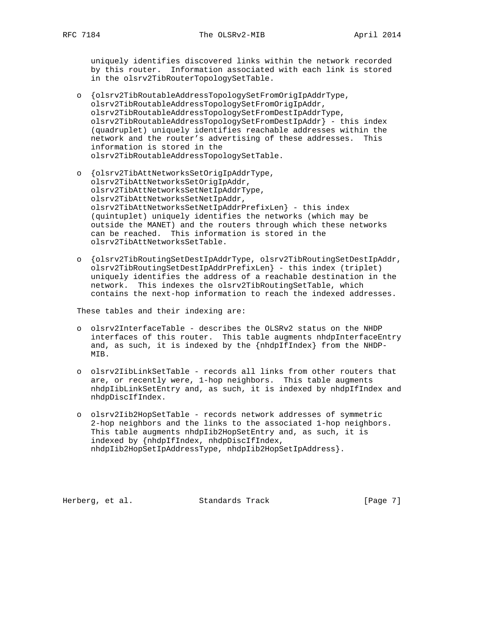uniquely identifies discovered links within the network recorded by this router. Information associated with each link is stored in the olsrv2TibRouterTopologySetTable.

- o {olsrv2TibRoutableAddressTopologySetFromOrigIpAddrType, olsrv2TibRoutableAddressTopologySetFromOrigIpAddr, olsrv2TibRoutableAddressTopologySetFromDestIpAddrType, olsrv2TibRoutableAddressTopologySetFromDestIpAddr} - this index (quadruplet) uniquely identifies reachable addresses within the network and the router's advertising of these addresses. This information is stored in the olsrv2TibRoutableAddressTopologySetTable.
- o {olsrv2TibAttNetworksSetOrigIpAddrType, olsrv2TibAttNetworksSetOrigIpAddr, olsrv2TibAttNetworksSetNetIpAddrType, olsrv2TibAttNetworksSetNetIpAddr, olsrv2TibAttNetworksSetNetIpAddrPrefixLen} - this index (quintuplet) uniquely identifies the networks (which may be outside the MANET) and the routers through which these networks can be reached. This information is stored in the olsrv2TibAttNetworksSetTable.
- o {olsrv2TibRoutingSetDestIpAddrType, olsrv2TibRoutingSetDestIpAddr, olsrv2TibRoutingSetDestIpAddrPrefixLen} - this index (triplet) uniquely identifies the address of a reachable destination in the network. This indexes the olsrv2TibRoutingSetTable, which contains the next-hop information to reach the indexed addresses.

These tables and their indexing are:

- o olsrv2InterfaceTable describes the OLSRv2 status on the NHDP interfaces of this router. This table augments nhdpInterfaceEntry and, as such, it is indexed by the {nhdpIfIndex} from the NHDP- MIB.
- o olsrv2IibLinkSetTable records all links from other routers that are, or recently were, 1-hop neighbors. This table augments nhdpIibLinkSetEntry and, as such, it is indexed by nhdpIfIndex and nhdpDiscIfIndex.
- o olsrv2Iib2HopSetTable records network addresses of symmetric 2-hop neighbors and the links to the associated 1-hop neighbors. This table augments nhdpIib2HopSetEntry and, as such, it is indexed by {nhdpIfIndex, nhdpDiscIfIndex, nhdpIib2HopSetIpAddressType, nhdpIib2HopSetIpAddress}.

Herberg, et al. Standards Track [Page 7]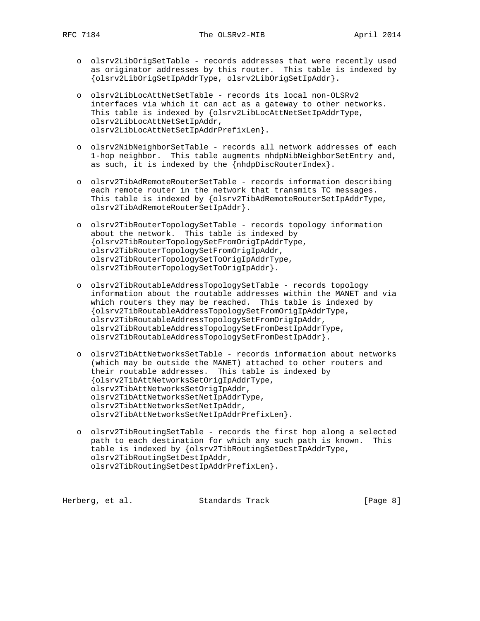- o olsrv2LibOrigSetTable records addresses that were recently used as originator addresses by this router. This table is indexed by {olsrv2LibOrigSetIpAddrType, olsrv2LibOrigSetIpAddr}.
- o olsrv2LibLocAttNetSetTable records its local non-OLSRv2 interfaces via which it can act as a gateway to other networks. This table is indexed by {olsrv2LibLocAttNetSetIpAddrType, olsrv2LibLocAttNetSetIpAddr, olsrv2LibLocAttNetSetIpAddrPrefixLen}.
- o olsrv2NibNeighborSetTable records all network addresses of each 1-hop neighbor. This table augments nhdpNibNeighborSetEntry and, as such, it is indexed by the {nhdpDiscRouterIndex}.
- o olsrv2TibAdRemoteRouterSetTable records information describing each remote router in the network that transmits TC messages. This table is indexed by {olsrv2TibAdRemoteRouterSetIpAddrType, olsrv2TibAdRemoteRouterSetIpAddr}.
- o olsrv2TibRouterTopologySetTable records topology information about the network. This table is indexed by {olsrv2TibRouterTopologySetFromOrigIpAddrType, olsrv2TibRouterTopologySetFromOrigIpAddr, olsrv2TibRouterTopologySetToOrigIpAddrType, olsrv2TibRouterTopologySetToOrigIpAddr}.
- o olsrv2TibRoutableAddressTopologySetTable records topology information about the routable addresses within the MANET and via which routers they may be reached. This table is indexed by {olsrv2TibRoutableAddressTopologySetFromOrigIpAddrType, olsrv2TibRoutableAddressTopologySetFromOrigIpAddr, olsrv2TibRoutableAddressTopologySetFromDestIpAddrType, olsrv2TibRoutableAddressTopologySetFromDestIpAddr}.
- o olsrv2TibAttNetworksSetTable records information about networks (which may be outside the MANET) attached to other routers and their routable addresses. This table is indexed by {olsrv2TibAttNetworksSetOrigIpAddrType, olsrv2TibAttNetworksSetOrigIpAddr, olsrv2TibAttNetworksSetNetIpAddrType, olsrv2TibAttNetworksSetNetIpAddr, olsrv2TibAttNetworksSetNetIpAddrPrefixLen}.
- o olsrv2TibRoutingSetTable records the first hop along a selected path to each destination for which any such path is known. This table is indexed by {olsrv2TibRoutingSetDestIpAddrType, olsrv2TibRoutingSetDestIpAddr, olsrv2TibRoutingSetDestIpAddrPrefixLen}.

Herberg, et al. Standards Track [Page 8]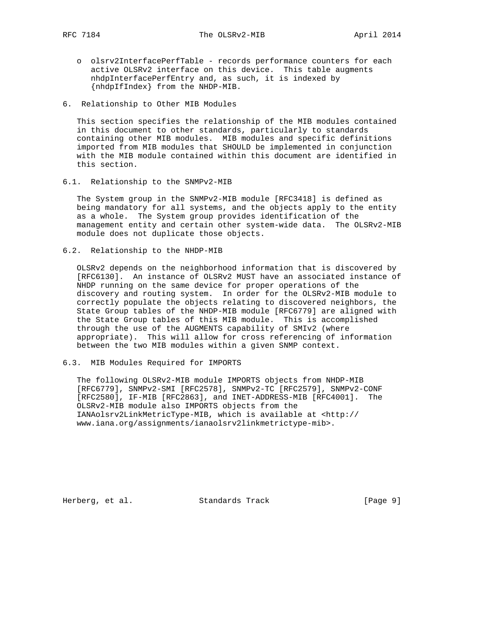- o olsrv2InterfacePerfTable records performance counters for each active OLSRv2 interface on this device. This table augments nhdpInterfacePerfEntry and, as such, it is indexed by {nhdpIfIndex} from the NHDP-MIB.
- 6. Relationship to Other MIB Modules

 This section specifies the relationship of the MIB modules contained in this document to other standards, particularly to standards containing other MIB modules. MIB modules and specific definitions imported from MIB modules that SHOULD be implemented in conjunction with the MIB module contained within this document are identified in this section.

6.1. Relationship to the SNMPv2-MIB

 The System group in the SNMPv2-MIB module [RFC3418] is defined as being mandatory for all systems, and the objects apply to the entity as a whole. The System group provides identification of the management entity and certain other system-wide data. The OLSRv2-MIB module does not duplicate those objects.

6.2. Relationship to the NHDP-MIB

 OLSRv2 depends on the neighborhood information that is discovered by [RFC6130]. An instance of OLSRv2 MUST have an associated instance of NHDP running on the same device for proper operations of the discovery and routing system. In order for the OLSRv2-MIB module to correctly populate the objects relating to discovered neighbors, the State Group tables of the NHDP-MIB module [RFC6779] are aligned with the State Group tables of this MIB module. This is accomplished through the use of the AUGMENTS capability of SMIv2 (where appropriate). This will allow for cross referencing of information between the two MIB modules within a given SNMP context.

6.3. MIB Modules Required for IMPORTS

 The following OLSRv2-MIB module IMPORTS objects from NHDP-MIB [RFC6779], SNMPv2-SMI [RFC2578], SNMPv2-TC [RFC2579], SNMPv2-CONF [RFC2580], IF-MIB [RFC2863], and INET-ADDRESS-MIB [RFC4001]. The OLSRv2-MIB module also IMPORTS objects from the IANAolsrv2LinkMetricType-MIB, which is available at <http:// www.iana.org/assignments/ianaolsrv2linkmetrictype-mib>.

Herberg, et al. Standards Track [Page 9]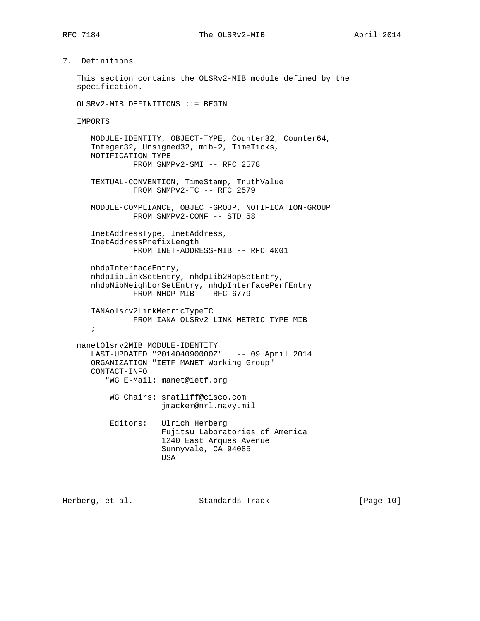# 7. Definitions

```
 This section contains the OLSRv2-MIB module defined by the
 specification.
```
OLSRv2-MIB DEFINITIONS ::= BEGIN

```
 IMPORTS
```
 MODULE-IDENTITY, OBJECT-TYPE, Counter32, Counter64, Integer32, Unsigned32, mib-2, TimeTicks, NOTIFICATION-TYPE FROM SNMPv2-SMI -- RFC 2578 TEXTUAL-CONVENTION, TimeStamp, TruthValue FROM SNMPv2-TC -- RFC 2579 MODULE-COMPLIANCE, OBJECT-GROUP, NOTIFICATION-GROUP FROM SNMPv2-CONF -- STD 58 InetAddressType, InetAddress, InetAddressPrefixLength FROM INET-ADDRESS-MIB -- RFC 4001 nhdpInterfaceEntry, nhdpIibLinkSetEntry, nhdpIib2HopSetEntry, nhdpNibNeighborSetEntry, nhdpInterfacePerfEntry FROM NHDP-MIB -- RFC 6779 IANAolsrv2LinkMetricTypeTC FROM IANA-OLSRv2-LINK-METRIC-TYPE-MIB ; manetOlsrv2MIB MODULE-IDENTITY LAST-UPDATED "201404090000Z" -- 09 April 2014 ORGANIZATION "IETF MANET Working Group" CONTACT-INFO "WG E-Mail: manet@ietf.org WG Chairs: sratliff@cisco.com jmacker@nrl.navy.mil Editors: Ulrich Herberg Fujitsu Laboratories of America 1240 East Arques Avenue Sunnyvale, CA 94085 USA

Herberg, et al. Standards Track [Page 10]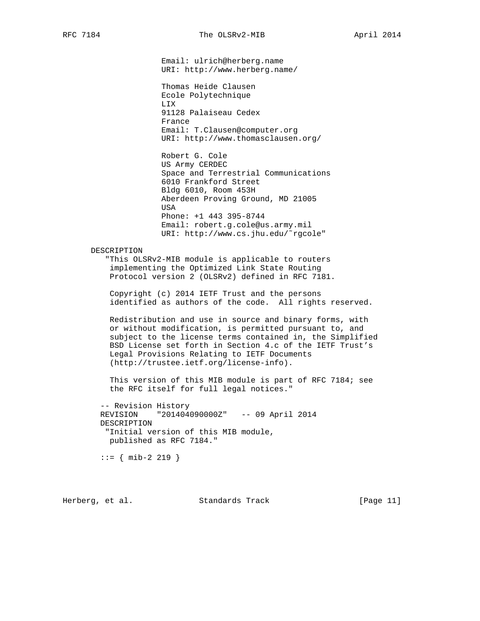Email: ulrich@herberg.name URI: http://www.herberg.name/

 Thomas Heide Clausen Ecole Polytechnique LIX 91128 Palaiseau Cedex France Email: T.Clausen@computer.org URI: http://www.thomasclausen.org/

 Robert G. Cole US Army CERDEC Space and Terrestrial Communications 6010 Frankford Street Bldg 6010, Room 453H Aberdeen Proving Ground, MD 21005 USA Phone: +1 443 395-8744 Email: robert.g.cole@us.army.mil URI: http://www.cs.jhu.edu/˜rgcole"

### DESCRIPTION

 "This OLSRv2-MIB module is applicable to routers implementing the Optimized Link State Routing Protocol version 2 (OLSRv2) defined in RFC 7181.

 Copyright (c) 2014 IETF Trust and the persons identified as authors of the code. All rights reserved.

 Redistribution and use in source and binary forms, with or without modification, is permitted pursuant to, and subject to the license terms contained in, the Simplified BSD License set forth in Section 4.c of the IETF Trust's Legal Provisions Relating to IETF Documents (http://trustee.ietf.org/license-info).

 This version of this MIB module is part of RFC 7184; see the RFC itself for full legal notices."

 -- Revision History REVISION "201404090000Z" -- 09 April 2014 DESCRIPTION "Initial version of this MIB module, published as RFC 7184."

 $::=$  { mib-2 219 }

Herberg, et al. Standards Track [Page 11]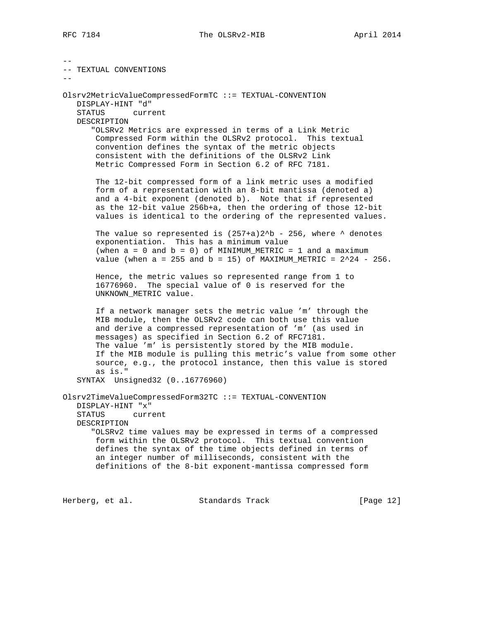-- -- TEXTUAL CONVENTIONS -- Olsrv2MetricValueCompressedFormTC ::= TEXTUAL-CONVENTION DISPLAY-HINT "d" STATUS current DESCRIPTION "OLSRv2 Metrics are expressed in terms of a Link Metric Compressed Form within the OLSRv2 protocol. This textual convention defines the syntax of the metric objects consistent with the definitions of the OLSRv2 Link Metric Compressed Form in Section 6.2 of RFC 7181. The 12-bit compressed form of a link metric uses a modified form of a representation with an 8-bit mantissa (denoted a) and a 4-bit exponent (denoted b). Note that if represented as the 12-bit value 256b+a, then the ordering of those 12-bit values is identical to the ordering of the represented values. The value so represented is  $(257+a)2^b$  - 256, where  $\sim$  denotes exponentiation. This has a minimum value (when  $a = 0$  and  $b = 0$ ) of MINIMUM\_METRIC = 1 and a maximum value (when  $a = 255$  and  $b = 15$ ) of MAXIMUM\_METRIC =  $2^24 - 256$ . Hence, the metric values so represented range from 1 to 16776960. The special value of 0 is reserved for the UNKNOWN\_METRIC value. If a network manager sets the metric value 'm' through the MIB module, then the OLSRv2 code can both use this value and derive a compressed representation of 'm' (as used in messages) as specified in Section 6.2 of RFC7181. The value 'm' is persistently stored by the MIB module. If the MIB module is pulling this metric's value from some other source, e.g., the protocol instance, then this value is stored as is." SYNTAX Unsigned32 (0..16776960) Olsrv2TimeValueCompressedForm32TC ::= TEXTUAL-CONVENTION DISPLAY-HINT "x" STATUS current DESCRIPTION "OLSRv2 time values may be expressed in terms of a compressed form within the OLSRv2 protocol. This textual convention defines the syntax of the time objects defined in terms of an integer number of milliseconds, consistent with the definitions of the 8-bit exponent-mantissa compressed form

Herberg, et al. Standards Track [Page 12]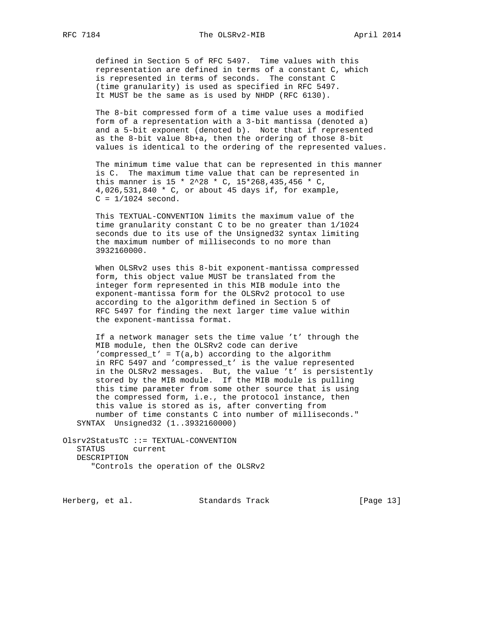defined in Section 5 of RFC 5497. Time values with this representation are defined in terms of a constant C, which is represented in terms of seconds. The constant C (time granularity) is used as specified in RFC 5497. It MUST be the same as is used by NHDP (RFC 6130).

 The 8-bit compressed form of a time value uses a modified form of a representation with a 3-bit mantissa (denoted a) and a 5-bit exponent (denoted b). Note that if represented as the 8-bit value 8b+a, then the ordering of those 8-bit values is identical to the ordering of the represented values.

 The minimum time value that can be represented in this manner is C. The maximum time value that can be represented in this manner is 15 \* 2^28 \* C, 15\*268,435,456 \* C, 4,026,531,840 \* C, or about 45 days if, for example,  $C = 1/1024$  second.

 This TEXTUAL-CONVENTION limits the maximum value of the time granularity constant C to be no greater than 1/1024 seconds due to its use of the Unsigned32 syntax limiting the maximum number of milliseconds to no more than 3932160000.

 When OLSRv2 uses this 8-bit exponent-mantissa compressed form, this object value MUST be translated from the integer form represented in this MIB module into the exponent-mantissa form for the OLSRv2 protocol to use according to the algorithm defined in Section 5 of RFC 5497 for finding the next larger time value within the exponent-mantissa format.

 If a network manager sets the time value 't' through the MIB module, then the OLSRv2 code can derive 'compressed\_t' =  $T(a,b)$  according to the algorithm in RFC 5497 and 'compressed\_t' is the value represented in the OLSRv2 messages. But, the value 't' is persistently stored by the MIB module. If the MIB module is pulling this time parameter from some other source that is using the compressed form, i.e., the protocol instance, then this value is stored as is, after converting from number of time constants C into number of milliseconds." SYNTAX Unsigned32 (1..3932160000)

Olsrv2StatusTC ::= TEXTUAL-CONVENTION STATUS current DESCRIPTION "Controls the operation of the OLSRv2

Herberg, et al. Standards Track [Page 13]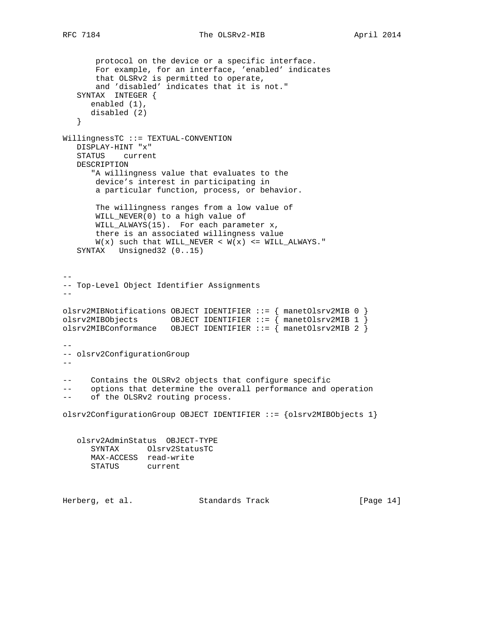protocol on the device or a specific interface. For example, for an interface, 'enabled' indicates that OLSRv2 is permitted to operate, and 'disabled' indicates that it is not." SYNTAX INTEGER { enabled (1), disabled (2) } WillingnessTC ::= TEXTUAL-CONVENTION DISPLAY-HINT "x" STATUS current DESCRIPTION "A willingness value that evaluates to the device's interest in participating in a particular function, process, or behavior. The willingness ranges from a low value of WILL\_NEVER(0) to a high value of WILL\_ALWAYS(15). For each parameter x, there is an associated willingness value  $W(x)$  such that WILL\_NEVER <  $W(x)$  <= WILL\_ALWAYS." SYNTAX Unsigned32 (0..15) -- -- Top-Level Object Identifier Assignments - olsrv2MIBNotifications OBJECT IDENTIFIER  $::=$  { manetOlsrv2MIB 0 } olsrv2MIBObjects OBJECT IDENTIFIER ::=  $\{$  manetOlsrv2MIB 1  $\}$ olsrv2MIBConformance OBJECT IDENTIFIER ::= { manetOlsrv2MIB 2 } -- -- olsrv2ConfigurationGroup  $- -$ -- Contains the OLSRv2 objects that configure specific -- options that determine the overall performance and operation of the OLSRv2 routing process. olsrv2ConfigurationGroup OBJECT IDENTIFIER ::= {olsrv2MIBObjects 1} olsrv2AdminStatus OBJECT-TYPE SYNTAX Olsrv2StatusTC MAX-ACCESS read-write STATUS current Herberg, et al. Standards Track [Page 14]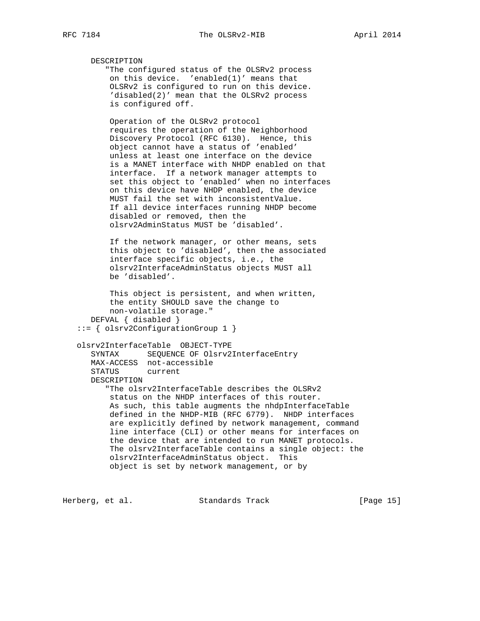DESCRIPTION "The configured status of the OLSRv2 process on this device. 'enabled(1)' means that OLSRv2 is configured to run on this device. 'disabled(2)' mean that the OLSRv2 process is configured off.

 Operation of the OLSRv2 protocol requires the operation of the Neighborhood Discovery Protocol (RFC 6130). Hence, this object cannot have a status of 'enabled' unless at least one interface on the device is a MANET interface with NHDP enabled on that interface. If a network manager attempts to set this object to 'enabled' when no interfaces on this device have NHDP enabled, the device MUST fail the set with inconsistentValue. If all device interfaces running NHDP become disabled or removed, then the olsrv2AdminStatus MUST be 'disabled'.

 If the network manager, or other means, sets this object to 'disabled', then the associated interface specific objects, i.e., the olsrv2InterfaceAdminStatus objects MUST all be 'disabled'.

 This object is persistent, and when written, the entity SHOULD save the change to non-volatile storage." DEFVAL { disabled } ::= { olsrv2ConfigurationGroup 1 }

```
 olsrv2InterfaceTable OBJECT-TYPE
   SYNTAX SEQUENCE OF Olsrv2InterfaceEntry
   MAX-ACCESS not-accessible
   STATUS current
   DESCRIPTION
       "The olsrv2InterfaceTable describes the OLSRv2
       status on the NHDP interfaces of this router.
       As such, this table augments the nhdpInterfaceTable
       defined in the NHDP-MIB (RFC 6779). NHDP interfaces
       are explicitly defined by network management, command
       line interface (CLI) or other means for interfaces on
       the device that are intended to run MANET protocols.
       The olsrv2InterfaceTable contains a single object: the
       olsrv2InterfaceAdminStatus object. This
       object is set by network management, or by
```
Herberg, et al. Standards Track [Page 15]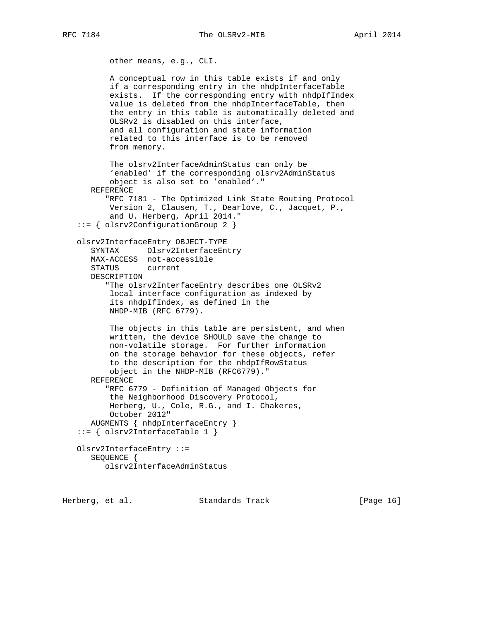RFC 7184 The OLSRv2-MIB April 2014

```
 other means, e.g., CLI.
           A conceptual row in this table exists if and only
           if a corresponding entry in the nhdpInterfaceTable
           exists. If the corresponding entry with nhdpIfIndex
           value is deleted from the nhdpInterfaceTable, then
           the entry in this table is automatically deleted and
           OLSRv2 is disabled on this interface,
           and all configuration and state information
           related to this interface is to be removed
           from memory.
           The olsrv2InterfaceAdminStatus can only be
           'enabled' if the corresponding olsrv2AdminStatus
           object is also set to 'enabled'."
       REFERENCE
          "RFC 7181 - The Optimized Link State Routing Protocol
           Version 2, Clausen, T., Dearlove, C., Jacquet, P.,
           and U. Herberg, April 2014."
    ::= { olsrv2ConfigurationGroup 2 }
    olsrv2InterfaceEntry OBJECT-TYPE
       SYNTAX Olsrv2InterfaceEntry
      MAX-ACCESS not-accessible
       STATUS current
       DESCRIPTION
          "The olsrv2InterfaceEntry describes one OLSRv2
           local interface configuration as indexed by
           its nhdpIfIndex, as defined in the
           NHDP-MIB (RFC 6779).
           The objects in this table are persistent, and when
           written, the device SHOULD save the change to
          non-volatile storage. For further information
           on the storage behavior for these objects, refer
           to the description for the nhdpIfRowStatus
          object in the NHDP-MIB (RFC6779)."
       REFERENCE
          "RFC 6779 - Definition of Managed Objects for
           the Neighborhood Discovery Protocol,
           Herberg, U., Cole, R.G., and I. Chakeres,
           October 2012"
       AUGMENTS { nhdpInterfaceEntry }
   ::= \{ olsrv2InterfaceTable 1 \} Olsrv2InterfaceEntry ::=
       SEQUENCE {
          olsrv2InterfaceAdminStatus
Herberg, et al. Standards Track [Page 16]
```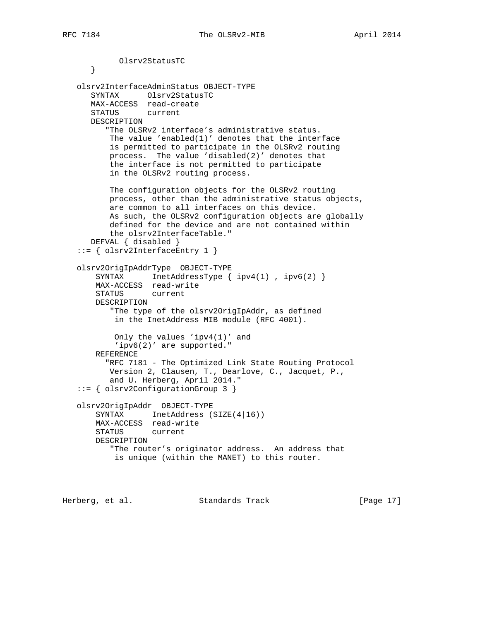```
 Olsrv2StatusTC
    }
 olsrv2InterfaceAdminStatus OBJECT-TYPE
    SYNTAX Olsrv2StatusTC
   MAX-ACCESS read-create
   STATUS current
   DESCRIPTION
       "The OLSRv2 interface's administrative status.
       The value 'enabled(1)' denotes that the interface
       is permitted to participate in the OLSRv2 routing
       process. The value 'disabled(2)' denotes that
       the interface is not permitted to participate
       in the OLSRv2 routing process.
       The configuration objects for the OLSRv2 routing
       process, other than the administrative status objects,
       are common to all interfaces on this device.
       As such, the OLSRv2 configuration objects are globally
       defined for the device and are not contained within
       the olsrv2InterfaceTable."
    DEFVAL { disabled }
 ::= { olsrv2InterfaceEntry 1 }
 olsrv2OrigIpAddrType OBJECT-TYPE
    SYNTAX InetAddressType { ipv4(1), ipv6(2) }
    MAX-ACCESS read-write
    STATUS current
    DESCRIPTION
        "The type of the olsrv2OrigIpAddr, as defined
        in the InetAddress MIB module (RFC 4001).
        Only the values 'ipv4(1)' and
         'ipv6(2)' are supported."
    REFERENCE
       "RFC 7181 - The Optimized Link State Routing Protocol
       Version 2, Clausen, T., Dearlove, C., Jacquet, P.,
       and U. Herberg, April 2014."
 ::= { olsrv2ConfigurationGroup 3 }
 olsrv2OrigIpAddr OBJECT-TYPE
   SYNTAX InetAddress (SIZE(4|16))
    MAX-ACCESS read-write
    STATUS current
    DESCRIPTION
        "The router's originator address. An address that
        is unique (within the MANET) to this router.
```
Herberg, et al. Standards Track [Page 17]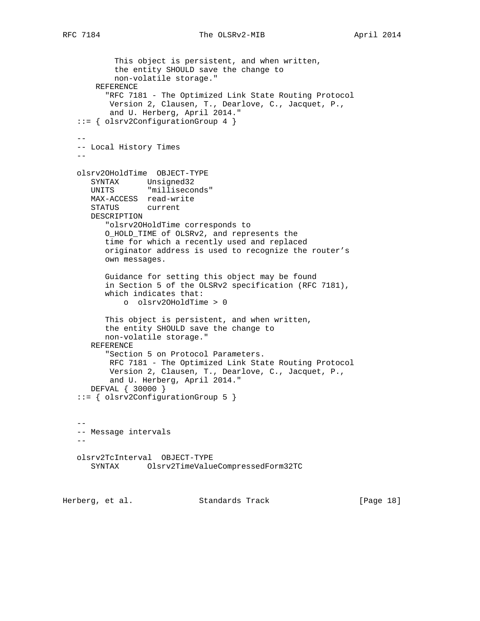```
 This object is persistent, and when written,
           the entity SHOULD save the change to
           non-volatile storage."
       REFERENCE
         "RFC 7181 - The Optimized Link State Routing Protocol
          Version 2, Clausen, T., Dearlove, C., Jacquet, P.,
          and U. Herberg, April 2014."
   ::= { olsrv2ConfigurationGroup 4 }
 --
   -- Local History Times
- olsrv2OHoldTime OBJECT-TYPE
 SYNTAX Unsigned32
 UNITS "milliseconds"
      MAX-ACCESS read-write
      STATUS current
      DESCRIPTION
         "olsrv2OHoldTime corresponds to
         O_HOLD_TIME of OLSRv2, and represents the
         time for which a recently used and replaced
         originator address is used to recognize the router's
         own messages.
         Guidance for setting this object may be found
         in Section 5 of the OLSRv2 specification (RFC 7181),
         which indicates that:
             o olsrv2OHoldTime > 0
         This object is persistent, and when written,
         the entity SHOULD save the change to
         non-volatile storage."
      REFERENCE
         "Section 5 on Protocol Parameters.
          RFC 7181 - The Optimized Link State Routing Protocol
          Version 2, Clausen, T., Dearlove, C., Jacquet, P.,
          and U. Herberg, April 2014."
      DEFVAL { 30000 }
   ::= { olsrv2ConfigurationGroup 5 }
 --
   -- Message intervals
- olsrv2TcInterval OBJECT-TYPE
      SYNTAX Olsrv2TimeValueCompressedForm32TC
```
Herberg, et al. Standards Track [Page 18]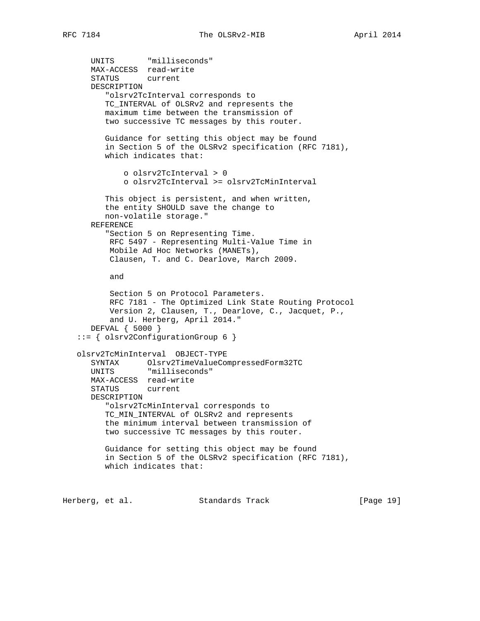```
 UNITS "milliseconds"
       MAX-ACCESS read-write
       STATUS current
       DESCRIPTION
          "olsrv2TcInterval corresponds to
         TC_INTERVAL of OLSRv2 and represents the
         maximum time between the transmission of
         two successive TC messages by this router.
          Guidance for setting this object may be found
          in Section 5 of the OLSRv2 specification (RFC 7181),
          which indicates that:
              o olsrv2TcInterval > 0
              o olsrv2TcInterval >= olsrv2TcMinInterval
          This object is persistent, and when written,
          the entity SHOULD save the change to
         non-volatile storage."
       REFERENCE
          "Section 5 on Representing Time.
          RFC 5497 - Representing Multi-Value Time in
          Mobile Ad Hoc Networks (MANETs),
          Clausen, T. and C. Dearlove, March 2009.
          and
          Section 5 on Protocol Parameters.
          RFC 7181 - The Optimized Link State Routing Protocol
          Version 2, Clausen, T., Dearlove, C., Jacquet, P.,
           and U. Herberg, April 2014."
       DEFVAL { 5000 }
    ::= { olsrv2ConfigurationGroup 6 }
    olsrv2TcMinInterval OBJECT-TYPE
       SYNTAX Olsrv2TimeValueCompressedForm32TC
       UNITS "milliseconds"
      MAX-ACCESS read-write
       STATUS current
       DESCRIPTION
          "olsrv2TcMinInterval corresponds to
          TC_MIN_INTERVAL of OLSRv2 and represents
          the minimum interval between transmission of
          two successive TC messages by this router.
          Guidance for setting this object may be found
          in Section 5 of the OLSRv2 specification (RFC 7181),
          which indicates that:
Herberg, et al. Standards Track [Page 19]
```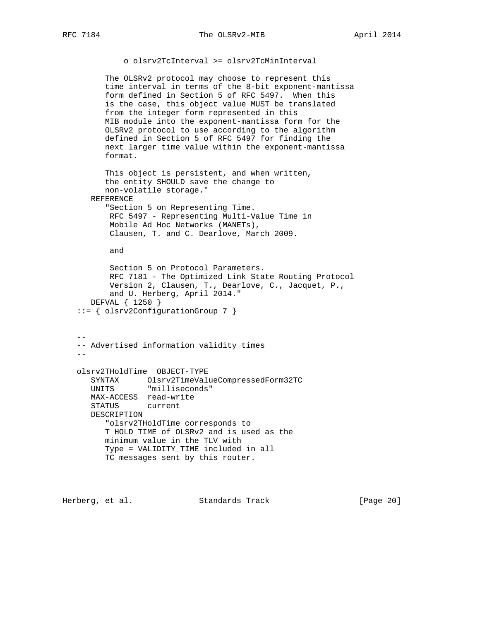o olsrv2TcInterval >= olsrv2TcMinInterval

 The OLSRv2 protocol may choose to represent this time interval in terms of the 8-bit exponent-mantissa form defined in Section 5 of RFC 5497. When this is the case, this object value MUST be translated from the integer form represented in this MIB module into the exponent-mantissa form for the OLSRv2 protocol to use according to the algorithm defined in Section 5 of RFC 5497 for finding the next larger time value within the exponent-mantissa format.

```
 This object is persistent, and when written,
    the entity SHOULD save the change to
    non-volatile storage."
 REFERENCE
    "Section 5 on Representing Time.
    RFC 5497 - Representing Multi-Value Time in
     Mobile Ad Hoc Networks (MANETs),
```
Clausen, T. and C. Dearlove, March 2009.

and

```
 Section 5 on Protocol Parameters.
       RFC 7181 - The Optimized Link State Routing Protocol
        Version 2, Clausen, T., Dearlove, C., Jacquet, P.,
       and U. Herberg, April 2014."
   DEFVAL { 1250 }
 ::= { olsrv2ConfigurationGroup 7 }
```
 $-$  -- Advertised information validity times - olsrv2THoldTime OBJECT-TYPE SYNTAX Olsrv2TimeValueCompressedForm32TC UNITS "milliseconds" MAX-ACCESS read-write STATUS current DESCRIPTION "olsrv2THoldTime corresponds to T\_HOLD\_TIME of OLSRv2 and is used as the minimum value in the TLV with Type = VALIDITY\_TIME included in all TC messages sent by this router.

Herberg, et al. Standards Track [Page 20]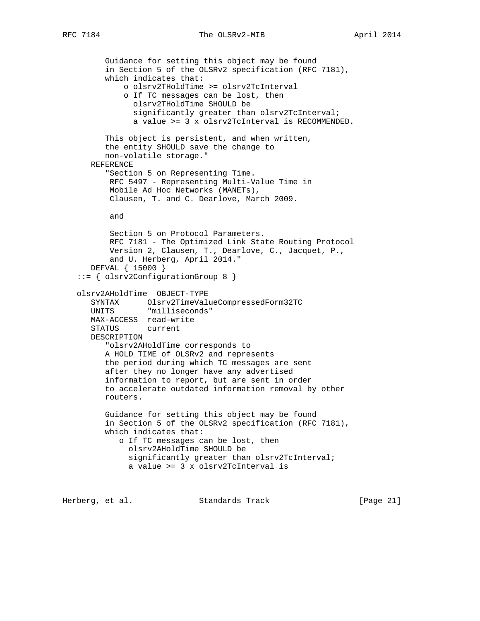## RFC 7184 The OLSRv2-MIB April 2014

```
 Guidance for setting this object may be found
          in Section 5 of the OLSRv2 specification (RFC 7181),
         which indicates that:
             o olsrv2THoldTime >= olsrv2TcInterval
             o If TC messages can be lost, then
               olsrv2THoldTime SHOULD be
                significantly greater than olsrv2TcInterval;
                a value >= 3 x olsrv2TcInterval is RECOMMENDED.
         This object is persistent, and when written,
         the entity SHOULD save the change to
         non-volatile storage."
      REFERENCE
          "Section 5 on Representing Time.
          RFC 5497 - Representing Multi-Value Time in
          Mobile Ad Hoc Networks (MANETs),
          Clausen, T. and C. Dearlove, March 2009.
          and
          Section 5 on Protocol Parameters.
          RFC 7181 - The Optimized Link State Routing Protocol
          Version 2, Clausen, T., Dearlove, C., Jacquet, P.,
          and U. Herberg, April 2014."
      DEFVAL { 15000 }
   ::= { olsrv2ConfigurationGroup 8 }
   olsrv2AHoldTime OBJECT-TYPE
 SYNTAX Olsrv2TimeValueCompressedForm32TC
 UNITS "milliseconds"
      MAX-ACCESS read-write
      STATUS current
      DESCRIPTION
          "olsrv2AHoldTime corresponds to
         A_HOLD_TIME of OLSRv2 and represents
         the period during which TC messages are sent
         after they no longer have any advertised
         information to report, but are sent in order
         to accelerate outdated information removal by other
         routers.
         Guidance for setting this object may be found
         in Section 5 of the OLSRv2 specification (RFC 7181),
         which indicates that:
            o If TC messages can be lost, then
              olsrv2AHoldTime SHOULD be
              significantly greater than olsrv2TcInterval;
              a value >= 3 x olsrv2TcInterval is
```
Herberg, et al. Standards Track [Page 21]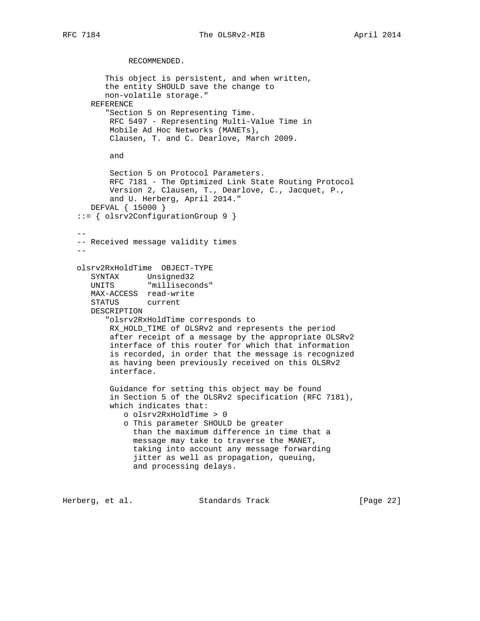RECOMMENDED.

 This object is persistent, and when written, the entity SHOULD save the change to non-volatile storage." REFERENCE "Section 5 on Representing Time. RFC 5497 - Representing Multi-Value Time in Mobile Ad Hoc Networks (MANETs), Clausen, T. and C. Dearlove, March 2009. and Section 5 on Protocol Parameters. RFC 7181 - The Optimized Link State Routing Protocol Version 2, Clausen, T., Dearlove, C., Jacquet, P., and U. Herberg, April 2014." DEFVAL { 15000 } ::= { olsrv2ConfigurationGroup 9 }  $-$  -- Received message validity times  $$  olsrv2RxHoldTime OBJECT-TYPE SYNTAX Unsigned32 UNITS "milliseconds" MAX-ACCESS read-write STATUS current DESCRIPTION "olsrv2RxHoldTime corresponds to RX\_HOLD\_TIME of OLSRv2 and represents the period after receipt of a message by the appropriate OLSRv2 interface of this router for which that information is recorded, in order that the message is recognized as having been previously received on this OLSRv2 interface. Guidance for setting this object may be found in Section 5 of the OLSRv2 specification (RFC 7181), which indicates that: o olsrv2RxHoldTime > 0 o This parameter SHOULD be greater than the maximum difference in time that a message may take to traverse the MANET, taking into account any message forwarding jitter as well as propagation, queuing, and processing delays.

Herberg, et al. Standards Track [Page 22]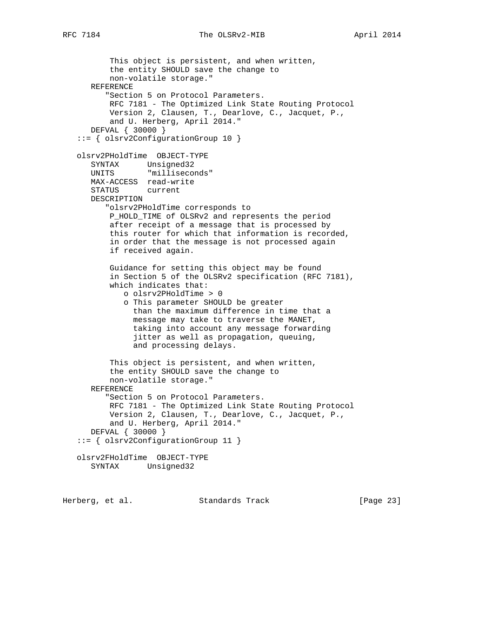```
 This object is persistent, and when written,
          the entity SHOULD save the change to
          non-volatile storage."
      REFERENCE
          "Section 5 on Protocol Parameters.
          RFC 7181 - The Optimized Link State Routing Protocol
          Version 2, Clausen, T., Dearlove, C., Jacquet, P.,
          and U. Herberg, April 2014."
      DEFVAL { 30000 }
   ::= { olsrv2ConfigurationGroup 10 }
   olsrv2PHoldTime OBJECT-TYPE
 SYNTAX Unsigned32
 UNITS "milliseconds"
      MAX-ACCESS read-write
      STATUS current
      DESCRIPTION
          "olsrv2PHoldTime corresponds to
          P_HOLD_TIME of OLSRv2 and represents the period
          after receipt of a message that is processed by
          this router for which that information is recorded,
          in order that the message is not processed again
          if received again.
          Guidance for setting this object may be found
          in Section 5 of the OLSRv2 specification (RFC 7181),
          which indicates that:
             o olsrv2PHoldTime > 0
             o This parameter SHOULD be greater
               than the maximum difference in time that a
               message may take to traverse the MANET,
               taking into account any message forwarding
                jitter as well as propagation, queuing,
               and processing delays.
          This object is persistent, and when written,
          the entity SHOULD save the change to
          non-volatile storage."
      REFERENCE
          "Section 5 on Protocol Parameters.
          RFC 7181 - The Optimized Link State Routing Protocol
          Version 2, Clausen, T., Dearlove, C., Jacquet, P.,
          and U. Herberg, April 2014."
      DEFVAL { 30000 }
   ::= { olsrv2ConfigurationGroup 11 }
   olsrv2FHoldTime OBJECT-TYPE
      SYNTAX Unsigned32
```
Herberg, et al. Standards Track [Page 23]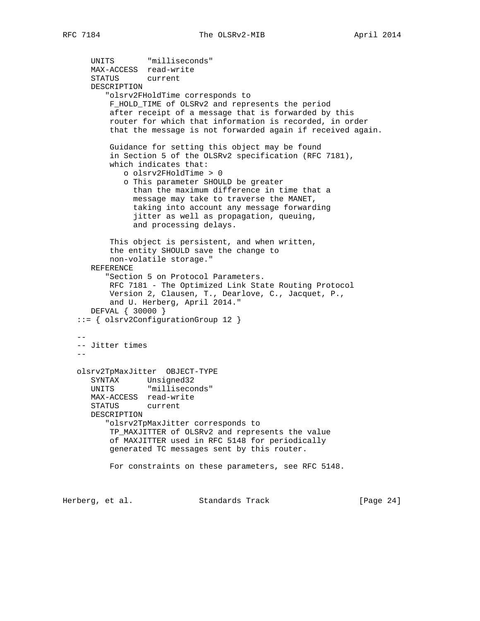```
 UNITS "milliseconds"
      MAX-ACCESS read-write
      STATUS current
      DESCRIPTION
          "olsrv2FHoldTime corresponds to
          F_HOLD_TIME of OLSRv2 and represents the period
          after receipt of a message that is forwarded by this
          router for which that information is recorded, in order
          that the message is not forwarded again if received again.
          Guidance for setting this object may be found
          in Section 5 of the OLSRv2 specification (RFC 7181),
          which indicates that:
             o olsrv2FHoldTime > 0
             o This parameter SHOULD be greater
               than the maximum difference in time that a
               message may take to traverse the MANET,
               taking into account any message forwarding
               jitter as well as propagation, queuing,
               and processing delays.
          This object is persistent, and when written,
          the entity SHOULD save the change to
          non-volatile storage."
      REFERENCE
          "Section 5 on Protocol Parameters.
          RFC 7181 - The Optimized Link State Routing Protocol
          Version 2, Clausen, T., Dearlove, C., Jacquet, P.,
          and U. Herberg, April 2014."
      DEFVAL { 30000 }
   ::= { olsrv2ConfigurationGroup 12 }
- -- Jitter times
 --
   olsrv2TpMaxJitter OBJECT-TYPE
 SYNTAX Unsigned32
 UNITS "milliseconds"
      MAX-ACCESS read-write
      STATUS current
      DESCRIPTION
         "olsrv2TpMaxJitter corresponds to
          TP_MAXJITTER of OLSRv2 and represents the value
          of MAXJITTER used in RFC 5148 for periodically
          generated TC messages sent by this router.
          For constraints on these parameters, see RFC 5148.
```
Herberg, et al. Standards Track [Page 24]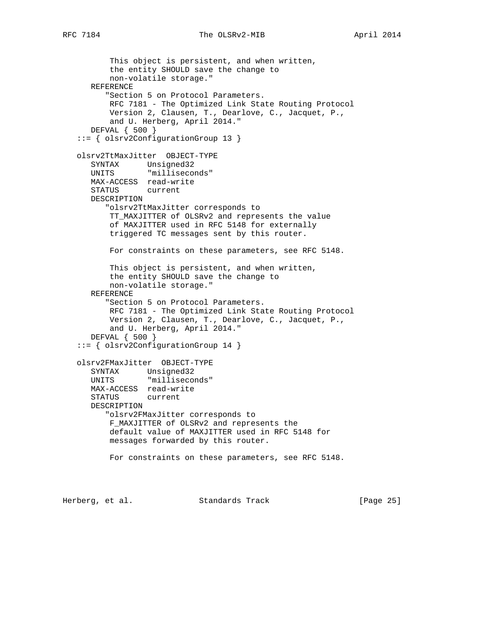```
 This object is persistent, and when written,
          the entity SHOULD save the change to
          non-volatile storage."
      REFERENCE
         "Section 5 on Protocol Parameters.
          RFC 7181 - The Optimized Link State Routing Protocol
          Version 2, Clausen, T., Dearlove, C., Jacquet, P.,
          and U. Herberg, April 2014."
      DEFVAL { 500 }
   ::= { olsrv2ConfigurationGroup 13 }
   olsrv2TtMaxJitter OBJECT-TYPE
 SYNTAX Unsigned32
 UNITS "milliseconds"
      MAX-ACCESS read-write
      STATUS current
      DESCRIPTION
         "olsrv2TtMaxJitter corresponds to
          TT_MAXJITTER of OLSRv2 and represents the value
          of MAXJITTER used in RFC 5148 for externally
          triggered TC messages sent by this router.
          For constraints on these parameters, see RFC 5148.
          This object is persistent, and when written,
          the entity SHOULD save the change to
          non-volatile storage."
      REFERENCE
         "Section 5 on Protocol Parameters.
          RFC 7181 - The Optimized Link State Routing Protocol
          Version 2, Clausen, T., Dearlove, C., Jacquet, P.,
          and U. Herberg, April 2014."
      DEFVAL { 500 }
   ::= { olsrv2ConfigurationGroup 14 }
   olsrv2FMaxJitter OBJECT-TYPE
 SYNTAX Unsigned32
 UNITS "milliseconds"
      MAX-ACCESS read-write
      STATUS current
      DESCRIPTION
         "olsrv2FMaxJitter corresponds to
          F_MAXJITTER of OLSRv2 and represents the
          default value of MAXJITTER used in RFC 5148 for
          messages forwarded by this router.
          For constraints on these parameters, see RFC 5148.
```
Herberg, et al. Standards Track [Page 25]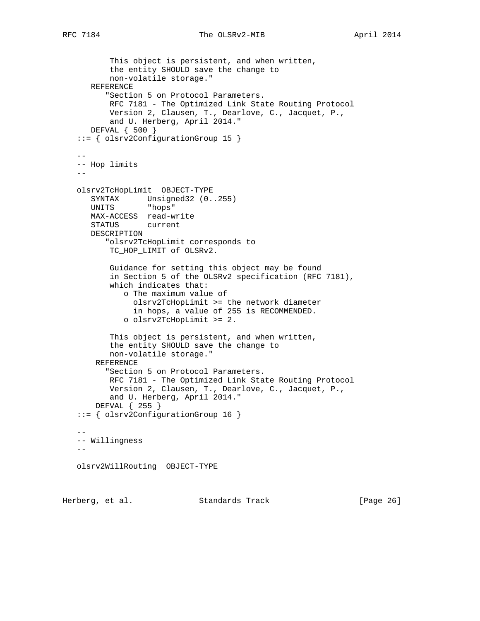```
 This object is persistent, and when written,
          the entity SHOULD save the change to
          non-volatile storage."
      REFERENCE
          "Section 5 on Protocol Parameters.
          RFC 7181 - The Optimized Link State Routing Protocol
          Version 2, Clausen, T., Dearlove, C., Jacquet, P.,
          and U. Herberg, April 2014."
      DEFVAL { 500 }
   ::= { olsrv2ConfigurationGroup 15 }
- -- Hop limits
 --
   olsrv2TcHopLimit OBJECT-TYPE
      SYNTAX Unsigned32 (0..255)
      UNITS "hops"
      MAX-ACCESS read-write
      STATUS current
      DESCRIPTION
         "olsrv2TcHopLimit corresponds to
          TC_HOP_LIMIT of OLSRv2.
          Guidance for setting this object may be found
          in Section 5 of the OLSRv2 specification (RFC 7181),
          which indicates that:
             o The maximum value of
               olsrv2TcHopLimit >= the network diameter
               in hops, a value of 255 is RECOMMENDED.
             o olsrv2TcHopLimit >= 2.
          This object is persistent, and when written,
          the entity SHOULD save the change to
          non-volatile storage."
       REFERENCE
          "Section 5 on Protocol Parameters.
 RFC 7181 - The Optimized Link State Routing Protocol
 Version 2, Clausen, T., Dearlove, C., Jacquet, P.,
          and U. Herberg, April 2014."
       DEFVAL { 255 }
   ::= { olsrv2ConfigurationGroup 16 }
 --
   -- Willingness
  - olsrv2WillRouting OBJECT-TYPE
```
Herberg, et al. Standards Track [Page 26]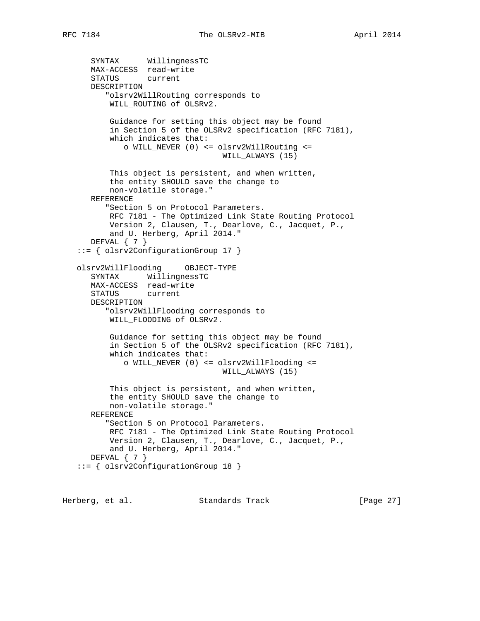```
 SYNTAX WillingnessTC
      MAX-ACCESS read-write
      STATUS current
      DESCRIPTION
          "olsrv2WillRouting corresponds to
          WILL_ROUTING of OLSRv2.
          Guidance for setting this object may be found
          in Section 5 of the OLSRv2 specification (RFC 7181),
          which indicates that:
             o WILL_NEVER (0) <= olsrv2WillRouting <=
                                  WILL_ALWAYS (15)
          This object is persistent, and when written,
          the entity SHOULD save the change to
          non-volatile storage."
      REFERENCE
          "Section 5 on Protocol Parameters.
          RFC 7181 - The Optimized Link State Routing Protocol
          Version 2, Clausen, T., Dearlove, C., Jacquet, P.,
          and U. Herberg, April 2014."
     DEFVAL \{ 7 \} ::= { olsrv2ConfigurationGroup 17 }
   olsrv2WillFlooding OBJECT-TYPE
 SYNTAX WillingnessTC
 MAX-ACCESS read-write
      STATUS current
      DESCRIPTION
          "olsrv2WillFlooding corresponds to
          WILL_FLOODING of OLSRv2.
          Guidance for setting this object may be found
          in Section 5 of the OLSRv2 specification (RFC 7181),
          which indicates that:
             o WILL_NEVER (0) <= olsrv2WillFlooding <=
                                  WILL_ALWAYS (15)
          This object is persistent, and when written,
          the entity SHOULD save the change to
          non-volatile storage."
      REFERENCE
          "Section 5 on Protocol Parameters.
          RFC 7181 - The Optimized Link State Routing Protocol
          Version 2, Clausen, T., Dearlove, C., Jacquet, P.,
          and U. Herberg, April 2014."
     DEFVAL \{ 7 \} ::= { olsrv2ConfigurationGroup 18 }
```
Herberg, et al. Standards Track [Page 27]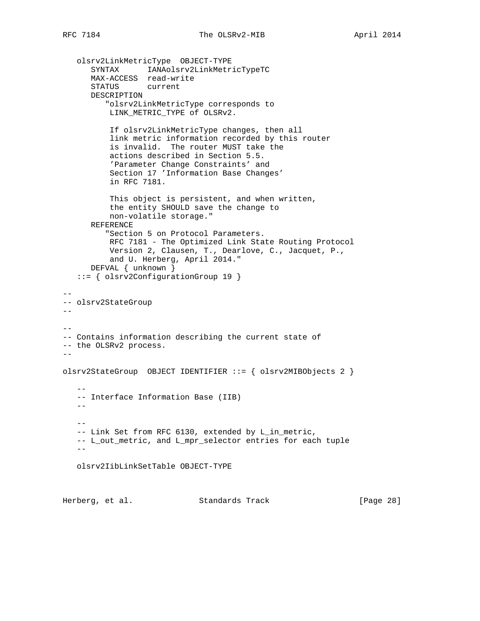olsrv2LinkMetricType OBJECT-TYPE SYNTAX IANAolsrv2LinkMetricTypeTC MAX-ACCESS read-write STATUS current DESCRIPTION "olsrv2LinkMetricType corresponds to LINK\_METRIC\_TYPE of OLSRv2. If olsrv2LinkMetricType changes, then all link metric information recorded by this router is invalid. The router MUST take the actions described in Section 5.5. 'Parameter Change Constraints' and Section 17 'Information Base Changes' in RFC 7181. This object is persistent, and when written, the entity SHOULD save the change to non-volatile storage." REFERENCE "Section 5 on Protocol Parameters. RFC 7181 - The Optimized Link State Routing Protocol Version 2, Clausen, T., Dearlove, C., Jacquet, P., and U. Herberg, April 2014." DEFVAL { unknown } ::= { olsrv2ConfigurationGroup 19 }  $- -$ -- olsrv2StateGroup  $-$ -- -- Contains information describing the current state of -- the OLSRv2 process.  $-$ olsrv2StateGroup OBJECT IDENTIFIER ::= { olsrv2MIBObjects 2 }  $-$  -- Interface Information Base (IIB)  $- - -$  -- Link Set from RFC 6130, extended by L\_in\_metric, -- L\_out\_metric, and L\_mpr\_selector entries for each tuple  $-$  olsrv2IibLinkSetTable OBJECT-TYPE Herberg, et al. Standards Track [Page 28]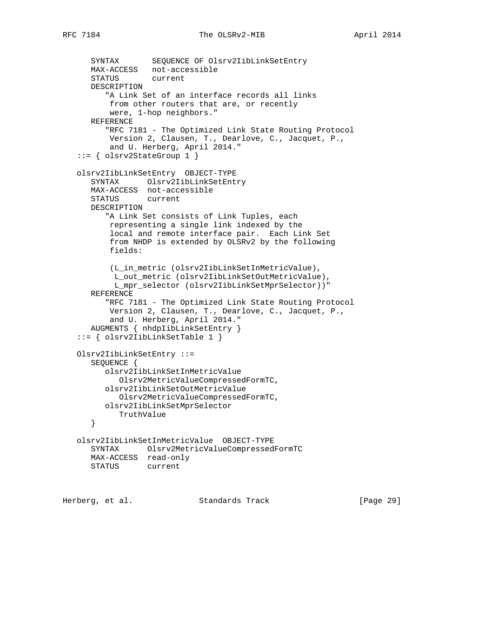```
 SYNTAX SEQUENCE OF Olsrv2IibLinkSetEntry
   MAX-ACCESS not-accessible
   STATUS current
   DESCRIPTION
       "A Link Set of an interface records all links
       from other routers that are, or recently
       were, 1-hop neighbors."
   REFERENCE
       "RFC 7181 - The Optimized Link State Routing Protocol
       Version 2, Clausen, T., Dearlove, C., Jacquet, P.,
       and U. Herberg, April 2014."
 ::= { olsrv2StateGroup 1 }
 olsrv2IibLinkSetEntry OBJECT-TYPE
    SYNTAX Olsrv2IibLinkSetEntry
   MAX-ACCESS not-accessible
  STATUS
   DESCRIPTION
       "A Link Set consists of Link Tuples, each
       representing a single link indexed by the
       local and remote interface pair. Each Link Set
       from NHDP is extended by OLSRv2 by the following
       fields:
       (L_in_metric (olsrv2IibLinkSetInMetricValue),
        L_out_metric (olsrv2IibLinkSetOutMetricValue),
        L_mpr_selector (olsrv2IibLinkSetMprSelector))"
   REFERENCE
       "RFC 7181 - The Optimized Link State Routing Protocol
       Version 2, Clausen, T., Dearlove, C., Jacquet, P.,
       and U. Herberg, April 2014."
   AUGMENTS { nhdpIibLinkSetEntry }
 ::= { olsrv2IibLinkSetTable 1 }
 Olsrv2IibLinkSetEntry ::=
   SEQUENCE {
      olsrv2IibLinkSetInMetricValue
         Olsrv2MetricValueCompressedFormTC,
      olsrv2IibLinkSetOutMetricValue
         Olsrv2MetricValueCompressedFormTC,
      olsrv2IibLinkSetMprSelector
       TruthValue
    }
 olsrv2IibLinkSetInMetricValue OBJECT-TYPE
   SYNTAX Olsrv2MetricValueCompressedFormTC
   MAX-ACCESS read-only
   STATUS current
```
Herberg, et al. Standards Track [Page 29]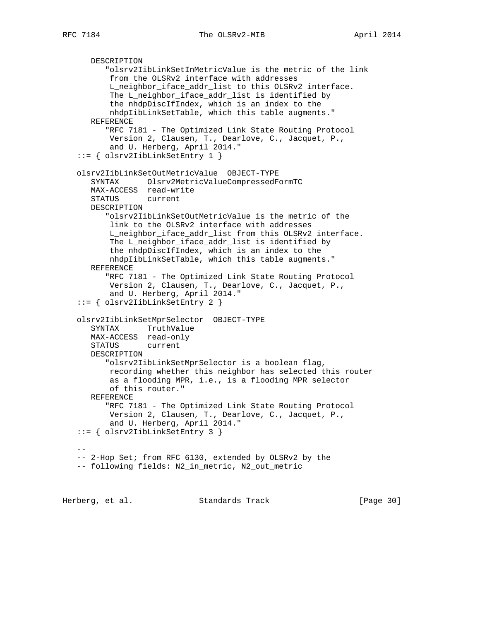```
 DESCRIPTION
          "olsrv2IibLinkSetInMetricValue is the metric of the link
          from the OLSRv2 interface with addresses
          L_neighbor_iface_addr_list to this OLSRv2 interface.
          The L_neighbor_iface_addr_list is identified by
          the nhdpDiscIfIndex, which is an index to the
          nhdpIibLinkSetTable, which this table augments."
      REFERENCE
          "RFC 7181 - The Optimized Link State Routing Protocol
          Version 2, Clausen, T., Dearlove, C., Jacquet, P.,
          and U. Herberg, April 2014."
   ::= { olsrv2IibLinkSetEntry 1 }
   olsrv2IibLinkSetOutMetricValue OBJECT-TYPE
      SYNTAX Olsrv2MetricValueCompressedFormTC
      MAX-ACCESS read-write
     STATUS
      DESCRIPTION
          "olsrv2IibLinkSetOutMetricValue is the metric of the
          link to the OLSRv2 interface with addresses
          L_neighbor_iface_addr_list from this OLSRv2 interface.
          The L_neighbor_iface_addr_list is identified by
          the nhdpDiscIfIndex, which is an index to the
          nhdpIibLinkSetTable, which this table augments."
      REFERENCE
          "RFC 7181 - The Optimized Link State Routing Protocol
          Version 2, Clausen, T., Dearlove, C., Jacquet, P.,
          and U. Herberg, April 2014."
   ::= { olsrv2IibLinkSetEntry 2 }
   olsrv2IibLinkSetMprSelector OBJECT-TYPE
      SYNTAX TruthValue
      MAX-ACCESS read-only
      STATUS current
      DESCRIPTION
          "olsrv2IibLinkSetMprSelector is a boolean flag,
          recording whether this neighbor has selected this router
          as a flooding MPR, i.e., is a flooding MPR selector
          of this router."
      REFERENCE
          "RFC 7181 - The Optimized Link State Routing Protocol
          Version 2, Clausen, T., Dearlove, C., Jacquet, P.,
          and U. Herberg, April 2014."
   ::= { olsrv2IibLinkSetEntry 3 }
 --
   -- 2-Hop Set; from RFC 6130, extended by OLSRv2 by the
   -- following fields: N2_in_metric, N2_out_metric
```
Herberg, et al. Standards Track [Page 30]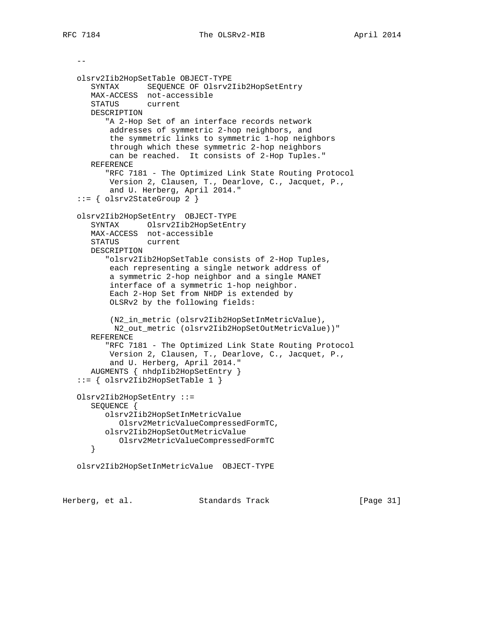$-$ 

```
 olsrv2Iib2HopSetTable OBJECT-TYPE
    SYNTAX SEQUENCE OF Olsrv2Iib2HopSetEntry
   MAX-ACCESS not-accessible
   STATUS current
   DESCRIPTION
       "A 2-Hop Set of an interface records network
       addresses of symmetric 2-hop neighbors, and
        the symmetric links to symmetric 1-hop neighbors
        through which these symmetric 2-hop neighbors
       can be reached. It consists of 2-Hop Tuples."
   REFERENCE
       "RFC 7181 - The Optimized Link State Routing Protocol
       Version 2, Clausen, T., Dearlove, C., Jacquet, P.,
       and U. Herberg, April 2014."
::= \{ 0lsrv2StateGroup 2 \} olsrv2Iib2HopSetEntry OBJECT-TYPE
   SYNTAX Olsrv2Iib2HopSetEntry
   MAX-ACCESS not-accessible
   STATUS current
   DESCRIPTION
       "olsrv2Iib2HopSetTable consists of 2-Hop Tuples,
       each representing a single network address of
        a symmetric 2-hop neighbor and a single MANET
        interface of a symmetric 1-hop neighbor.
        Each 2-Hop Set from NHDP is extended by
       OLSRv2 by the following fields:
        (N2_in_metric (olsrv2Iib2HopSetInMetricValue),
        N2_out_metric (olsrv2Iib2HopSetOutMetricValue))"
   REFERENCE
       "RFC 7181 - The Optimized Link State Routing Protocol
       Version 2, Clausen, T., Dearlove, C., Jacquet, P.,
       and U. Herberg, April 2014."
   AUGMENTS { nhdpIib2HopSetEntry }
 ::= { olsrv2Iib2HopSetTable 1 }
 Olsrv2Iib2HopSetEntry ::=
   SEQUENCE {
      olsrv2Iib2HopSetInMetricValue
         Olsrv2MetricValueCompressedFormTC,
      olsrv2Iib2HopSetOutMetricValue
         Olsrv2MetricValueCompressedFormTC
    }
 olsrv2Iib2HopSetInMetricValue OBJECT-TYPE
```
Herberg, et al. Standards Track [Page 31]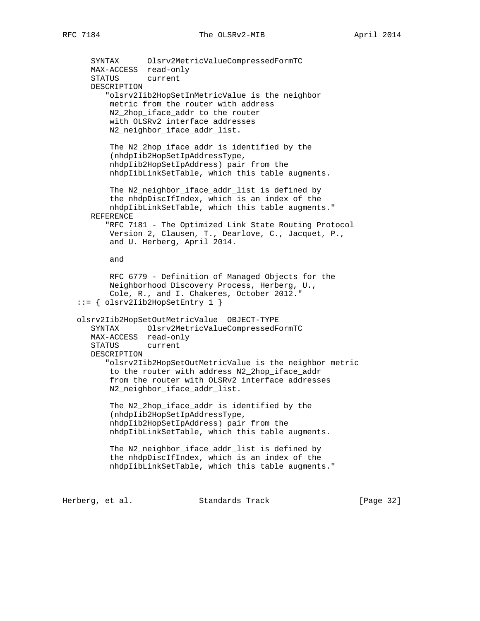SYNTAX Olsrv2MetricValueCompressedFormTC MAX-ACCESS read-only STATUS current DESCRIPTION "olsrv2Iib2HopSetInMetricValue is the neighbor metric from the router with address N2\_2hop\_iface\_addr to the router with OLSRv2 interface addresses N2\_neighbor\_iface\_addr\_list. The N2\_2hop\_iface\_addr is identified by the (nhdpIib2HopSetIpAddressType, nhdpIib2HopSetIpAddress) pair from the nhdpIibLinkSetTable, which this table augments. The N2\_neighbor\_iface\_addr\_list is defined by the nhdpDiscIfIndex, which is an index of the nhdpIibLinkSetTable, which this table augments." REFERENCE "RFC 7181 - The Optimized Link State Routing Protocol Version 2, Clausen, T., Dearlove, C., Jacquet, P., and U. Herberg, April 2014. and RFC 6779 - Definition of Managed Objects for the Neighborhood Discovery Process, Herberg, U., Cole, R., and I. Chakeres, October 2012." ::= { olsrv2Iib2HopSetEntry 1 } olsrv2Iib2HopSetOutMetricValue OBJECT-TYPE SYNTAX Olsrv2MetricValueCompressedFormTC MAX-ACCESS read-only STATUS current DESCRIPTION "olsrv2Iib2HopSetOutMetricValue is the neighbor metric to the router with address N2\_2hop\_iface\_addr from the router with OLSRv2 interface addresses N2\_neighbor\_iface\_addr\_list. The N2\_2hop\_iface\_addr is identified by the (nhdpIib2HopSetIpAddressType, nhdpIib2HopSetIpAddress) pair from the nhdpIibLinkSetTable, which this table augments. The N2\_neighbor\_iface\_addr\_list is defined by the nhdpDiscIfIndex, which is an index of the nhdpIibLinkSetTable, which this table augments."

Herberg, et al. Standards Track [Page 32]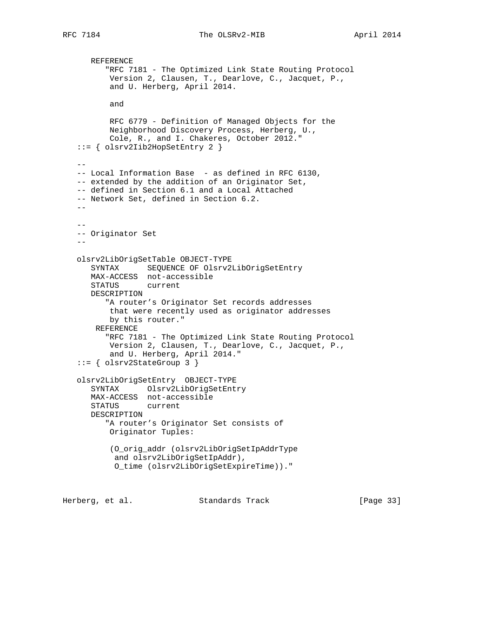```
 REFERENCE
          "RFC 7181 - The Optimized Link State Routing Protocol
          Version 2, Clausen, T., Dearlove, C., Jacquet, P.,
          and U. Herberg, April 2014.
          and
          RFC 6779 - Definition of Managed Objects for the
          Neighborhood Discovery Process, Herberg, U.,
          Cole, R., and I. Chakeres, October 2012."
   ::= { olsrv2Iib2HopSetEntry 2 }
 --
  -- Local Information Base - as defined in RFC 6130,
   -- extended by the addition of an Originator Set,
   -- defined in Section 6.1 and a Local Attached
   -- Network Set, defined in Section 6.2.
  - - --
   -- Originator Set
 --
   olsrv2LibOrigSetTable OBJECT-TYPE
      SYNTAX SEQUENCE OF Olsrv2LibOrigSetEntry
      MAX-ACCESS not-accessible
      STATUS current
      DESCRIPTION
          "A router's Originator Set records addresses
          that were recently used as originator addresses
          by this router."
       REFERENCE
          "RFC 7181 - The Optimized Link State Routing Protocol
          Version 2, Clausen, T., Dearlove, C., Jacquet, P.,
          and U. Herberg, April 2014."
   ::= { olsrv2StateGroup 3 }
   olsrv2LibOrigSetEntry OBJECT-TYPE
      SYNTAX Olsrv2LibOrigSetEntry
      MAX-ACCESS not-accessible
     STATUS
      DESCRIPTION
         "A router's Originator Set consists of
          Originator Tuples:
          (O_orig_addr (olsrv2LibOrigSetIpAddrType
           and olsrv2LibOrigSetIpAddr),
           O_time (olsrv2LibOrigSetExpireTime))."
```
Herberg, et al. Standards Track [Page 33]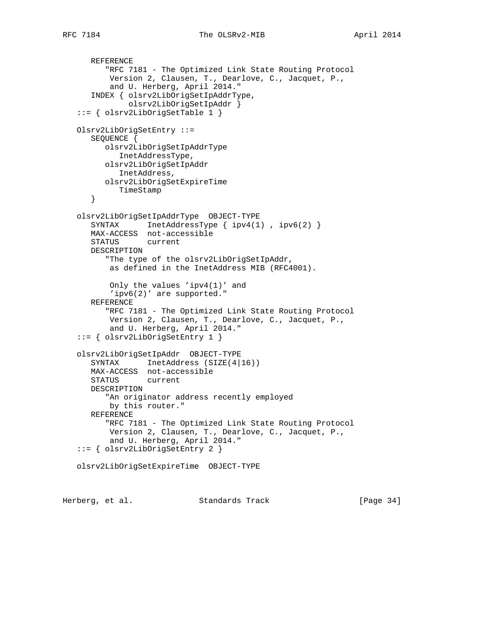```
 REFERENCE
       "RFC 7181 - The Optimized Link State Routing Protocol
       Version 2, Clausen, T., Dearlove, C., Jacquet, P.,
        and U. Herberg, April 2014."
    INDEX { olsrv2LibOrigSetIpAddrType,
            olsrv2LibOrigSetIpAddr }
 ::= { olsrv2LibOrigSetTable 1 }
 Olsrv2LibOrigSetEntry ::=
    SEQUENCE {
       olsrv2LibOrigSetIpAddrType
         InetAddressType,
       olsrv2LibOrigSetIpAddr
         InetAddress,
       olsrv2LibOrigSetExpireTime
         TimeStamp
    }
 olsrv2LibOrigSetIpAddrType OBJECT-TYPE
   SYNTAX InetAddressType { ipv4(1), ipv6(2) }
   MAX-ACCESS not-accessible
    STATUS current
   DESCRIPTION
       "The type of the olsrv2LibOrigSetIpAddr,
       as defined in the InetAddress MIB (RFC4001).
        Only the values 'ipv4(1)' and
        'ipv6(2)' are supported."
    REFERENCE
       "RFC 7181 - The Optimized Link State Routing Protocol
        Version 2, Clausen, T., Dearlove, C., Jacquet, P.,
        and U. Herberg, April 2014."
 ::= { olsrv2LibOrigSetEntry 1 }
 olsrv2LibOrigSetIpAddr OBJECT-TYPE
   SYNTAX InetAddress (SIZE(4|16))
   MAX-ACCESS not-accessible
    STATUS current
    DESCRIPTION
       "An originator address recently employed
       by this router."
    REFERENCE
       "RFC 7181 - The Optimized Link State Routing Protocol
        Version 2, Clausen, T., Dearlove, C., Jacquet, P.,
        and U. Herberg, April 2014."
 ::= { olsrv2LibOrigSetEntry 2 }
 olsrv2LibOrigSetExpireTime OBJECT-TYPE
```
Herberg, et al. Standards Track [Page 34]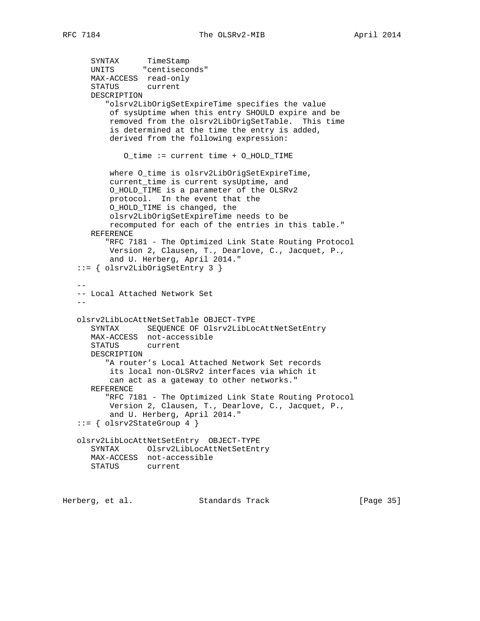```
 SYNTAX TimeStamp
 UNITS "centiseconds"
      MAX-ACCESS read-only
      STATUS current
      DESCRIPTION
         "olsrv2LibOrigSetExpireTime specifies the value
          of sysUptime when this entry SHOULD expire and be
          removed from the olsrv2LibOrigSetTable. This time
          is determined at the time the entry is added,
          derived from the following expression:
             O_time := current time + O_HOLD_TIME
         where O_time is olsrv2LibOrigSetExpireTime,
          current_time is current sysUptime, and
          O_HOLD_TIME is a parameter of the OLSRv2
          protocol. In the event that the
          O_HOLD_TIME is changed, the
          olsrv2LibOrigSetExpireTime needs to be
          recomputed for each of the entries in this table."
      REFERENCE
         "RFC 7181 - The Optimized Link State Routing Protocol
          Version 2, Clausen, T., Dearlove, C., Jacquet, P.,
          and U. Herberg, April 2014."
   ::= { olsrv2LibOrigSetEntry 3 }
- -- Local Attached Network Set
 --
   olsrv2LibLocAttNetSetTable OBJECT-TYPE
      SYNTAX SEQUENCE OF Olsrv2LibLocAttNetSetEntry
      MAX-ACCESS not-accessible
      STATUS current
      DESCRIPTION
         "A router's Local Attached Network Set records
          its local non-OLSRv2 interfaces via which it
          can act as a gateway to other networks."
      REFERENCE
         "RFC 7181 - The Optimized Link State Routing Protocol
          Version 2, Clausen, T., Dearlove, C., Jacquet, P.,
          and U. Herberg, April 2014."
  ::= \{ 0lsrv2StateGroup 4 \} olsrv2LibLocAttNetSetEntry OBJECT-TYPE
      SYNTAX Olsrv2LibLocAttNetSetEntry
      MAX-ACCESS not-accessible
      STATUS current
```
Herberg, et al. Standards Track [Page 35]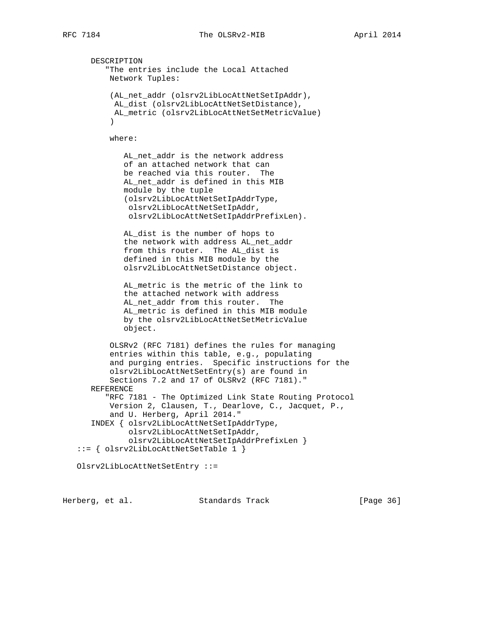DESCRIPTION "The entries include the Local Attached Network Tuples: (AL\_net\_addr (olsrv2LibLocAttNetSetIpAddr), AL\_dist (olsrv2LibLocAttNetSetDistance), AL\_metric (olsrv2LibLocAttNetSetMetricValue) ) where: AL\_net\_addr is the network address of an attached network that can be reached via this router. The AL\_net\_addr is defined in this MIB module by the tuple (olsrv2LibLocAttNetSetIpAddrType, olsrv2LibLocAttNetSetIpAddr, olsrv2LibLocAttNetSetIpAddrPrefixLen). AL\_dist is the number of hops to the network with address AL net addr from this router. The AL\_dist is defined in this MIB module by the olsrv2LibLocAttNetSetDistance object. AL\_metric is the metric of the link to the attached network with address AL\_net\_addr from this router. The AL\_metric is defined in this MIB module by the olsrv2LibLocAttNetSetMetricValue object. OLSRv2 (RFC 7181) defines the rules for managing entries within this table, e.g., populating and purging entries. Specific instructions for the olsrv2LibLocAttNetSetEntry(s) are found in Sections 7.2 and 17 of OLSRv2 (RFC 7181)." REFERENCE "RFC 7181 - The Optimized Link State Routing Protocol Version 2, Clausen, T., Dearlove, C., Jacquet, P., and U. Herberg, April 2014." INDEX { olsrv2LibLocAttNetSetIpAddrType, olsrv2LibLocAttNetSetIpAddr, olsrv2LibLocAttNetSetIpAddrPrefixLen } ::= { olsrv2LibLocAttNetSetTable 1 } Olsrv2LibLocAttNetSetEntry ::=

Herberg, et al. Standards Track [Page 36]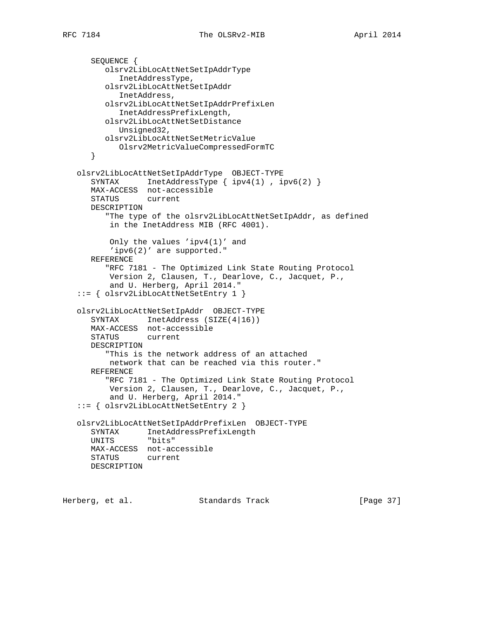```
 SEQUENCE {
         olsrv2LibLocAttNetSetIpAddrType
            InetAddressType,
         olsrv2LibLocAttNetSetIpAddr
            InetAddress,
         olsrv2LibLocAttNetSetIpAddrPrefixLen
            InetAddressPrefixLength,
         olsrv2LibLocAttNetSetDistance
            Unsigned32,
         olsrv2LibLocAttNetSetMetricValue
            Olsrv2MetricValueCompressedFormTC
      }
 olsrv2LibLocAttNetSetIpAddrType OBJECT-TYPE
 SYNTAX InetAddressType { ipv4(1) , ipv6(2) }
      MAX-ACCESS not-accessible
     STATUS
      DESCRIPTION
         "The type of the olsrv2LibLocAttNetSetIpAddr, as defined
          in the InetAddress MIB (RFC 4001).
          Only the values 'ipv4(1)' and
          'ipv6(2)' are supported."
      REFERENCE
          "RFC 7181 - The Optimized Link State Routing Protocol
          Version 2, Clausen, T., Dearlove, C., Jacquet, P.,
          and U. Herberg, April 2014."
   ::= { olsrv2LibLocAttNetSetEntry 1 }
   olsrv2LibLocAttNetSetIpAddr OBJECT-TYPE
     SYNTAX InetAddress (SIZE(4|16))
      MAX-ACCESS not-accessible
      STATUS current
      DESCRIPTION
          "This is the network address of an attached
          network that can be reached via this router."
      REFERENCE
          "RFC 7181 - The Optimized Link State Routing Protocol
          Version 2, Clausen, T., Dearlove, C., Jacquet, P.,
          and U. Herberg, April 2014."
   ::= { olsrv2LibLocAttNetSetEntry 2 }
   olsrv2LibLocAttNetSetIpAddrPrefixLen OBJECT-TYPE
      SYNTAX InetAddressPrefixLength
      UNITS "bits"
      MAX-ACCESS not-accessible
      STATUS current
      DESCRIPTION
```
Herberg, et al. Standards Track [Page 37]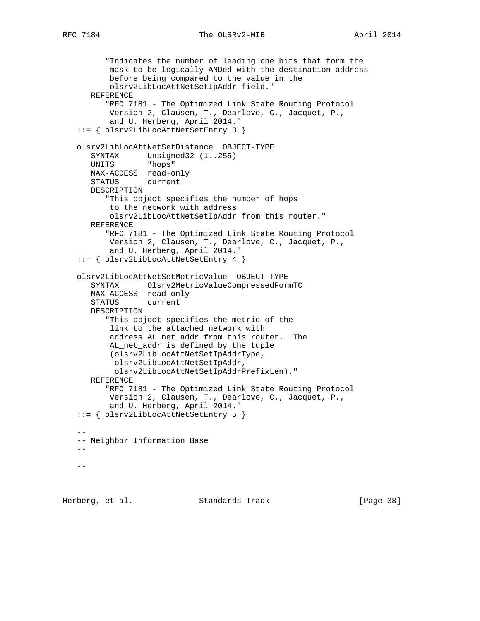```
 "Indicates the number of leading one bits that form the
          mask to be logically ANDed with the destination address
          before being compared to the value in the
          olsrv2LibLocAttNetSetIpAddr field."
      REFERENCE
          "RFC 7181 - The Optimized Link State Routing Protocol
          Version 2, Clausen, T., Dearlove, C., Jacquet, P.,
          and U. Herberg, April 2014."
   ::= { olsrv2LibLocAttNetSetEntry 3 }
   olsrv2LibLocAttNetSetDistance OBJECT-TYPE
 SYNTAX Unsigned32 (1..255)
 UNITS "hops"
      MAX-ACCESS read-only
      STATUS current
      DESCRIPTION
          "This object specifies the number of hops
          to the network with address
          olsrv2LibLocAttNetSetIpAddr from this router."
      REFERENCE
          "RFC 7181 - The Optimized Link State Routing Protocol
          Version 2, Clausen, T., Dearlove, C., Jacquet, P.,
          and U. Herberg, April 2014."
   ::= { olsrv2LibLocAttNetSetEntry 4 }
   olsrv2LibLocAttNetSetMetricValue OBJECT-TYPE
      SYNTAX Olsrv2MetricValueCompressedFormTC
      MAX-ACCESS read-only
      STATUS current
      DESCRIPTION
          "This object specifies the metric of the
          link to the attached network with
          address AL_net_addr from this router. The
         AL net addr is defined by the tuple
          (olsrv2LibLocAttNetSetIpAddrType,
           olsrv2LibLocAttNetSetIpAddr,
           olsrv2LibLocAttNetSetIpAddrPrefixLen)."
      REFERENCE
          "RFC 7181 - The Optimized Link State Routing Protocol
          Version 2, Clausen, T., Dearlove, C., Jacquet, P.,
          and U. Herberg, April 2014."
   ::= { olsrv2LibLocAttNetSetEntry 5 }
 --
   -- Neighbor Information Base
  --
```
Herberg, et al. Standards Track [Page 38]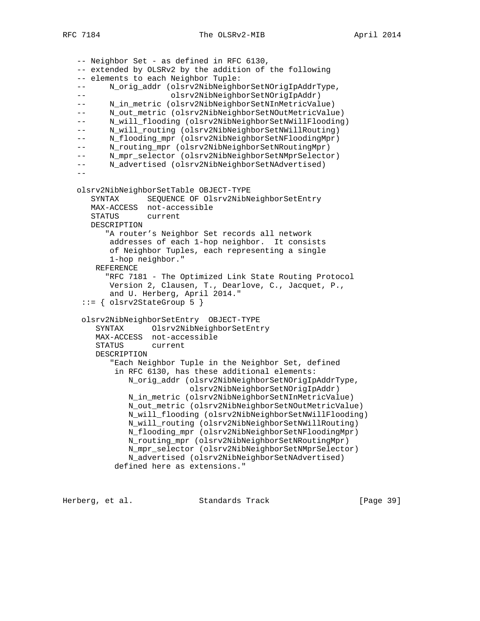-- Neighbor Set - as defined in RFC 6130, -- extended by OLSRv2 by the addition of the following -- elements to each Neighbor Tuple: -- N orig addr (olsrv2NibNeighborSetNOrigIpAddrType, -- olsrv2NibNeighborSetNOrigIpAddr) -- N\_in\_metric (olsrv2NibNeighborSetNInMetricValue) -- N\_out\_metric (olsrv2NibNeighborSetNOutMetricValue) -- N\_will\_flooding (olsrv2NibNeighborSetNWillFlooding) -- N\_will\_routing (olsrv2NibNeighborSetNWillRouting) -- N\_flooding\_mpr (olsrv2NibNeighborSetNFloodingMpr) -- N\_routing\_mpr (olsrv2NibNeighborSetNRoutingMpr) -- N\_mpr\_selector (olsrv2NibNeighborSetNMprSelector) -- N\_advertised (olsrv2NibNeighborSetNAdvertised)  $$  olsrv2NibNeighborSetTable OBJECT-TYPE SYNTAX SEQUENCE OF Olsrv2NibNeighborSetEntry MAX-ACCESS not-accessible STATUS DESCRIPTION "A router's Neighbor Set records all network addresses of each 1-hop neighbor. It consists of Neighbor Tuples, each representing a single 1-hop neighbor." REFERENCE "RFC 7181 - The Optimized Link State Routing Protocol Version 2, Clausen, T., Dearlove, C., Jacquet, P., and U. Herberg, April 2014."  $::=$  { olsrv2StateGroup 5 } olsrv2NibNeighborSetEntry OBJECT-TYPE SYNTAX Olsrv2NibNeighborSetEntry MAX-ACCESS not-accessible STATUS current DESCRIPTION "Each Neighbor Tuple in the Neighbor Set, defined in RFC 6130, has these additional elements: N\_orig\_addr (olsrv2NibNeighborSetNOrigIpAddrType, olsrv2NibNeighborSetNOrigIpAddr) N\_in\_metric (olsrv2NibNeighborSetNInMetricValue) N\_out\_metric (olsrv2NibNeighborSetNOutMetricValue) N\_will\_flooding (olsrv2NibNeighborSetNWillFlooding) N\_will\_routing (olsrv2NibNeighborSetNWillRouting) N\_flooding\_mpr (olsrv2NibNeighborSetNFloodingMpr) N\_routing\_mpr (olsrv2NibNeighborSetNRoutingMpr) N mpr selector (olsrv2NibNeighborSetNMprSelector) N\_advertised (olsrv2NibNeighborSetNAdvertised) defined here as extensions."

Herberg, et al. Standards Track [Page 39]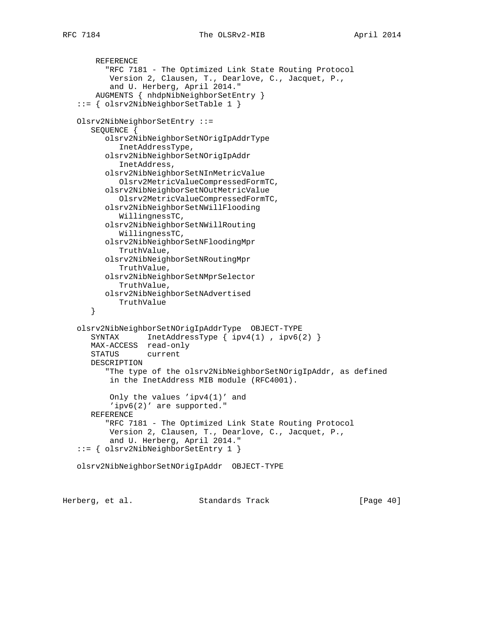```
 REFERENCE
       "RFC 7181 - The Optimized Link State Routing Protocol
        Version 2, Clausen, T., Dearlove, C., Jacquet, P.,
        and U. Herberg, April 2014."
     AUGMENTS { nhdpNibNeighborSetEntry }
 ::= { olsrv2NibNeighborSetTable 1 }
 Olsrv2NibNeighborSetEntry ::=
    SEQUENCE {
       olsrv2NibNeighborSetNOrigIpAddrType
          InetAddressType,
       olsrv2NibNeighborSetNOrigIpAddr
          InetAddress,
       olsrv2NibNeighborSetNInMetricValue
          Olsrv2MetricValueCompressedFormTC,
       olsrv2NibNeighborSetNOutMetricValue
          Olsrv2MetricValueCompressedFormTC,
       olsrv2NibNeighborSetNWillFlooding
          WillingnessTC,
       olsrv2NibNeighborSetNWillRouting
          WillingnessTC,
       olsrv2NibNeighborSetNFloodingMpr
          TruthValue,
       olsrv2NibNeighborSetNRoutingMpr
          TruthValue,
       olsrv2NibNeighborSetNMprSelector
          TruthValue,
       olsrv2NibNeighborSetNAdvertised
          TruthValue
    }
 olsrv2NibNeighborSetNOrigIpAddrType OBJECT-TYPE
   SYNTAX InetAddressType \{ \text{ipv4}(1), \text{ipv6}(2) \} MAX-ACCESS read-only
    STATUS current
    DESCRIPTION
       "The type of the olsrv2NibNeighborSetNOrigIpAddr, as defined
        in the InetAddress MIB module (RFC4001).
        Only the values 'ipv4(1)' and
        'ipv6(2)' are supported."
    REFERENCE
       "RFC 7181 - The Optimized Link State Routing Protocol
        Version 2, Clausen, T., Dearlove, C., Jacquet, P.,
        and U. Herberg, April 2014."
 ::= { olsrv2NibNeighborSetEntry 1 }
 olsrv2NibNeighborSetNOrigIpAddr OBJECT-TYPE
```
Herberg, et al. Standards Track [Page 40]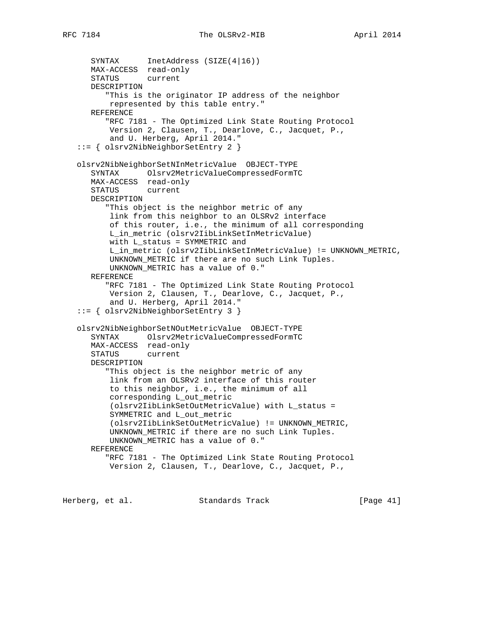SYNTAX InetAddress (SIZE(4|16)) MAX-ACCESS read-only STATUS current DESCRIPTION "This is the originator IP address of the neighbor represented by this table entry." REFERENCE "RFC 7181 - The Optimized Link State Routing Protocol Version 2, Clausen, T., Dearlove, C., Jacquet, P., and U. Herberg, April 2014." ::= { olsrv2NibNeighborSetEntry 2 } olsrv2NibNeighborSetNInMetricValue OBJECT-TYPE SYNTAX Olsrv2MetricValueCompressedFormTC MAX-ACCESS read-only STATUS current DESCRIPTION "This object is the neighbor metric of any link from this neighbor to an OLSRv2 interface of this router, i.e., the minimum of all corresponding L\_in\_metric (olsrv2IibLinkSetInMetricValue) with L status = SYMMETRIC and L\_in\_metric (olsrv2IibLinkSetInMetricValue) != UNKNOWN\_METRIC, UNKNOWN\_METRIC if there are no such Link Tuples. UNKNOWN\_METRIC has a value of 0." REFERENCE "RFC 7181 - The Optimized Link State Routing Protocol Version 2, Clausen, T., Dearlove, C., Jacquet, P., and U. Herberg, April 2014." ::= { olsrv2NibNeighborSetEntry 3 } olsrv2NibNeighborSetNOutMetricValue OBJECT-TYPE SYNTAX Olsrv2MetricValueCompressedFormTC MAX-ACCESS read-only STATUS current DESCRIPTION "This object is the neighbor metric of any link from an OLSRv2 interface of this router to this neighbor, i.e., the minimum of all corresponding L\_out\_metric (olsrv2IibLinkSetOutMetricValue) with L\_status = SYMMETRIC and L\_out\_metric (olsrv2IibLinkSetOutMetricValue) != UNKNOWN\_METRIC, UNKNOWN\_METRIC if there are no such Link Tuples. UNKNOWN\_METRIC has a value of 0." REFERENCE "RFC 7181 - The Optimized Link State Routing Protocol Version 2, Clausen, T., Dearlove, C., Jacquet, P.,

Herberg, et al. Standards Track [Page 41]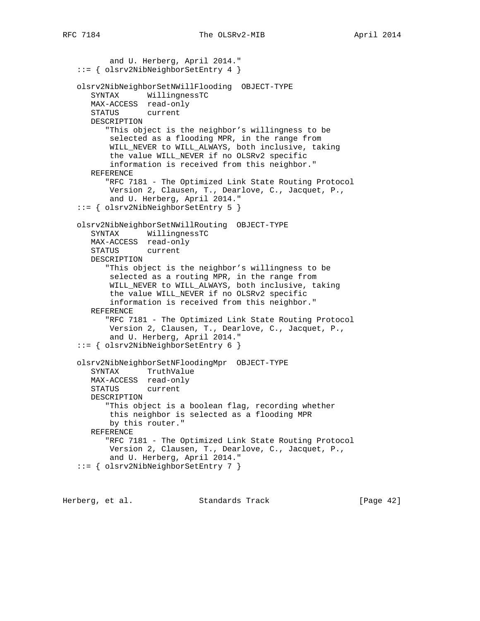and U. Herberg, April 2014." ::= { olsrv2NibNeighborSetEntry 4 } olsrv2NibNeighborSetNWillFlooding OBJECT-TYPE SYNTAX WillingnessTC MAX-ACCESS read-only STATUS current DESCRIPTION "This object is the neighbor's willingness to be selected as a flooding MPR, in the range from WILL\_NEVER to WILL\_ALWAYS, both inclusive, taking the value WILL\_NEVER if no OLSRv2 specific information is received from this neighbor." REFERENCE "RFC 7181 - The Optimized Link State Routing Protocol Version 2, Clausen, T., Dearlove, C., Jacquet, P., and U. Herberg, April 2014." ::= { olsrv2NibNeighborSetEntry 5 } olsrv2NibNeighborSetNWillRouting OBJECT-TYPE SYNTAX WillingnessTC MAX-ACCESS read-only STATUS current DESCRIPTION "This object is the neighbor's willingness to be selected as a routing MPR, in the range from WILL\_NEVER to WILL\_ALWAYS, both inclusive, taking the value WILL\_NEVER if no OLSRv2 specific information is received from this neighbor." REFERENCE "RFC 7181 - The Optimized Link State Routing Protocol Version 2, Clausen, T., Dearlove, C., Jacquet, P., and U. Herberg, April 2014." ::= { olsrv2NibNeighborSetEntry 6 } olsrv2NibNeighborSetNFloodingMpr OBJECT-TYPE SYNTAX TruthValue MAX-ACCESS read-only STATUS current DESCRIPTION "This object is a boolean flag, recording whether this neighbor is selected as a flooding MPR by this router." REFERENCE "RFC 7181 - The Optimized Link State Routing Protocol Version 2, Clausen, T., Dearlove, C., Jacquet, P., and U. Herberg, April 2014." ::= { olsrv2NibNeighborSetEntry 7 }

Herberg, et al. Standards Track [Page 42]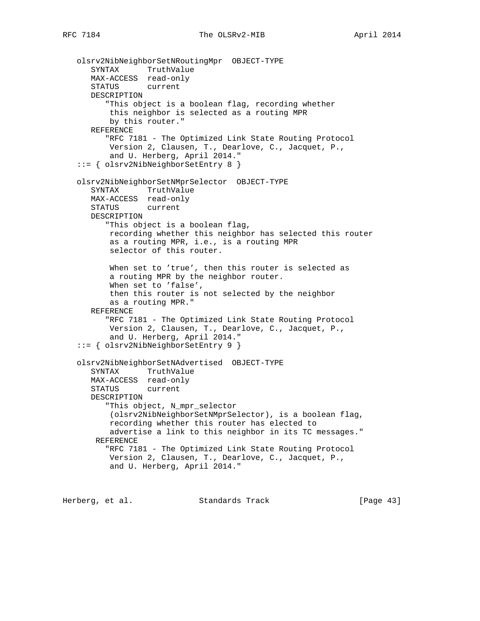```
 olsrv2NibNeighborSetNRoutingMpr OBJECT-TYPE
 SYNTAX TruthValue
 MAX-ACCESS read-only
      STATUS current
      DESCRIPTION
          "This object is a boolean flag, recording whether
          this neighbor is selected as a routing MPR
          by this router."
      REFERENCE
          "RFC 7181 - The Optimized Link State Routing Protocol
          Version 2, Clausen, T., Dearlove, C., Jacquet, P.,
          and U. Herberg, April 2014."
   ::= { olsrv2NibNeighborSetEntry 8 }
   olsrv2NibNeighborSetNMprSelector OBJECT-TYPE
      SYNTAX TruthValue
      MAX-ACCESS read-only
      STATUS current
      DESCRIPTION
         "This object is a boolean flag,
          recording whether this neighbor has selected this router
          as a routing MPR, i.e., is a routing MPR
          selector of this router.
          When set to 'true', then this router is selected as
          a routing MPR by the neighbor router.
          When set to 'false',
          then this router is not selected by the neighbor
          as a routing MPR."
      REFERENCE
          "RFC 7181 - The Optimized Link State Routing Protocol
          Version 2, Clausen, T., Dearlove, C., Jacquet, P.,
          and U. Herberg, April 2014."
   ::= { olsrv2NibNeighborSetEntry 9 }
   olsrv2NibNeighborSetNAdvertised OBJECT-TYPE
      SYNTAX TruthValue
      MAX-ACCESS read-only
      STATUS current
      DESCRIPTION
          "This object, N_mpr_selector
          (olsrv2NibNeighborSetNMprSelector), is a boolean flag,
          recording whether this router has elected to
          advertise a link to this neighbor in its TC messages."
       REFERENCE
          "RFC 7181 - The Optimized Link State Routing Protocol
          Version 2, Clausen, T., Dearlove, C., Jacquet, P.,
          and U. Herberg, April 2014."
```
Herberg, et al. Standards Track [Page 43]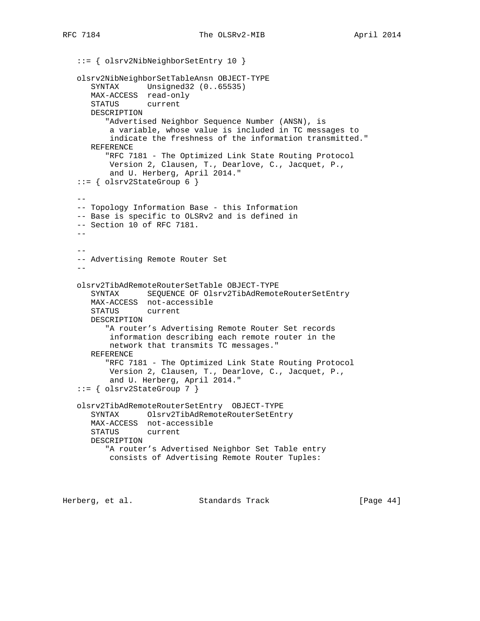```
 ::= { olsrv2NibNeighborSetEntry 10 }
   olsrv2NibNeighborSetTableAnsn OBJECT-TYPE
      SYNTAX Unsigned32 (0..65535)
      MAX-ACCESS read-only
      STATUS current
      DESCRIPTION
         "Advertised Neighbor Sequence Number (ANSN), is
          a variable, whose value is included in TC messages to
          indicate the freshness of the information transmitted."
      REFERENCE
          "RFC 7181 - The Optimized Link State Routing Protocol
          Version 2, Clausen, T., Dearlove, C., Jacquet, P.,
          and U. Herberg, April 2014."
   ::= { olsrv2StateGroup 6 }
 --
   -- Topology Information Base - this Information
   -- Base is specific to OLSRv2 and is defined in
   -- Section 10 of RFC 7181.
  - - --
   -- Advertising Remote Router Set
  - olsrv2TibAdRemoteRouterSetTable OBJECT-TYPE
      SYNTAX SEQUENCE OF Olsrv2TibAdRemoteRouterSetEntry
      MAX-ACCESS not-accessible
      STATUS current
      DESCRIPTION
         "A router's Advertising Remote Router Set records
          information describing each remote router in the
          network that transmits TC messages."
      REFERENCE
          "RFC 7181 - The Optimized Link State Routing Protocol
          Version 2, Clausen, T., Dearlove, C., Jacquet, P.,
          and U. Herberg, April 2014."
   ::= { olsrv2StateGroup 7 }
   olsrv2TibAdRemoteRouterSetEntry OBJECT-TYPE
      SYNTAX Olsrv2TibAdRemoteRouterSetEntry
      MAX-ACCESS not-accessible
      STATUS current
      DESCRIPTION
         "A router's Advertised Neighbor Set Table entry
          consists of Advertising Remote Router Tuples:
```
Herberg, et al. Standards Track [Page 44]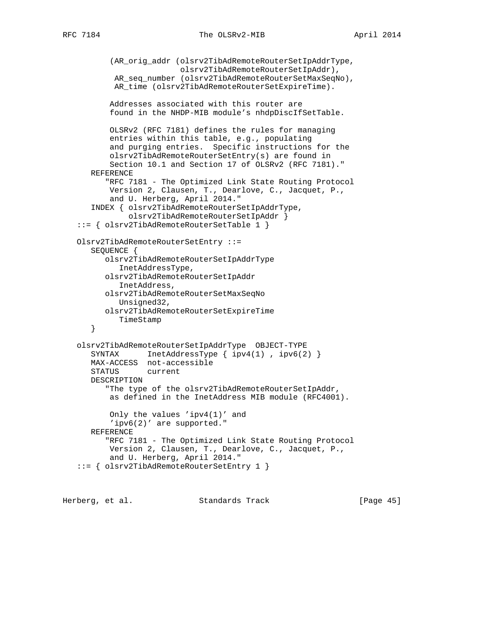```
 (AR_orig_addr (olsrv2TibAdRemoteRouterSetIpAddrType,
                       olsrv2TibAdRemoteRouterSetIpAddr),
         AR_seq_number (olsrv2TibAdRemoteRouterSetMaxSeqNo),
         AR_time (olsrv2TibAdRemoteRouterSetExpireTime).
        Addresses associated with this router are
        found in the NHDP-MIB module's nhdpDiscIfSetTable.
        OLSRv2 (RFC 7181) defines the rules for managing
        entries within this table, e.g., populating
        and purging entries. Specific instructions for the
        olsrv2TibAdRemoteRouterSetEntry(s) are found in
        Section 10.1 and Section 17 of OLSRv2 (RFC 7181)."
   REFERENCE
       "RFC 7181 - The Optimized Link State Routing Protocol
       Version 2, Clausen, T., Dearlove, C., Jacquet, P.,
       and U. Herberg, April 2014."
    INDEX { olsrv2TibAdRemoteRouterSetIpAddrType,
            olsrv2TibAdRemoteRouterSetIpAddr }
 ::= { olsrv2TibAdRemoteRouterSetTable 1 }
 Olsrv2TibAdRemoteRouterSetEntry ::=
    SEQUENCE {
       olsrv2TibAdRemoteRouterSetIpAddrType
          InetAddressType,
       olsrv2TibAdRemoteRouterSetIpAddr
          InetAddress,
       olsrv2TibAdRemoteRouterSetMaxSeqNo
          Unsigned32,
       olsrv2TibAdRemoteRouterSetExpireTime
          TimeStamp
    }
 olsrv2TibAdRemoteRouterSetIpAddrType OBJECT-TYPE
   SYNTAX InetAddressType { ipv4(1), ipv6(2) }
   MAX-ACCESS not-accessible
    STATUS current
   DESCRIPTION
      "The type of the olsrv2TibAdRemoteRouterSetIpAddr,
       as defined in the InetAddress MIB module (RFC4001).
        Only the values 'ipv4(1)' and
        'ipv6(2)' are supported."
   REFERENCE
       "RFC 7181 - The Optimized Link State Routing Protocol
       Version 2, Clausen, T., Dearlove, C., Jacquet, P.,
       and U. Herberg, April 2014."
 ::= { olsrv2TibAdRemoteRouterSetEntry 1 }
```
Herberg, et al. Standards Track [Page 45]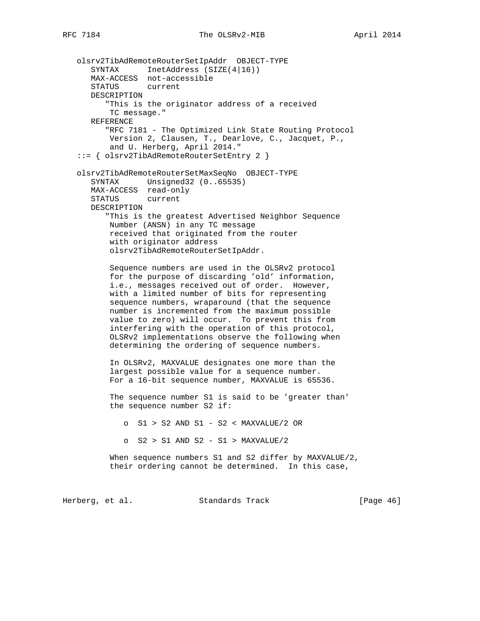```
 olsrv2TibAdRemoteRouterSetIpAddr OBJECT-TYPE
 SYNTAX InetAddress (SIZE(4|16))
 MAX-ACCESS not-accessible
       STATUS current
      DESCRIPTION
          "This is the originator address of a received
          TC message."
      REFERENCE
          "RFC 7181 - The Optimized Link State Routing Protocol
          Version 2, Clausen, T., Dearlove, C., Jacquet, P.,
          and U. Herberg, April 2014."
    ::= { olsrv2TibAdRemoteRouterSetEntry 2 }
    olsrv2TibAdRemoteRouterSetMaxSeqNo OBJECT-TYPE
       SYNTAX Unsigned32 (0..65535)
      MAX-ACCESS read-only
      STATUS current
      DESCRIPTION
          "This is the greatest Advertised Neighbor Sequence
          Number (ANSN) in any TC message
          received that originated from the router
          with originator address
          olsrv2TibAdRemoteRouterSetIpAddr.
          Sequence numbers are used in the OLSRv2 protocol
          for the purpose of discarding 'old' information,
          i.e., messages received out of order. However,
          with a limited number of bits for representing
          sequence numbers, wraparound (that the sequence
          number is incremented from the maximum possible
          value to zero) will occur. To prevent this from
          interfering with the operation of this protocol,
          OLSRv2 implementations observe the following when
          determining the ordering of sequence numbers.
          In OLSRv2, MAXVALUE designates one more than the
          largest possible value for a sequence number.
          For a 16-bit sequence number, MAXVALUE is 65536.
          The sequence number S1 is said to be 'greater than'
          the sequence number S2 if:
             o S1 > S2 AND S1 - S2 < MAXVALUE/2 OR
             o S2 > S1 AND S2 - S1 > MAXVALUE/2
          When sequence numbers S1 and S2 differ by MAXVALUE/2,
          their ordering cannot be determined. In this case,
Herberg, et al. Standards Track [Page 46]
```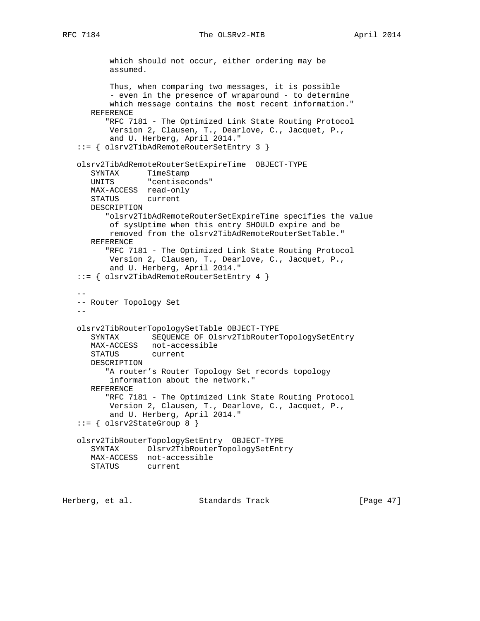```
 which should not occur, either ordering may be
          assumed.
          Thus, when comparing two messages, it is possible
         - even in the presence of wraparound - to determine
          which message contains the most recent information."
      REFERENCE
         "RFC 7181 - The Optimized Link State Routing Protocol
          Version 2, Clausen, T., Dearlove, C., Jacquet, P.,
          and U. Herberg, April 2014."
   ::= { olsrv2TibAdRemoteRouterSetEntry 3 }
   olsrv2TibAdRemoteRouterSetExpireTime OBJECT-TYPE
 SYNTAX TimeStamp
 UNITS "centiseconds"
      MAX-ACCESS read-only
      STATUS current
      DESCRIPTION
         "olsrv2TibAdRemoteRouterSetExpireTime specifies the value
          of sysUptime when this entry SHOULD expire and be
          removed from the olsrv2TibAdRemoteRouterSetTable."
      REFERENCE
         "RFC 7181 - The Optimized Link State Routing Protocol
          Version 2, Clausen, T., Dearlove, C., Jacquet, P.,
          and U. Herberg, April 2014."
   ::= { olsrv2TibAdRemoteRouterSetEntry 4 }
 --
   -- Router Topology Set
- olsrv2TibRouterTopologySetTable OBJECT-TYPE
      SYNTAX SEQUENCE OF Olsrv2TibRouterTopologySetEntry
      MAX-ACCESS not-accessible
      STATUS current
      DESCRIPTION
         "A router's Router Topology Set records topology
          information about the network."
      REFERENCE
         "RFC 7181 - The Optimized Link State Routing Protocol
          Version 2, Clausen, T., Dearlove, C., Jacquet, P.,
          and U. Herberg, April 2014."
   ::= { olsrv2StateGroup 8 }
   olsrv2TibRouterTopologySetEntry OBJECT-TYPE
      SYNTAX Olsrv2TibRouterTopologySetEntry
      MAX-ACCESS not-accessible
      STATUS current
```
Herberg, et al. Standards Track [Page 47]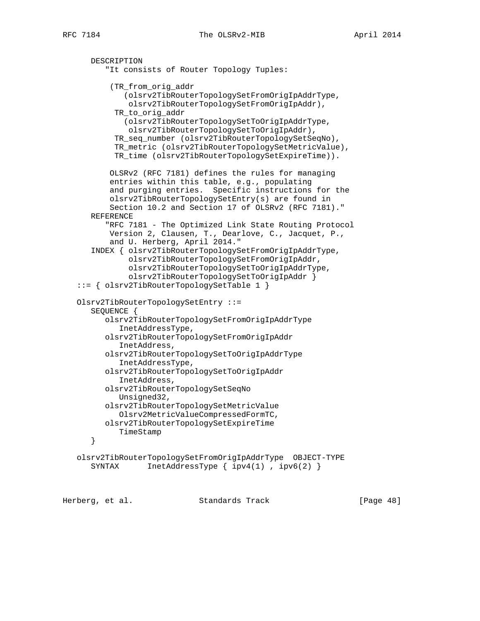```
 DESCRIPTION
       "It consists of Router Topology Tuples:
        (TR_from_orig_addr
           (olsrv2TibRouterTopologySetFromOrigIpAddrType,
            olsrv2TibRouterTopologySetFromOrigIpAddr),
         TR_to_orig_addr
           (olsrv2TibRouterTopologySetToOrigIpAddrType,
            olsrv2TibRouterTopologySetToOrigIpAddr),
         TR_seq_number (olsrv2TibRouterTopologySetSeqNo),
         TR_metric (olsrv2TibRouterTopologySetMetricValue),
         TR_time (olsrv2TibRouterTopologySetExpireTime)).
        OLSRv2 (RFC 7181) defines the rules for managing
        entries within this table, e.g., populating
        and purging entries. Specific instructions for the
        olsrv2TibRouterTopologySetEntry(s) are found in
        Section 10.2 and Section 17 of OLSRv2 (RFC 7181)."
   REFERENCE
       "RFC 7181 - The Optimized Link State Routing Protocol
        Version 2, Clausen, T., Dearlove, C., Jacquet, P.,
        and U. Herberg, April 2014."
    INDEX { olsrv2TibRouterTopologySetFromOrigIpAddrType,
            olsrv2TibRouterTopologySetFromOrigIpAddr,
            olsrv2TibRouterTopologySetToOrigIpAddrType,
            olsrv2TibRouterTopologySetToOrigIpAddr }
 ::= { olsrv2TibRouterTopologySetTable 1 }
 Olsrv2TibRouterTopologySetEntry ::=
   SEQUENCE {
       olsrv2TibRouterTopologySetFromOrigIpAddrType
          InetAddressType,
       olsrv2TibRouterTopologySetFromOrigIpAddr
          InetAddress,
       olsrv2TibRouterTopologySetToOrigIpAddrType
          InetAddressType,
       olsrv2TibRouterTopologySetToOrigIpAddr
          InetAddress,
       olsrv2TibRouterTopologySetSeqNo
          Unsigned32,
       olsrv2TibRouterTopologySetMetricValue
          Olsrv2MetricValueCompressedFormTC,
       olsrv2TibRouterTopologySetExpireTime
         TimeStamp
    }
 olsrv2TibRouterTopologySetFromOrigIpAddrType OBJECT-TYPE
  SYNTAX InetAddressType { ipv4(1), ipv6(2) }
```
Herberg, et al. Standards Track [Page 48]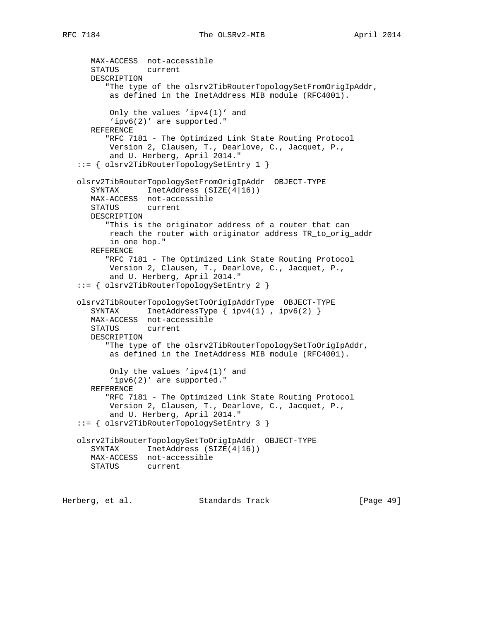```
 MAX-ACCESS not-accessible
    STATUS current
   DESCRIPTION
       "The type of the olsrv2TibRouterTopologySetFromOrigIpAddr,
       as defined in the InetAddress MIB module (RFC4001).
        Only the values 'ipv4(1)' and
        'ipv6(2)' are supported."
   REFERENCE
       "RFC 7181 - The Optimized Link State Routing Protocol
       Version 2, Clausen, T., Dearlove, C., Jacquet, P.,
        and U. Herberg, April 2014."
 ::= { olsrv2TibRouterTopologySetEntry 1 }
 olsrv2TibRouterTopologySetFromOrigIpAddr OBJECT-TYPE
   SYNTAX InetAddress (SIZE(4|16))
   MAX-ACCESS not-accessible
   STATUS current
   DESCRIPTION
       "This is the originator address of a router that can
       reach the router with originator address TR_to_orig_addr
       in one hop."
   REFERENCE
       "RFC 7181 - The Optimized Link State Routing Protocol
       Version 2, Clausen, T., Dearlove, C., Jacquet, P.,
        and U. Herberg, April 2014."
 ::= { olsrv2TibRouterTopologySetEntry 2 }
 olsrv2TibRouterTopologySetToOrigIpAddrType OBJECT-TYPE
  SYNTAX InetAddressType \{ \text{ipv4}(1), \text{ipv6}(2) \} MAX-ACCESS not-accessible
   STATUS current
   DESCRIPTION
       "The type of the olsrv2TibRouterTopologySetToOrigIpAddr,
       as defined in the InetAddress MIB module (RFC4001).
        Only the values 'ipv4(1)' and
       'ipv6(2)' are supported."
   REFERENCE
       "RFC 7181 - The Optimized Link State Routing Protocol
        Version 2, Clausen, T., Dearlove, C., Jacquet, P.,
        and U. Herberg, April 2014."
 ::= { olsrv2TibRouterTopologySetEntry 3 }
 olsrv2TibRouterTopologySetToOrigIpAddr OBJECT-TYPE
  SYNTAX InetAddress (SIZE(4|16))
   MAX-ACCESS not-accessible
   STATUS current
```
Herberg, et al. Standards Track [Page 49]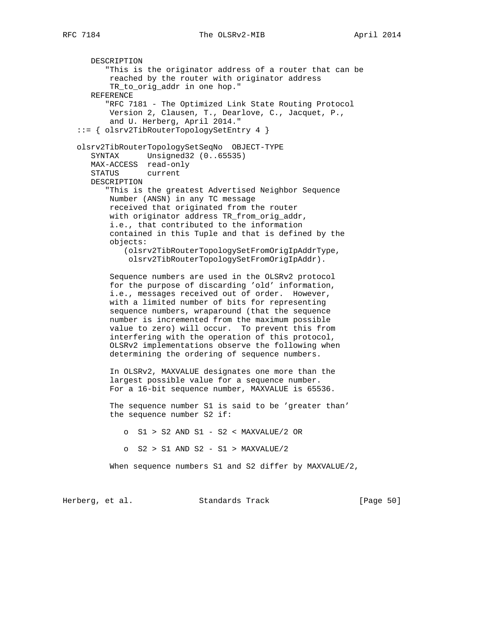DESCRIPTION

 "This is the originator address of a router that can be reached by the router with originator address TR to orig addr in one hop." REFERENCE "RFC 7181 - The Optimized Link State Routing Protocol Version 2, Clausen, T., Dearlove, C., Jacquet, P., and U. Herberg, April 2014." ::= { olsrv2TibRouterTopologySetEntry 4 } olsrv2TibRouterTopologySetSeqNo OBJECT-TYPE SYNTAX Unsigned32 (0..65535) MAX-ACCESS read-only STATUS current DESCRIPTION "This is the greatest Advertised Neighbor Sequence Number (ANSN) in any TC message received that originated from the router with originator address TR\_from\_orig\_addr, i.e., that contributed to the information contained in this Tuple and that is defined by the objects: (olsrv2TibRouterTopologySetFromOrigIpAddrType, olsrv2TibRouterTopologySetFromOrigIpAddr). Sequence numbers are used in the OLSRv2 protocol for the purpose of discarding 'old' information, i.e., messages received out of order. However, with a limited number of bits for representing sequence numbers, wraparound (that the sequence number is incremented from the maximum possible value to zero) will occur. To prevent this from interfering with the operation of this protocol, OLSRv2 implementations observe the following when determining the ordering of sequence numbers. In OLSRv2, MAXVALUE designates one more than the largest possible value for a sequence number. For a 16-bit sequence number, MAXVALUE is 65536. The sequence number S1 is said to be 'greater than' the sequence number S2 if: o S1 > S2 AND S1 - S2 < MAXVALUE/2 OR o S2 > S1 AND S2 - S1 > MAXVALUE/2 When sequence numbers S1 and S2 differ by MAXVALUE/2, Herberg, et al. Standards Track [Page 50]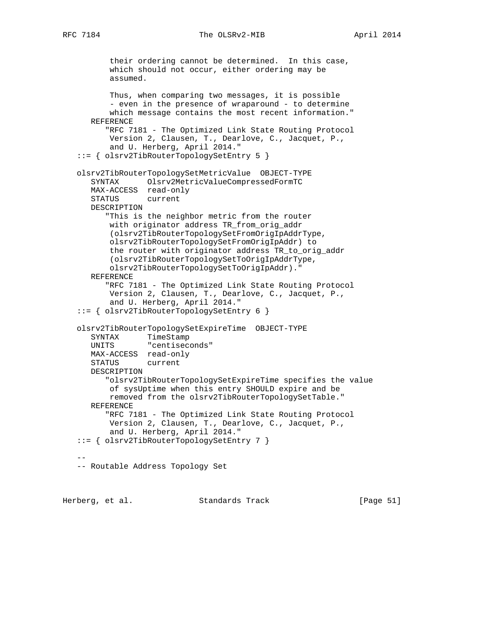```
 their ordering cannot be determined. In this case,
          which should not occur, either ordering may be
          assumed.
          Thus, when comparing two messages, it is possible
         - even in the presence of wraparound - to determine
          which message contains the most recent information."
      REFERENCE
          "RFC 7181 - The Optimized Link State Routing Protocol
          Version 2, Clausen, T., Dearlove, C., Jacquet, P.,
          and U. Herberg, April 2014."
   ::= { olsrv2TibRouterTopologySetEntry 5 }
   olsrv2TibRouterTopologySetMetricValue OBJECT-TYPE
      SYNTAX Olsrv2MetricValueCompressedFormTC
      MAX-ACCESS read-only
      STATUS current
      DESCRIPTION
         "This is the neighbor metric from the router
          with originator address TR_from_orig_addr
          (olsrv2TibRouterTopologySetFromOrigIpAddrType,
          olsrv2TibRouterTopologySetFromOrigIpAddr) to
          the router with originator address TR_to_orig_addr
          (olsrv2TibRouterTopologySetToOrigIpAddrType,
          olsrv2TibRouterTopologySetToOrigIpAddr)."
      REFERENCE
          "RFC 7181 - The Optimized Link State Routing Protocol
          Version 2, Clausen, T., Dearlove, C., Jacquet, P.,
          and U. Herberg, April 2014."
   ::= { olsrv2TibRouterTopologySetEntry 6 }
   olsrv2TibRouterTopologySetExpireTime OBJECT-TYPE
      SYNTAX TimeStamp
      UNITS "centiseconds"
      MAX-ACCESS read-only
      STATUS current
      DESCRIPTION
          "olsrv2TibRouterTopologySetExpireTime specifies the value
          of sysUptime when this entry SHOULD expire and be
          removed from the olsrv2TibRouterTopologySetTable."
      REFERENCE
          "RFC 7181 - The Optimized Link State Routing Protocol
          Version 2, Clausen, T., Dearlove, C., Jacquet, P.,
          and U. Herberg, April 2014."
   ::= { olsrv2TibRouterTopologySetEntry 7 }
 --
   -- Routable Address Topology Set
```
Herberg, et al. Standards Track [Page 51]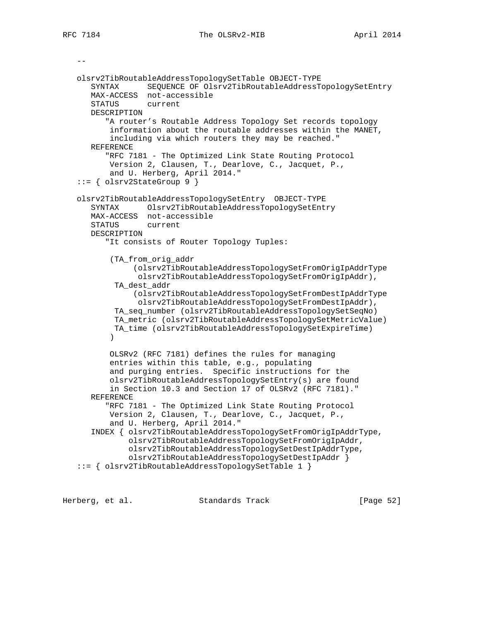$$  olsrv2TibRoutableAddressTopologySetTable OBJECT-TYPE SYNTAX SEQUENCE OF Olsrv2TibRoutableAddressTopologySetEntry MAX-ACCESS not-accessible STATUS current DESCRIPTION "A router's Routable Address Topology Set records topology information about the routable addresses within the MANET, including via which routers they may be reached." REFERENCE "RFC 7181 - The Optimized Link State Routing Protocol Version 2, Clausen, T., Dearlove, C., Jacquet, P., and U. Herberg, April 2014."  $::=$  { olsrv2StateGroup 9 } olsrv2TibRoutableAddressTopologySetEntry OBJECT-TYPE SYNTAX Olsrv2TibRoutableAddressTopologySetEntry MAX-ACCESS not-accessible STATUS current DESCRIPTION "It consists of Router Topology Tuples: (TA\_from\_orig\_addr (olsrv2TibRoutableAddressTopologySetFromOrigIpAddrType olsrv2TibRoutableAddressTopologySetFromOrigIpAddr), TA\_dest\_addr (olsrv2TibRoutableAddressTopologySetFromDestIpAddrType olsrv2TibRoutableAddressTopologySetFromDestIpAddr), TA\_seq\_number (olsrv2TibRoutableAddressTopologySetSeqNo) TA\_metric (olsrv2TibRoutableAddressTopologySetMetricValue) TA\_time (olsrv2TibRoutableAddressTopologySetExpireTime)  $)$  OLSRv2 (RFC 7181) defines the rules for managing entries within this table, e.g., populating and purging entries. Specific instructions for the olsrv2TibRoutableAddressTopologySetEntry(s) are found in Section 10.3 and Section 17 of OLSRv2 (RFC 7181)." REFERENCE "RFC 7181 - The Optimized Link State Routing Protocol Version 2, Clausen, T., Dearlove, C., Jacquet, P., and U. Herberg, April 2014." INDEX { olsrv2TibRoutableAddressTopologySetFromOrigIpAddrType, olsrv2TibRoutableAddressTopologySetFromOrigIpAddr, olsrv2TibRoutableAddressTopologySetDestIpAddrType, olsrv2TibRoutableAddressTopologySetDestIpAddr } ::= { olsrv2TibRoutableAddressTopologySetTable 1 }

Herberg, et al. Standards Track [Page 52]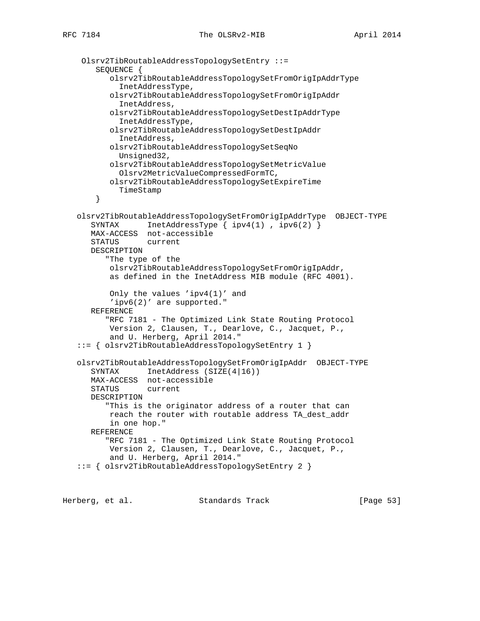```
 Olsrv2TibRoutableAddressTopologySetEntry ::=
     SEQUENCE {
        olsrv2TibRoutableAddressTopologySetFromOrigIpAddrType
          InetAddressType,
        olsrv2TibRoutableAddressTopologySetFromOrigIpAddr
          InetAddress,
        olsrv2TibRoutableAddressTopologySetDestIpAddrType
          InetAddressType,
        olsrv2TibRoutableAddressTopologySetDestIpAddr
          InetAddress,
        olsrv2TibRoutableAddressTopologySetSeqNo
         Unsigned32,
        olsrv2TibRoutableAddressTopologySetMetricValue
          Olsrv2MetricValueCompressedFormTC,
       olsrv2TibRoutableAddressTopologySetExpireTime
          TimeStamp
     }
 olsrv2TibRoutableAddressTopologySetFromOrigIpAddrType OBJECT-TYPE
   SYNTAX InetAddressType \{ \text{ipv4}(1), \text{ipv6}(2) \} MAX-ACCESS not-accessible
    STATUS current
   DESCRIPTION
       "The type of the
        olsrv2TibRoutableAddressTopologySetFromOrigIpAddr,
        as defined in the InetAddress MIB module (RFC 4001).
        Only the values 'ipv4(1)' and
        'ipv6(2)' are supported."
   REFERENCE
       "RFC 7181 - The Optimized Link State Routing Protocol
       Version 2, Clausen, T., Dearlove, C., Jacquet, P.,
        and U. Herberg, April 2014."
 ::= { olsrv2TibRoutableAddressTopologySetEntry 1 }
 olsrv2TibRoutableAddressTopologySetFromOrigIpAddr OBJECT-TYPE
   SYNTAX InetAddress (SIZE(4|16))
   MAX-ACCESS not-accessible
    STATUS current
    DESCRIPTION
       "This is the originator address of a router that can
        reach the router with routable address TA_dest_addr
        in one hop."
   REFERENCE
       "RFC 7181 - The Optimized Link State Routing Protocol
        Version 2, Clausen, T., Dearlove, C., Jacquet, P.,
        and U. Herberg, April 2014."
 ::= { olsrv2TibRoutableAddressTopologySetEntry 2 }
```
Herberg, et al. Standards Track [Page 53]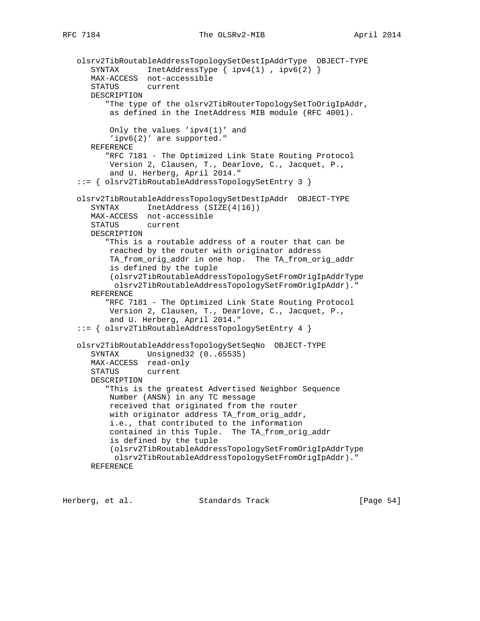```
 olsrv2TibRoutableAddressTopologySetDestIpAddrType OBJECT-TYPE
 SYNTAX InetAddressType { ipv4(1) , ipv6(2) }
 MAX-ACCESS not-accessible
      STATUS current
      DESCRIPTION
          "The type of the olsrv2TibRouterTopologySetToOrigIpAddr,
          as defined in the InetAddress MIB module (RFC 4001).
          Only the values 'ipv4(1)' and
          'ipv6(2)' are supported."
      REFERENCE
          "RFC 7181 - The Optimized Link State Routing Protocol
          Version 2, Clausen, T., Dearlove, C., Jacquet, P.,
          and U. Herberg, April 2014."
   ::= { olsrv2TibRoutableAddressTopologySetEntry 3 }
   olsrv2TibRoutableAddressTopologySetDestIpAddr OBJECT-TYPE
     SYNTAX InetAddress (SIZE(4|16))
      MAX-ACCESS not-accessible
      STATUS current
      DESCRIPTION
          "This is a routable address of a router that can be
          reached by the router with originator address
          TA_from_orig_addr in one hop. The TA_from_orig_addr
          is defined by the tuple
          (olsrv2TibRoutableAddressTopologySetFromOrigIpAddrType
           olsrv2TibRoutableAddressTopologySetFromOrigIpAddr)."
      REFERENCE
          "RFC 7181 - The Optimized Link State Routing Protocol
          Version 2, Clausen, T., Dearlove, C., Jacquet, P.,
          and U. Herberg, April 2014."
   ::= { olsrv2TibRoutableAddressTopologySetEntry 4 }
   olsrv2TibRoutableAddressTopologySetSeqNo OBJECT-TYPE
      SYNTAX Unsigned32 (0..65535)
      MAX-ACCESS read-only
      STATUS current
      DESCRIPTION
          "This is the greatest Advertised Neighbor Sequence
          Number (ANSN) in any TC message
          received that originated from the router
          with originator address TA_from_orig_addr,
          i.e., that contributed to the information
          contained in this Tuple. The TA_from_orig_addr
          is defined by the tuple
          (olsrv2TibRoutableAddressTopologySetFromOrigIpAddrType
           olsrv2TibRoutableAddressTopologySetFromOrigIpAddr)."
      REFERENCE
```
Herberg, et al. Standards Track [Page 54]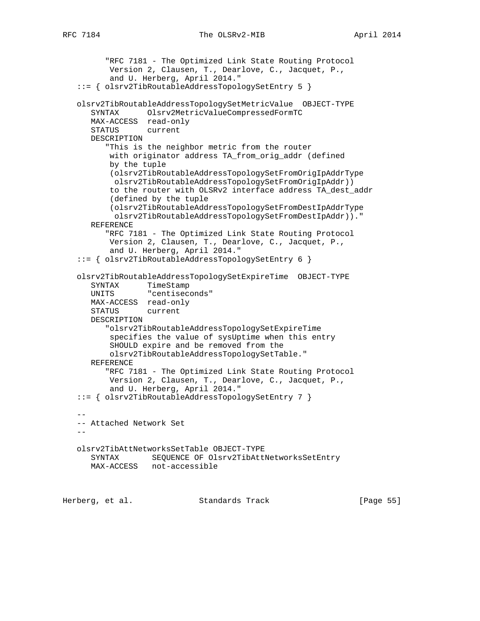RFC 7184 The OLSRv2-MIB April 2014

```
 "RFC 7181 - The Optimized Link State Routing Protocol
          Version 2, Clausen, T., Dearlove, C., Jacquet, P.,
          and U. Herberg, April 2014."
   ::= { olsrv2TibRoutableAddressTopologySetEntry 5 }
   olsrv2TibRoutableAddressTopologySetMetricValue OBJECT-TYPE
      SYNTAX Olsrv2MetricValueCompressedFormTC
      MAX-ACCESS read-only
      STATUS current
      DESCRIPTION
         "This is the neighbor metric from the router
          with originator address TA_from_orig_addr (defined
          by the tuple
          (olsrv2TibRoutableAddressTopologySetFromOrigIpAddrType
           olsrv2TibRoutableAddressTopologySetFromOrigIpAddr))
          to the router with OLSRv2 interface address TA_dest_addr
          (defined by the tuple
          (olsrv2TibRoutableAddressTopologySetFromDestIpAddrType
           olsrv2TibRoutableAddressTopologySetFromDestIpAddr))."
      REFERENCE
         "RFC 7181 - The Optimized Link State Routing Protocol
          Version 2, Clausen, T., Dearlove, C., Jacquet, P.,
          and U. Herberg, April 2014."
   ::= { olsrv2TibRoutableAddressTopologySetEntry 6 }
   olsrv2TibRoutableAddressTopologySetExpireTime OBJECT-TYPE
 SYNTAX TimeStamp
 UNITS "centiseconds"
      MAX-ACCESS read-only
      STATUS current
      DESCRIPTION
         "olsrv2TibRoutableAddressTopologySetExpireTime
          specifies the value of sysUptime when this entry
          SHOULD expire and be removed from the
          olsrv2TibRoutableAddressTopologySetTable."
      REFERENCE
         "RFC 7181 - The Optimized Link State Routing Protocol
          Version 2, Clausen, T., Dearlove, C., Jacquet, P.,
          and U. Herberg, April 2014."
   ::= { olsrv2TibRoutableAddressTopologySetEntry 7 }
- -- Attached Network Set
  - - olsrv2TibAttNetworksSetTable OBJECT-TYPE
     SYNTAX SEQUENCE OF Olsrv2TibAttNetworksSetEntry
      MAX-ACCESS not-accessible
```
Herberg, et al. Standards Track [Page 55]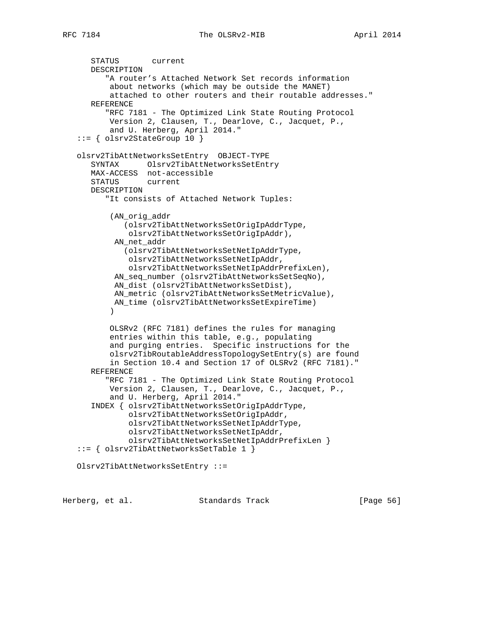```
 STATUS current
      DESCRIPTION
          "A router's Attached Network Set records information
          about networks (which may be outside the MANET)
          attached to other routers and their routable addresses."
      REFERENCE
          "RFC 7181 - The Optimized Link State Routing Protocol
          Version 2, Clausen, T., Dearlove, C., Jacquet, P.,
          and U. Herberg, April 2014."
   ::= { olsrv2StateGroup 10 }
   olsrv2TibAttNetworksSetEntry OBJECT-TYPE
      SYNTAX Olsrv2TibAttNetworksSetEntry
      MAX-ACCESS not-accessible
      STATUS current
      DESCRIPTION
          "It consists of Attached Network Tuples:
           (AN_orig_addr
             (olsrv2TibAttNetworksSetOrigIpAddrType,
              olsrv2TibAttNetworksSetOrigIpAddr),
          AN net addr
             (olsrv2TibAttNetworksSetNetIpAddrType,
              olsrv2TibAttNetworksSetNetIpAddr,
              olsrv2TibAttNetworksSetNetIpAddrPrefixLen),
           AN_seq_number (olsrv2TibAttNetworksSetSeqNo),
           AN_dist (olsrv2TibAttNetworksSetDist),
           AN_metric (olsrv2TibAttNetworksSetMetricValue),
           AN_time (olsrv2TibAttNetworksSetExpireTime)
) OLSRv2 (RFC 7181) defines the rules for managing
          entries within this table, e.g., populating
          and purging entries. Specific instructions for the
          olsrv2TibRoutableAddressTopologySetEntry(s) are found
          in Section 10.4 and Section 17 of OLSRv2 (RFC 7181)."
      REFERENCE
          "RFC 7181 - The Optimized Link State Routing Protocol
          Version 2, Clausen, T., Dearlove, C., Jacquet, P.,
          and U. Herberg, April 2014."
      INDEX { olsrv2TibAttNetworksSetOrigIpAddrType,
              olsrv2TibAttNetworksSetOrigIpAddr,
              olsrv2TibAttNetworksSetNetIpAddrType,
              olsrv2TibAttNetworksSetNetIpAddr,
              olsrv2TibAttNetworksSetNetIpAddrPrefixLen }
   ::= { olsrv2TibAttNetworksSetTable 1 }
   Olsrv2TibAttNetworksSetEntry ::=
```
Herberg, et al. Standards Track [Page 56]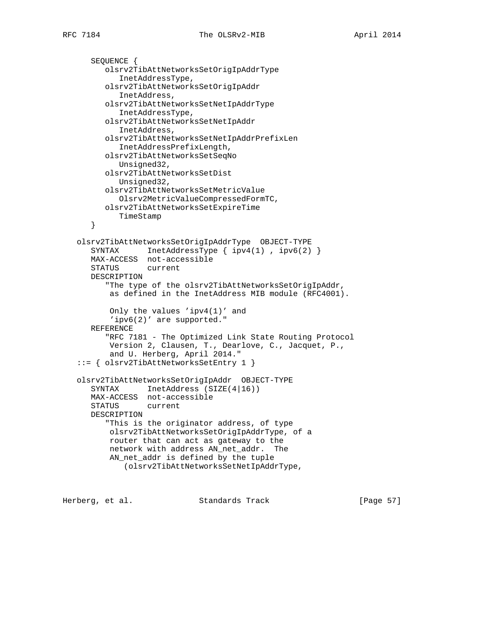```
 SEQUENCE {
       olsrv2TibAttNetworksSetOrigIpAddrType
          InetAddressType,
       olsrv2TibAttNetworksSetOrigIpAddr
          InetAddress,
       olsrv2TibAttNetworksSetNetIpAddrType
          InetAddressType,
       olsrv2TibAttNetworksSetNetIpAddr
         InetAddress,
       olsrv2TibAttNetworksSetNetIpAddrPrefixLen
         InetAddressPrefixLength,
       olsrv2TibAttNetworksSetSeqNo
         Unsigned32,
       olsrv2TibAttNetworksSetDist
         Unsigned32,
       olsrv2TibAttNetworksSetMetricValue
         Olsrv2MetricValueCompressedFormTC,
      olsrv2TibAttNetworksSetExpireTime
        TimeStamp
    }
 olsrv2TibAttNetworksSetOrigIpAddrType OBJECT-TYPE
  SYNTAX InetAddressType { ipv4(1), ipv6(2) }
   MAX-ACCESS not-accessible
   STATUS current
   DESCRIPTION
       "The type of the olsrv2TibAttNetworksSetOrigIpAddr,
        as defined in the InetAddress MIB module (RFC4001).
        Only the values 'ipv4(1)' and
        'ipv6(2)' are supported."
   REFERENCE
       "RFC 7181 - The Optimized Link State Routing Protocol
       Version 2, Clausen, T., Dearlove, C., Jacquet, P.,
       and U. Herberg, April 2014."
 ::= { olsrv2TibAttNetworksSetEntry 1 }
 olsrv2TibAttNetworksSetOrigIpAddr OBJECT-TYPE
  SYNTAX InetAddress (SIZE(4|16))
   MAX-ACCESS not-accessible
   STATUS current
   DESCRIPTION
       "This is the originator address, of type
       olsrv2TibAttNetworksSetOrigIpAddrType, of a
       router that can act as gateway to the
       network with address AN_net_addr. The
       AN_net_addr is defined by the tuple
           (olsrv2TibAttNetworksSetNetIpAddrType,
```
Herberg, et al. Standards Track [Page 57]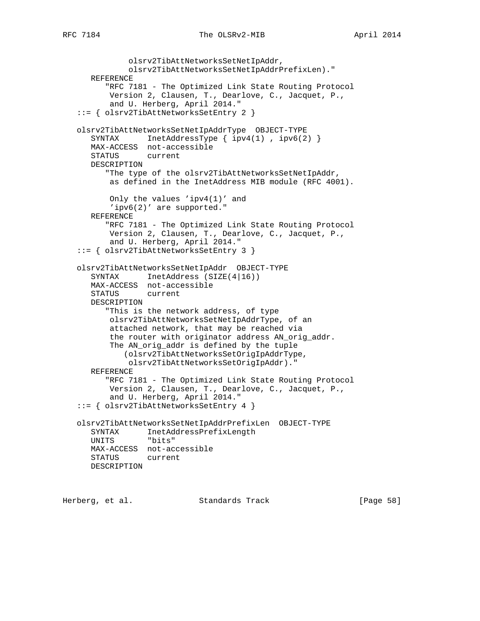```
 olsrv2TibAttNetworksSetNetIpAddr,
              olsrv2TibAttNetworksSetNetIpAddrPrefixLen)."
      REFERENCE
         "RFC 7181 - The Optimized Link State Routing Protocol
          Version 2, Clausen, T., Dearlove, C., Jacquet, P.,
          and U. Herberg, April 2014."
   ::= { olsrv2TibAttNetworksSetEntry 2 }
   olsrv2TibAttNetworksSetNetIpAddrType OBJECT-TYPE
     SYNTAX InetAddressType { ipv4(1), ipv6(2) }
      MAX-ACCESS not-accessible
      STATUS current
      DESCRIPTION
         "The type of the olsrv2TibAttNetworksSetNetIpAddr,
          as defined in the InetAddress MIB module (RFC 4001).
          Only the values 'ipv4(1)' and
          'ipv6(2)' are supported."
      REFERENCE
         "RFC 7181 - The Optimized Link State Routing Protocol
          Version 2, Clausen, T., Dearlove, C., Jacquet, P.,
          and U. Herberg, April 2014."
   ::= { olsrv2TibAttNetworksSetEntry 3 }
   olsrv2TibAttNetworksSetNetIpAddr OBJECT-TYPE
 SYNTAX InetAddress (SIZE(4|16))
 MAX-ACCESS not-accessible
      STATUS current
      DESCRIPTION
         "This is the network address, of type
          olsrv2TibAttNetworksSetNetIpAddrType, of an
          attached network, that may be reached via
          the router with originator address AN_orig_addr.
         The AN orig addr is defined by the tuple
             (olsrv2TibAttNetworksSetOrigIpAddrType,
              olsrv2TibAttNetworksSetOrigIpAddr)."
      REFERENCE
         "RFC 7181 - The Optimized Link State Routing Protocol
          Version 2, Clausen, T., Dearlove, C., Jacquet, P.,
          and U. Herberg, April 2014."
   ::= { olsrv2TibAttNetworksSetEntry 4 }
   olsrv2TibAttNetworksSetNetIpAddrPrefixLen OBJECT-TYPE
      SYNTAX InetAddressPrefixLength
      UNITS "bits"
      MAX-ACCESS not-accessible
      STATUS current
      DESCRIPTION
```
Herberg, et al. Standards Track [Page 58]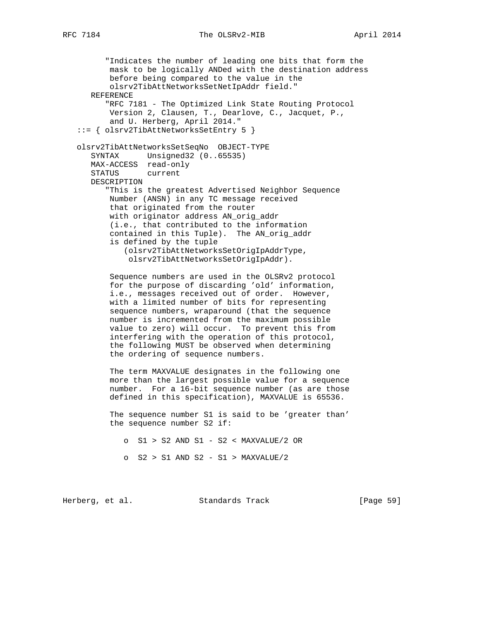"Indicates the number of leading one bits that form the mask to be logically ANDed with the destination address before being compared to the value in the olsrv2TibAttNetworksSetNetIpAddr field." REFERENCE "RFC 7181 - The Optimized Link State Routing Protocol Version 2, Clausen, T., Dearlove, C., Jacquet, P., and U. Herberg, April 2014." ::= { olsrv2TibAttNetworksSetEntry 5 } olsrv2TibAttNetworksSetSeqNo OBJECT-TYPE SYNTAX Unsigned32 (0..65535) MAX-ACCESS read-only STATUS current DESCRIPTION "This is the greatest Advertised Neighbor Sequence Number (ANSN) in any TC message received that originated from the router with originator address AN\_orig\_addr (i.e., that contributed to the information contained in this Tuple). The AN\_orig\_addr is defined by the tuple (olsrv2TibAttNetworksSetOrigIpAddrType, olsrv2TibAttNetworksSetOrigIpAddr). Sequence numbers are used in the OLSRv2 protocol for the purpose of discarding 'old' information, i.e., messages received out of order. However, with a limited number of bits for representing sequence numbers, wraparound (that the sequence number is incremented from the maximum possible value to zero) will occur. To prevent this from interfering with the operation of this protocol, the following MUST be observed when determining the ordering of sequence numbers. The term MAXVALUE designates in the following one more than the largest possible value for a sequence number. For a 16-bit sequence number (as are those defined in this specification), MAXVALUE is 65536. The sequence number S1 is said to be 'greater than' the sequence number S2 if: o S1 > S2 AND S1 - S2 < MAXVALUE/2 OR

o S2 > S1 AND S2 - S1 > MAXVALUE/2

Herberg, et al. Standards Track [Page 59]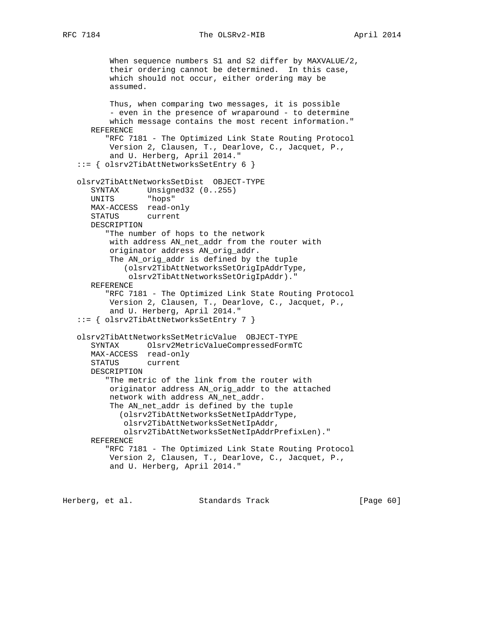RFC 7184 The OLSRv2-MIB April 2014

 When sequence numbers S1 and S2 differ by MAXVALUE/2, their ordering cannot be determined. In this case, which should not occur, either ordering may be assumed. Thus, when comparing two messages, it is possible - even in the presence of wraparound - to determine which message contains the most recent information." REFERENCE "RFC 7181 - The Optimized Link State Routing Protocol Version 2, Clausen, T., Dearlove, C., Jacquet, P., and U. Herberg, April 2014." ::= { olsrv2TibAttNetworksSetEntry 6 } olsrv2TibAttNetworksSetDist OBJECT-TYPE SYNTAX Unsigned32 (0..255) UNITS "hops" MAX-ACCESS read-only STATUS current DESCRIPTION "The number of hops to the network with address AN\_net\_addr from the router with originator address AN\_orig\_addr. The AN\_orig\_addr is defined by the tuple (olsrv2TibAttNetworksSetOrigIpAddrType, olsrv2TibAttNetworksSetOrigIpAddr)." REFERENCE "RFC 7181 - The Optimized Link State Routing Protocol Version 2, Clausen, T., Dearlove, C., Jacquet, P., and U. Herberg, April 2014." ::= { olsrv2TibAttNetworksSetEntry 7 } olsrv2TibAttNetworksSetMetricValue OBJECT-TYPE SYNTAX Olsrv2MetricValueCompressedFormTC MAX-ACCESS read-only STATUS current DESCRIPTION "The metric of the link from the router with originator address AN\_orig\_addr to the attached network with address AN\_net\_addr. The AN\_net\_addr is defined by the tuple (olsrv2TibAttNetworksSetNetIpAddrType, olsrv2TibAttNetworksSetNetIpAddr, olsrv2TibAttNetworksSetNetIpAddrPrefixLen)." REFERENCE "RFC 7181 - The Optimized Link State Routing Protocol Version 2, Clausen, T., Dearlove, C., Jacquet, P., and U. Herberg, April 2014."

Herberg, et al. Standards Track [Page 60]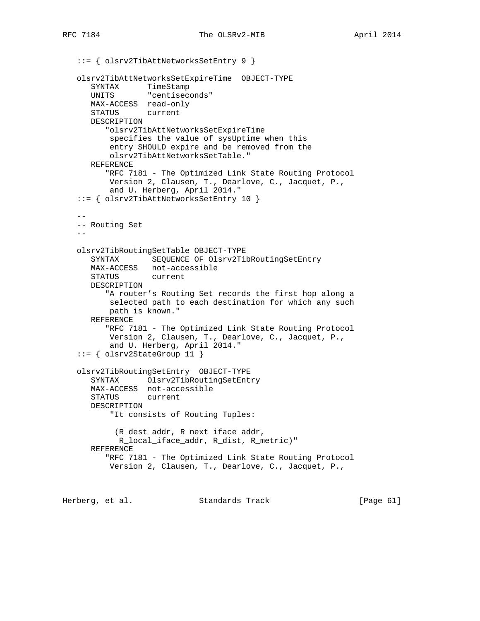```
 ::= { olsrv2TibAttNetworksSetEntry 9 }
    olsrv2TibAttNetworksSetExpireTime OBJECT-TYPE
     SYNTAX TimeStamp
      UNITS "centiseconds"
      MAX-ACCESS read-only
      STATUS current
      DESCRIPTION
          "olsrv2TibAttNetworksSetExpireTime
          specifies the value of sysUptime when this
          entry SHOULD expire and be removed from the
          olsrv2TibAttNetworksSetTable."
      REFERENCE
          "RFC 7181 - The Optimized Link State Routing Protocol
          Version 2, Clausen, T., Dearlove, C., Jacquet, P.,
          and U. Herberg, April 2014."
    ::= { olsrv2TibAttNetworksSetEntry 10 }
 --
    -- Routing Set
   - - olsrv2TibRoutingSetTable OBJECT-TYPE
      SYNTAX SEQUENCE OF Olsrv2TibRoutingSetEntry
      MAX-ACCESS not-accessible
      STATUS current
      DESCRIPTION
          "A router's Routing Set records the first hop along a
          selected path to each destination for which any such
          path is known."
      REFERENCE
          "RFC 7181 - The Optimized Link State Routing Protocol
          Version 2, Clausen, T., Dearlove, C., Jacquet, P.,
          and U. Herberg, April 2014."
    ::= { olsrv2StateGroup 11 }
    olsrv2TibRoutingSetEntry OBJECT-TYPE
       SYNTAX Olsrv2TibRoutingSetEntry
      MAX-ACCESS not-accessible
       STATUS current
      DESCRIPTION
          "It consists of Routing Tuples:
            (R_dest_addr, R_next_iface_addr,
            R_local_iface_addr, R_dist, R_metric)"
       REFERENCE
          "RFC 7181 - The Optimized Link State Routing Protocol
          Version 2, Clausen, T., Dearlove, C., Jacquet, P.,
Herberg, et al. Standards Track [Page 61]
```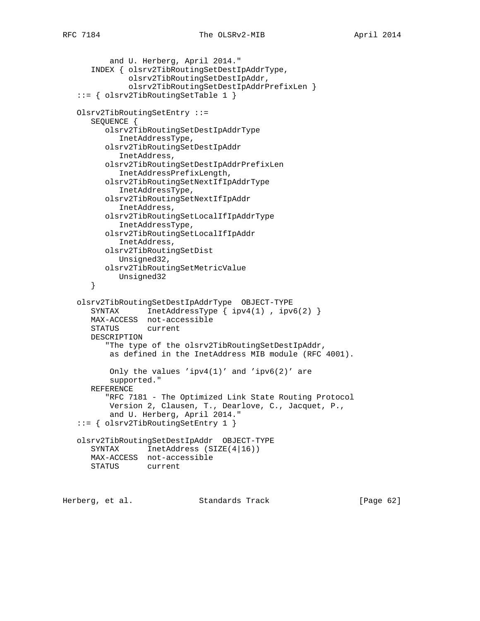```
 and U. Herberg, April 2014."
    INDEX { olsrv2TibRoutingSetDestIpAddrType,
            olsrv2TibRoutingSetDestIpAddr,
            olsrv2TibRoutingSetDestIpAddrPrefixLen }
 ::= { olsrv2TibRoutingSetTable 1 }
 Olsrv2TibRoutingSetEntry ::=
   SEQUENCE {
       olsrv2TibRoutingSetDestIpAddrType
         InetAddressType,
       olsrv2TibRoutingSetDestIpAddr
         InetAddress,
       olsrv2TibRoutingSetDestIpAddrPrefixLen
          InetAddressPrefixLength,
       olsrv2TibRoutingSetNextIfIpAddrType
          InetAddressType,
       olsrv2TibRoutingSetNextIfIpAddr
         InetAddress,
       olsrv2TibRoutingSetLocalIfIpAddrType
         InetAddressType,
       olsrv2TibRoutingSetLocalIfIpAddr
         InetAddress,
       olsrv2TibRoutingSetDist
         Unsigned32,
       olsrv2TibRoutingSetMetricValue
        Unsigned32
    }
 olsrv2TibRoutingSetDestIpAddrType OBJECT-TYPE
  SYNTAX InetAddressType { ipv4(1), ipv6(2) }
   MAX-ACCESS not-accessible
   STATUS current
   DESCRIPTION
       "The type of the olsrv2TibRoutingSetDestIpAddr,
       as defined in the InetAddress MIB module (RFC 4001).
       Only the values 'ipv4(1)' and 'ipv6(2)' are
       supported."
   REFERENCE
       "RFC 7181 - The Optimized Link State Routing Protocol
        Version 2, Clausen, T., Dearlove, C., Jacquet, P.,
        and U. Herberg, April 2014."
 ::= { olsrv2TibRoutingSetEntry 1 }
 olsrv2TibRoutingSetDestIpAddr OBJECT-TYPE
  SYNTAX InetAddress (SIZE(4|16))
   MAX-ACCESS not-accessible
   STATUS current
```
Herberg, et al. Standards Track [Page 62]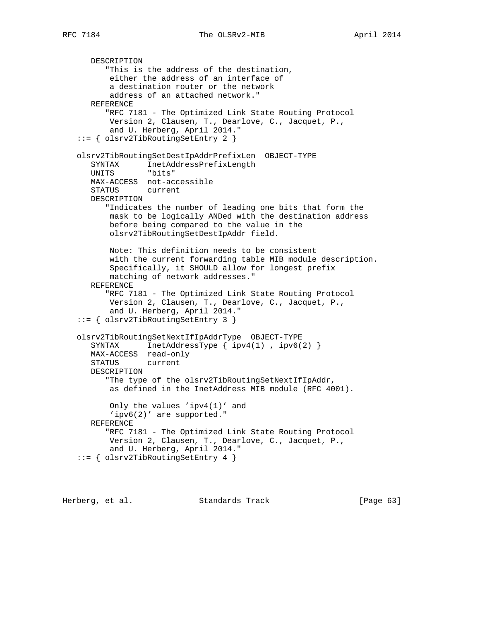```
 DESCRIPTION
       "This is the address of the destination,
        either the address of an interface of
        a destination router or the network
        address of an attached network."
   REFERENCE
       "RFC 7181 - The Optimized Link State Routing Protocol
       Version 2, Clausen, T., Dearlove, C., Jacquet, P.,
        and U. Herberg, April 2014."
 ::= { olsrv2TibRoutingSetEntry 2 }
 olsrv2TibRoutingSetDestIpAddrPrefixLen OBJECT-TYPE
    SYNTAX InetAddressPrefixLength
   UNITS "bits"
   MAX-ACCESS not-accessible
    STATUS current
   DESCRIPTION
       "Indicates the number of leading one bits that form the
       mask to be logically ANDed with the destination address
       before being compared to the value in the
        olsrv2TibRoutingSetDestIpAddr field.
       Note: This definition needs to be consistent
       with the current forwarding table MIB module description.
        Specifically, it SHOULD allow for longest prefix
       matching of network addresses."
   REFERENCE
       "RFC 7181 - The Optimized Link State Routing Protocol
        Version 2, Clausen, T., Dearlove, C., Jacquet, P.,
        and U. Herberg, April 2014."
 ::= { olsrv2TibRoutingSetEntry 3 }
 olsrv2TibRoutingSetNextIfIpAddrType OBJECT-TYPE
   SYNTAX InetAddressType \{ \text{ipv4}(1), \text{ipv6}(2) \} MAX-ACCESS read-only
   STATUS current
   DESCRIPTION
       "The type of the olsrv2TibRoutingSetNextIfIpAddr,
        as defined in the InetAddress MIB module (RFC 4001).
        Only the values 'ipv4(1)' and
        'ipv6(2)' are supported."
   REFERENCE
       "RFC 7181 - The Optimized Link State Routing Protocol
       Version 2, Clausen, T., Dearlove, C., Jacquet, P.,
        and U. Herberg, April 2014."
 ::= { olsrv2TibRoutingSetEntry 4 }
```
Herberg, et al. Standards Track [Page 63]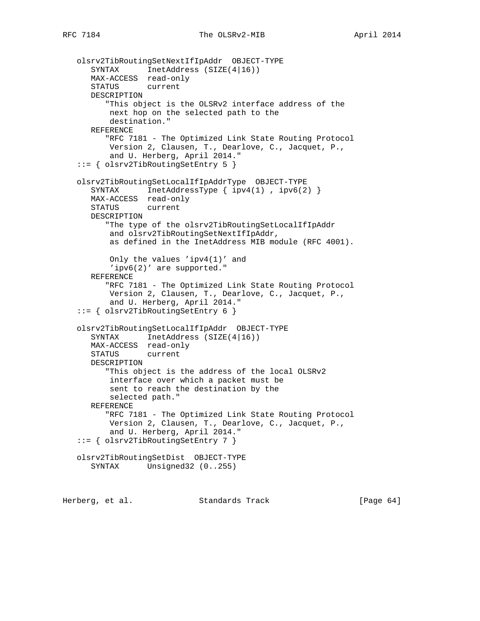```
 olsrv2TibRoutingSetNextIfIpAddr OBJECT-TYPE
 SYNTAX InetAddress (SIZE(4|16))
 MAX-ACCESS read-only
      STATUS current
      DESCRIPTION
          "This object is the OLSRv2 interface address of the
          next hop on the selected path to the
          destination."
      REFERENCE
         "RFC 7181 - The Optimized Link State Routing Protocol
          Version 2, Clausen, T., Dearlove, C., Jacquet, P.,
          and U. Herberg, April 2014."
    ::= { olsrv2TibRoutingSetEntry 5 }
    olsrv2TibRoutingSetLocalIfIpAddrType OBJECT-TYPE
      SYNTAX InetAddressType { ipv4(1), ipv6(2) }
      MAX-ACCESS read-only
      STATUS current
      DESCRIPTION
         "The type of the olsrv2TibRoutingSetLocalIfIpAddr
          and olsrv2TibRoutingSetNextIfIpAddr,
          as defined in the InetAddress MIB module (RFC 4001).
          Only the values 'ipv4(1)' and
          'ipv6(2)' are supported."
      REFERENCE
          "RFC 7181 - The Optimized Link State Routing Protocol
          Version 2, Clausen, T., Dearlove, C., Jacquet, P.,
          and U. Herberg, April 2014."
    ::= { olsrv2TibRoutingSetEntry 6 }
    olsrv2TibRoutingSetLocalIfIpAddr OBJECT-TYPE
       SYNTAX InetAddress (SIZE(4|16))
      MAX-ACCESS read-only
      STATUS current
      DESCRIPTION
         "This object is the address of the local OLSRv2
          interface over which a packet must be
          sent to reach the destination by the
          selected path."
      REFERENCE
          "RFC 7181 - The Optimized Link State Routing Protocol
          Version 2, Clausen, T., Dearlove, C., Jacquet, P.,
          and U. Herberg, April 2014."
    ::= { olsrv2TibRoutingSetEntry 7 }
    olsrv2TibRoutingSetDist OBJECT-TYPE
      SYNTAX Unsigned32 (0..255)
Herberg, et al. Standards Track [Page 64]
```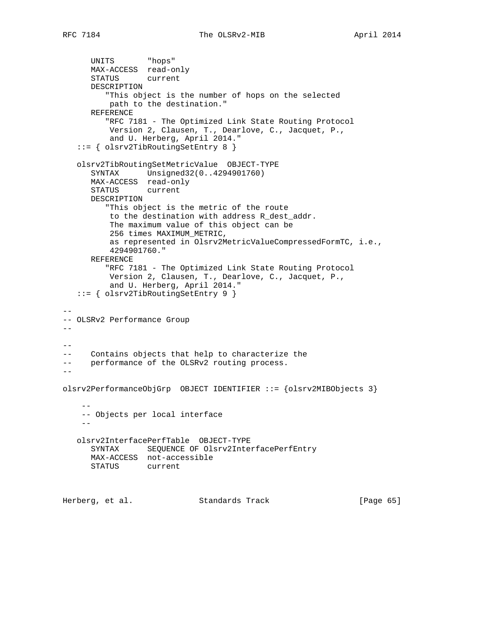```
 UNITS "hops"
      MAX-ACCESS read-only
      STATUS current
      DESCRIPTION
          "This object is the number of hops on the selected
          path to the destination."
      REFERENCE
         "RFC 7181 - The Optimized Link State Routing Protocol
          Version 2, Clausen, T., Dearlove, C., Jacquet, P.,
          and U. Herberg, April 2014."
    ::= { olsrv2TibRoutingSetEntry 8 }
    olsrv2TibRoutingSetMetricValue OBJECT-TYPE
       SYNTAX Unsigned32(0..4294901760)
      MAX-ACCESS read-only
       STATUS current
      DESCRIPTION
          "This object is the metric of the route
          to the destination with address R_dest_addr.
          The maximum value of this object can be
          256 times MAXIMUM_METRIC,
          as represented in Olsrv2MetricValueCompressedFormTC, i.e.,
          4294901760."
      REFERENCE
          "RFC 7181 - The Optimized Link State Routing Protocol
          Version 2, Clausen, T., Dearlove, C., Jacquet, P.,
          and U. Herberg, April 2014."
    ::= { olsrv2TibRoutingSetEntry 9 }
--
-- OLSRv2 Performance Group
----
-- Contains objects that help to characterize the
-- performance of the OLSRv2 routing process.
- -olsrv2PerformanceObjGrp OBJECT IDENTIFIER ::= {olsrv2MIBObjects 3}
 --
     -- Objects per local interface
 --
    olsrv2InterfacePerfTable OBJECT-TYPE
      SYNTAX SEQUENCE OF Olsrv2InterfacePerfEntry
      MAX-ACCESS not-accessible
      STATUS current
Herberg, et al. Standards Track [Page 65]
```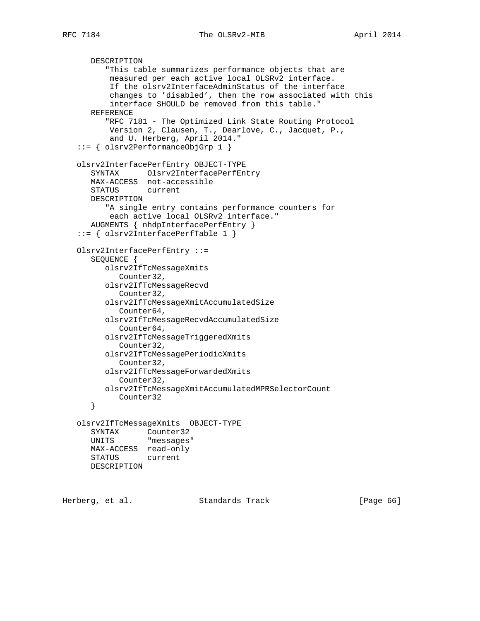```
 DESCRIPTION
       "This table summarizes performance objects that are
       measured per each active local OLSRv2 interface.
        If the olsrv2InterfaceAdminStatus of the interface
        changes to 'disabled', then the row associated with this
        interface SHOULD be removed from this table."
   REFERENCE
       "RFC 7181 - The Optimized Link State Routing Protocol
       Version 2, Clausen, T., Dearlove, C., Jacquet, P.,
        and U. Herberg, April 2014."
 ::= { olsrv2PerformanceObjGrp 1 }
 olsrv2InterfacePerfEntry OBJECT-TYPE
    SYNTAX Olsrv2InterfacePerfEntry
   MAX-ACCESS not-accessible
    STATUS current
   DESCRIPTION
       "A single entry contains performance counters for
       each active local OLSRv2 interface."
   AUGMENTS { nhdpInterfacePerfEntry }
 ::= { olsrv2InterfacePerfTable 1 }
 Olsrv2InterfacePerfEntry ::=
    SEQUENCE {
      olsrv2IfTcMessageXmits
          Counter32,
       olsrv2IfTcMessageRecvd
          Counter32,
       olsrv2IfTcMessageXmitAccumulatedSize
          Counter64,
       olsrv2IfTcMessageRecvdAccumulatedSize
          Counter64,
       olsrv2IfTcMessageTriggeredXmits
          Counter32,
       olsrv2IfTcMessagePeriodicXmits
          Counter32,
       olsrv2IfTcMessageForwardedXmits
          Counter32,
      olsrv2IfTcMessageXmitAccumulatedMPRSelectorCount
         Counter32
    }
 olsrv2IfTcMessageXmits OBJECT-TYPE
   SYNTAX Counter32
   UNITS "messages"
   MAX-ACCESS read-only
   STATUS current
   DESCRIPTION
```
Herberg, et al. Standards Track [Page 66]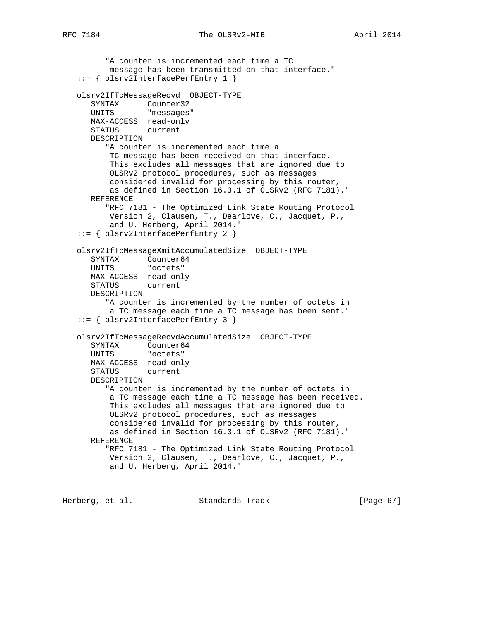```
 "A counter is incremented each time a TC
       message has been transmitted on that interface."
 ::= { olsrv2InterfacePerfEntry 1 }
 olsrv2IfTcMessageRecvd OBJECT-TYPE
   SYNTAX Counter32
   UNITS "messages"
   MAX-ACCESS read-only
   STATUS current
   DESCRIPTION
       "A counter is incremented each time a
       TC message has been received on that interface.
       This excludes all messages that are ignored due to
       OLSRv2 protocol procedures, such as messages
       considered invalid for processing by this router,
       as defined in Section 16.3.1 of OLSRv2 (RFC 7181)."
   REFERENCE
       "RFC 7181 - The Optimized Link State Routing Protocol
       Version 2, Clausen, T., Dearlove, C., Jacquet, P.,
       and U. Herberg, April 2014."
 ::= { olsrv2InterfacePerfEntry 2 }
 olsrv2IfTcMessageXmitAccumulatedSize OBJECT-TYPE
   SYNTAX Counter64
   UNITS "octets"
   MAX-ACCESS read-only
   STATUS current
   DESCRIPTION
       "A counter is incremented by the number of octets in
       a TC message each time a TC message has been sent."
 ::= { olsrv2InterfacePerfEntry 3 }
 olsrv2IfTcMessageRecvdAccumulatedSize OBJECT-TYPE
   SYNTAX Counter64
   UNITS "octets"
   MAX-ACCESS read-only
   STATUS current
   DESCRIPTION
       "A counter is incremented by the number of octets in
       a TC message each time a TC message has been received.
       This excludes all messages that are ignored due to
       OLSRv2 protocol procedures, such as messages
       considered invalid for processing by this router,
       as defined in Section 16.3.1 of OLSRv2 (RFC 7181)."
    REFERENCE
       "RFC 7181 - The Optimized Link State Routing Protocol
       Version 2, Clausen, T., Dearlove, C., Jacquet, P.,
       and U. Herberg, April 2014."
```
Herberg, et al. Standards Track [Page 67]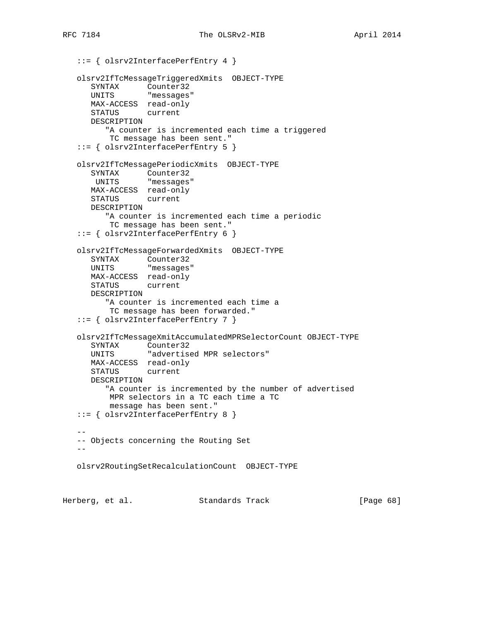```
 ::= { olsrv2InterfacePerfEntry 4 }
   olsrv2IfTcMessageTriggeredXmits OBJECT-TYPE
 SYNTAX Counter32
 UNITS "messages"
      MAX-ACCESS read-only
      STATUS current
      DESCRIPTION
         "A counter is incremented each time a triggered
         TC message has been sent."
   ::= { olsrv2InterfacePerfEntry 5 }
   olsrv2IfTcMessagePeriodicXmits OBJECT-TYPE
      SYNTAX Counter32
       UNITS "messages"
      MAX-ACCESS read-only
      STATUS current
      DESCRIPTION
         "A counter is incremented each time a periodic
          TC message has been sent."
   ::= { olsrv2InterfacePerfEntry 6 }
   olsrv2IfTcMessageForwardedXmits OBJECT-TYPE
 SYNTAX Counter32
 UNITS "messages"
      MAX-ACCESS read-only
      STATUS current
      DESCRIPTION
         "A counter is incremented each time a
          TC message has been forwarded."
   ::= { olsrv2InterfacePerfEntry 7 }
   olsrv2IfTcMessageXmitAccumulatedMPRSelectorCount OBJECT-TYPE
      SYNTAX Counter32
      UNITS "advertised MPR selectors"
      MAX-ACCESS read-only
      STATUS current
      DESCRIPTION
         "A counter is incremented by the number of advertised
          MPR selectors in a TC each time a TC
          message has been sent."
    ::= { olsrv2InterfacePerfEntry 8 }
 --
   -- Objects concerning the Routing Set
  - olsrv2RoutingSetRecalculationCount OBJECT-TYPE
Herberg, et al. Standards Track [Page 68]
```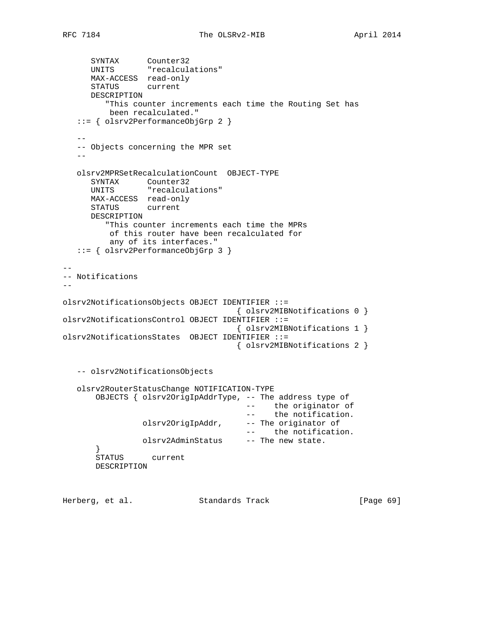```
 SYNTAX Counter32
 UNITS "recalculations"
      MAX-ACCESS read-only
      STATUS current
      DESCRIPTION
         "This counter increments each time the Routing Set has
         been recalculated."
   ::= { olsrv2PerformanceObjGrp 2 }
 --
   -- Objects concerning the MPR set
- olsrv2MPRSetRecalculationCount OBJECT-TYPE
 SYNTAX Counter32
 UNITS "recalculations"
      MAX-ACCESS read-only
      STATUS current
      DESCRIPTION
        "This counter increments each time the MPRs
         of this router have been recalculated for
         any of its interfaces."
   ::= { olsrv2PerformanceObjGrp 3 }
--
-- Notifications
-olsrv2NotificationsObjects OBJECT IDENTIFIER ::=
                                 { olsrv2MIBNotifications 0 }
olsrv2NotificationsControl OBJECT IDENTIFIER ::=
                                 { olsrv2MIBNotifications 1 }
olsrv2NotificationsStates OBJECT IDENTIFIER ::=
                                 { olsrv2MIBNotifications 2 }
   -- olsrv2NotificationsObjects
   olsrv2RouterStatusChange NOTIFICATION-TYPE
       OBJECTS { olsrv2OrigIpAddrType, -- The address type of
 -- the originator of
- the notification.
                olsrv2OrigIpAddr, -- The originator of
                                   -- the notification.
               olsrv2AdminStatus -- The new state.
 }
       STATUS current
       DESCRIPTION
```
Herberg, et al. Standards Track [Page 69]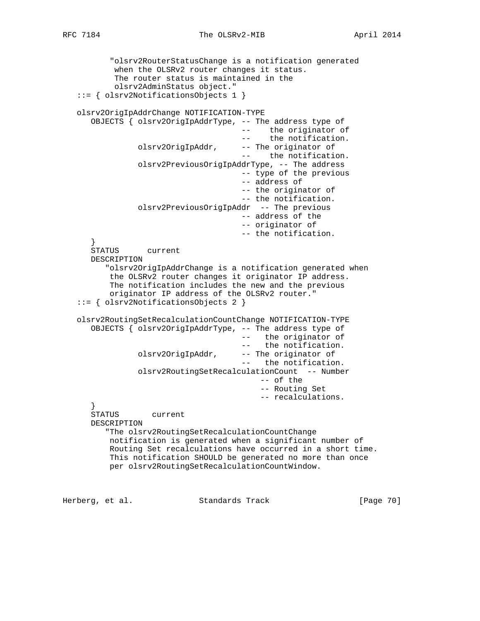"olsrv2RouterStatusChange is a notification generated

```
RFC 7184 The OLSRv2-MIB April 2014
```
 when the OLSRv2 router changes it status. The router status is maintained in the olsrv2AdminStatus object." ::= { olsrv2NotificationsObjects 1 } olsrv2OrigIpAddrChange NOTIFICATION-TYPE OBJECTS { olsrv2OrigIpAddrType, -- The address type of -- the originator of -- the notification. olsrv2OrigIpAddr, -- The originator of -- the notification. olsrv2PreviousOrigIpAddrType, -- The address -- type of the previous -- address of -- the originator of -- the notification. olsrv2PreviousOrigIpAddr -- The previous -- address of the -- originator of -- the notification. } STATUS current DESCRIPTION "olsrv2OrigIpAddrChange is a notification generated when the OLSRv2 router changes it originator IP address. The notification includes the new and the previous originator IP address of the OLSRv2 router." ::= { olsrv2NotificationsObjects 2 } olsrv2RoutingSetRecalculationCountChange NOTIFICATION-TYPE OBJECTS { olsrv2OrigIpAddrType, -- The address type of -- the originator of -- the notification.<br>olsrv20rigIpAddr, -- The originator of -- The originator of -- the notification. olsrv2RoutingSetRecalculationCount -- Number -- of the -- Routing Set -- recalculations. } STATUS current DESCRIPTION "The olsrv2RoutingSetRecalculationCountChange notification is generated when a significant number of Routing Set recalculations have occurred in a short time. This notification SHOULD be generated no more than once per olsrv2RoutingSetRecalculationCountWindow.

Herberg, et al. Standards Track [Page 70]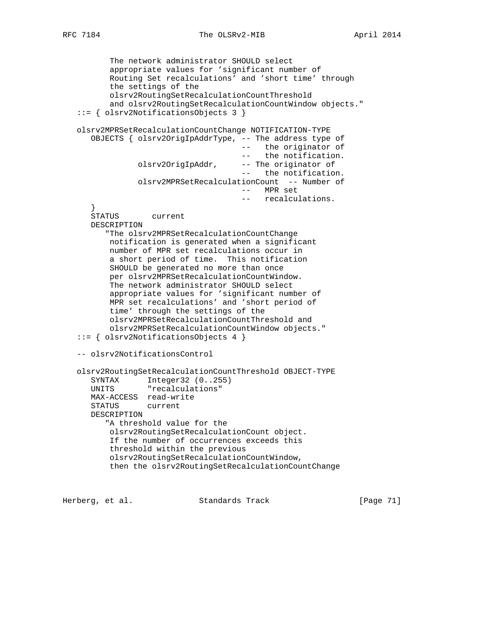The network administrator SHOULD select appropriate values for 'significant number of Routing Set recalculations' and 'short time' through the settings of the olsrv2RoutingSetRecalculationCountThreshold and olsrv2RoutingSetRecalculationCountWindow objects." ::= { olsrv2NotificationsObjects 3 } olsrv2MPRSetRecalculationCountChange NOTIFICATION-TYPE OBJECTS { olsrv2OrigIpAddrType, -- The address type of -- the originator of -- the notification. olsrv2OrigIpAddr, -- The originator of the notification. olsrv2MPRSetRecalculationCount -- Number of -- MPR set -- recalculations. } STATUS current DESCRIPTION "The olsrv2MPRSetRecalculationCountChange notification is generated when a significant number of MPR set recalculations occur in a short period of time. This notification SHOULD be generated no more than once per olsrv2MPRSetRecalculationCountWindow. The network administrator SHOULD select appropriate values for 'significant number of MPR set recalculations' and 'short period of time' through the settings of the olsrv2MPRSetRecalculationCountThreshold and olsrv2MPRSetRecalculationCountWindow objects." ::= { olsrv2NotificationsObjects 4 } -- olsrv2NotificationsControl olsrv2RoutingSetRecalculationCountThreshold OBJECT-TYPE SYNTAX Integer32 (0..255) UNITS "recalculations" MAX-ACCESS read-write STATUS current DESCRIPTION "A threshold value for the olsrv2RoutingSetRecalculationCount object. If the number of occurrences exceeds this threshold within the previous olsrv2RoutingSetRecalculationCountWindow, then the olsrv2RoutingSetRecalculationCountChange

Herberg, et al. Standards Track [Page 71]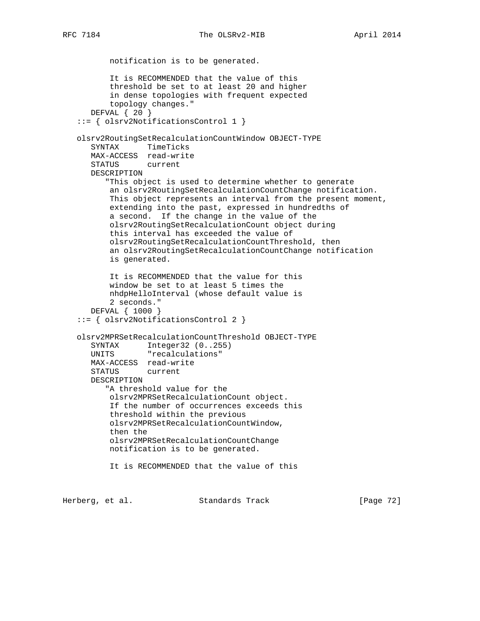notification is to be generated. It is RECOMMENDED that the value of this threshold be set to at least 20 and higher in dense topologies with frequent expected topology changes." DEFVAL { 20 } ::= { olsrv2NotificationsControl 1 } olsrv2RoutingSetRecalculationCountWindow OBJECT-TYPE SYNTAX TimeTicks MAX-ACCESS read-write STATUS current DESCRIPTION "This object is used to determine whether to generate an olsrv2RoutingSetRecalculationCountChange notification. This object represents an interval from the present moment, extending into the past, expressed in hundredths of a second. If the change in the value of the olsrv2RoutingSetRecalculationCount object during this interval has exceeded the value of olsrv2RoutingSetRecalculationCountThreshold, then an olsrv2RoutingSetRecalculationCountChange notification is generated. It is RECOMMENDED that the value for this window be set to at least 5 times the nhdpHelloInterval (whose default value is 2 seconds." DEFVAL { 1000 } ::= { olsrv2NotificationsControl 2 } olsrv2MPRSetRecalculationCountThreshold OBJECT-TYPE SYNTAX Integer32 (0..255) UNITS "recalculations" MAX-ACCESS read-write STATUS current DESCRIPTION "A threshold value for the olsrv2MPRSetRecalculationCount object. If the number of occurrences exceeds this threshold within the previous olsrv2MPRSetRecalculationCountWindow, then the olsrv2MPRSetRecalculationCountChange notification is to be generated. It is RECOMMENDED that the value of this

Herberg, et al. Standards Track [Page 72]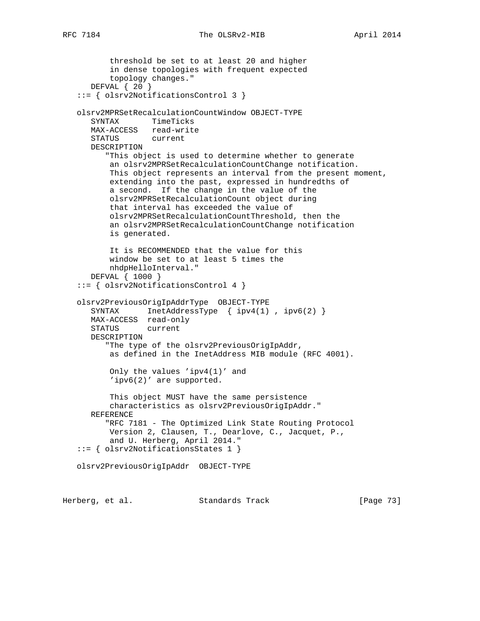```
RFC 7184 The OLSRv2-MIB April 2014
```

```
 threshold be set to at least 20 and higher
        in dense topologies with frequent expected
        topology changes."
    DEFVAL { 20 }
 ::= { olsrv2NotificationsControl 3 }
 olsrv2MPRSetRecalculationCountWindow OBJECT-TYPE
    SYNTAX TimeTicks
   MAX-ACCESS read-write
    STATUS current
    DESCRIPTION
       "This object is used to determine whether to generate
        an olsrv2MPRSetRecalculationCountChange notification.
        This object represents an interval from the present moment,
        extending into the past, expressed in hundredths of
        a second. If the change in the value of the
        olsrv2MPRSetRecalculationCount object during
        that interval has exceeded the value of
        olsrv2MPRSetRecalculationCountThreshold, then the
        an olsrv2MPRSetRecalculationCountChange notification
       is generated.
        It is RECOMMENDED that the value for this
       window be set to at least 5 times the
       nhdpHelloInterval."
    DEFVAL { 1000 }
 ::= { olsrv2NotificationsControl 4 }
 olsrv2PreviousOrigIpAddrType OBJECT-TYPE
   SYNTAX InetAddressType { ipv4(1), ipv6(2) }
   MAX-ACCESS read-only
   STATUS current
    DESCRIPTION
       "The type of the olsrv2PreviousOrigIpAddr,
       as defined in the InetAddress MIB module (RFC 4001).
        Only the values 'ipv4(1)' and
        'ipv6(2)' are supported.
        This object MUST have the same persistence
        characteristics as olsrv2PreviousOrigIpAddr."
    REFERENCE
       "RFC 7181 - The Optimized Link State Routing Protocol
        Version 2, Clausen, T., Dearlove, C., Jacquet, P.,
        and U. Herberg, April 2014."
 ::= { olsrv2NotificationsStates 1 }
 olsrv2PreviousOrigIpAddr OBJECT-TYPE
```
Herberg, et al. Standards Track [Page 73]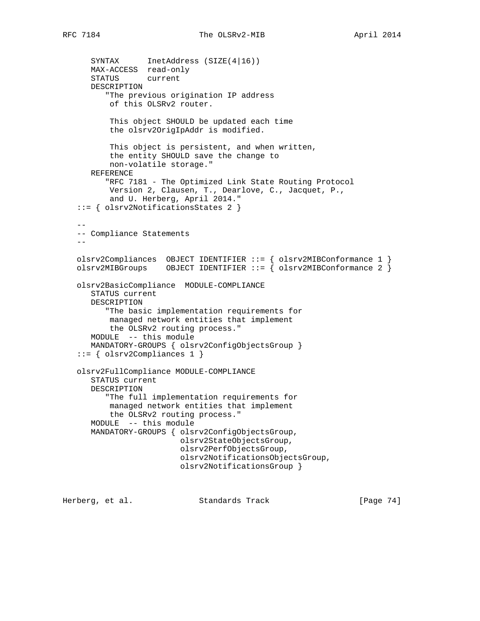```
SYNTAX InetAddress (SIZE(4|16))
      MAX-ACCESS read-only
      STATUS current
      DESCRIPTION
          "The previous origination IP address
          of this OLSRv2 router.
          This object SHOULD be updated each time
          the olsrv2OrigIpAddr is modified.
          This object is persistent, and when written,
          the entity SHOULD save the change to
          non-volatile storage."
      REFERENCE
          "RFC 7181 - The Optimized Link State Routing Protocol
          Version 2, Clausen, T., Dearlove, C., Jacquet, P.,
          and U. Herberg, April 2014."
   ::= { olsrv2NotificationsStates 2 }
 --
   -- Compliance Statements
 --
   olsrv2Compliances OBJECT IDENTIFIER ::= { olsrv2MIBConformance 1 }
  olsrv2MIBGroups OBJECT IDENTIFIER ::= { olsrv2MIBConformance 2 }
   olsrv2BasicCompliance MODULE-COMPLIANCE
      STATUS current
      DESCRIPTION
          "The basic implementation requirements for
          managed network entities that implement
          the OLSRv2 routing process."
      MODULE -- this module
      MANDATORY-GROUPS { olsrv2ConfigObjectsGroup }
   ::= { olsrv2Compliances 1 }
   olsrv2FullCompliance MODULE-COMPLIANCE
      STATUS current
      DESCRIPTION
          "The full implementation requirements for
          managed network entities that implement
          the OLSRv2 routing process."
      MODULE -- this module
      MANDATORY-GROUPS { olsrv2ConfigObjectsGroup,
                          olsrv2StateObjectsGroup,
                          olsrv2PerfObjectsGroup,
                          olsrv2NotificationsObjectsGroup,
                          olsrv2NotificationsGroup }
```
Herberg, et al. Standards Track [Page 74]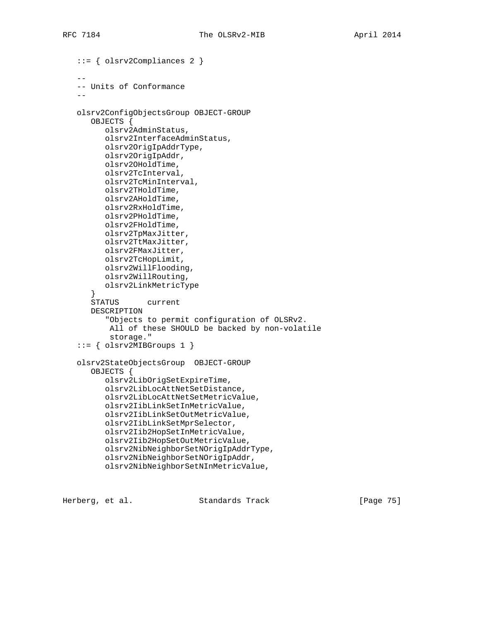```
 ::= { olsrv2Compliances 2 }
- -- Units of Conformance
 --
   olsrv2ConfigObjectsGroup OBJECT-GROUP
      OBJECTS {
          olsrv2AdminStatus,
          olsrv2InterfaceAdminStatus,
          olsrv2OrigIpAddrType,
          olsrv2OrigIpAddr,
          olsrv2OHoldTime,
          olsrv2TcInterval,
          olsrv2TcMinInterval,
          olsrv2THoldTime,
          olsrv2AHoldTime,
          olsrv2RxHoldTime,
          olsrv2PHoldTime,
          olsrv2FHoldTime,
          olsrv2TpMaxJitter,
          olsrv2TtMaxJitter,
          olsrv2FMaxJitter,
         olsrv2TcHopLimit,
         olsrv2WillFlooding,
          olsrv2WillRouting,
          olsrv2LinkMetricType
       }
      STATUS current
      DESCRIPTION
          "Objects to permit configuration of OLSRv2.
          All of these SHOULD be backed by non-volatile
           storage."
    ::= { olsrv2MIBGroups 1 }
   olsrv2StateObjectsGroup OBJECT-GROUP
       OBJECTS {
          olsrv2LibOrigSetExpireTime,
          olsrv2LibLocAttNetSetDistance,
          olsrv2LibLocAttNetSetMetricValue,
          olsrv2IibLinkSetInMetricValue,
          olsrv2IibLinkSetOutMetricValue,
          olsrv2IibLinkSetMprSelector,
          olsrv2Iib2HopSetInMetricValue,
          olsrv2Iib2HopSetOutMetricValue,
          olsrv2NibNeighborSetNOrigIpAddrType,
          olsrv2NibNeighborSetNOrigIpAddr,
          olsrv2NibNeighborSetNInMetricValue,
```
Herberg, et al. Standards Track [Page 75]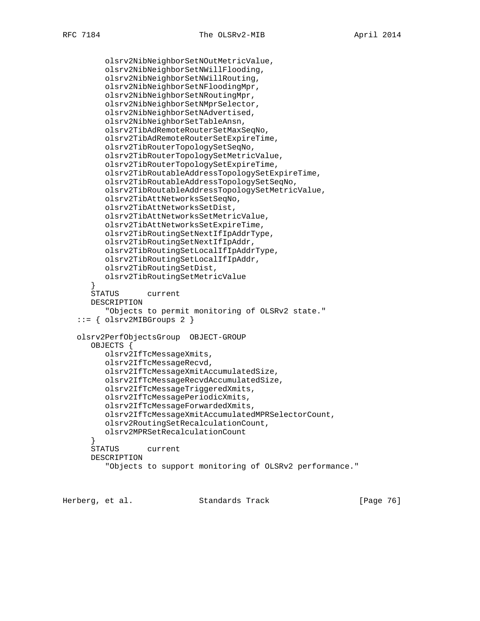```
 olsrv2NibNeighborSetNOutMetricValue,
       olsrv2NibNeighborSetNWillFlooding,
       olsrv2NibNeighborSetNWillRouting,
       olsrv2NibNeighborSetNFloodingMpr,
       olsrv2NibNeighborSetNRoutingMpr,
       olsrv2NibNeighborSetNMprSelector,
       olsrv2NibNeighborSetNAdvertised,
       olsrv2NibNeighborSetTableAnsn,
       olsrv2TibAdRemoteRouterSetMaxSeqNo,
       olsrv2TibAdRemoteRouterSetExpireTime,
       olsrv2TibRouterTopologySetSeqNo,
       olsrv2TibRouterTopologySetMetricValue,
       olsrv2TibRouterTopologySetExpireTime,
       olsrv2TibRoutableAddressTopologySetExpireTime,
       olsrv2TibRoutableAddressTopologySetSeqNo,
       olsrv2TibRoutableAddressTopologySetMetricValue,
       olsrv2TibAttNetworksSetSeqNo,
       olsrv2TibAttNetworksSetDist,
       olsrv2TibAttNetworksSetMetricValue,
       olsrv2TibAttNetworksSetExpireTime,
       olsrv2TibRoutingSetNextIfIpAddrType,
       olsrv2TibRoutingSetNextIfIpAddr,
       olsrv2TibRoutingSetLocalIfIpAddrType,
       olsrv2TibRoutingSetLocalIfIpAddr,
       olsrv2TibRoutingSetDist,
       olsrv2TibRoutingSetMetricValue
    }
    STATUS current
    DESCRIPTION
       "Objects to permit monitoring of OLSRv2 state."
::= { olsrv2MIBGroups 2 }
 olsrv2PerfObjectsGroup OBJECT-GROUP
    OBJECTS {
       olsrv2IfTcMessageXmits,
       olsrv2IfTcMessageRecvd,
       olsrv2IfTcMessageXmitAccumulatedSize,
       olsrv2IfTcMessageRecvdAccumulatedSize,
       olsrv2IfTcMessageTriggeredXmits,
       olsrv2IfTcMessagePeriodicXmits,
       olsrv2IfTcMessageForwardedXmits,
       olsrv2IfTcMessageXmitAccumulatedMPRSelectorCount,
       olsrv2RoutingSetRecalculationCount,
       olsrv2MPRSetRecalculationCount
    }
    STATUS current
    DESCRIPTION
       "Objects to support monitoring of OLSRv2 performance."
```
Herberg, et al. Standards Track [Page 76]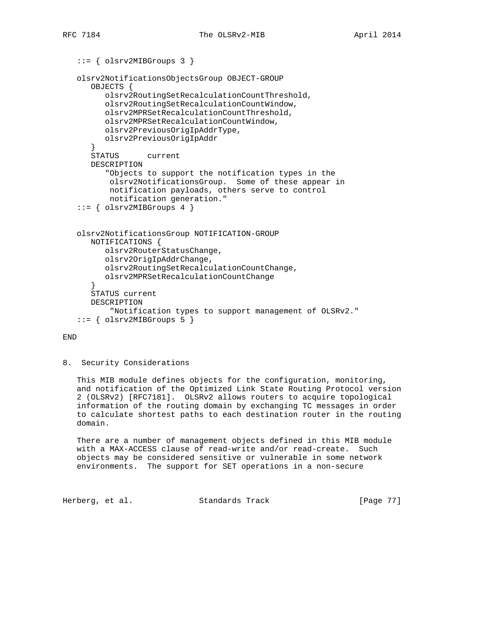```
 ::= { olsrv2MIBGroups 3 }
 olsrv2NotificationsObjectsGroup OBJECT-GROUP
    OBJECTS {
       olsrv2RoutingSetRecalculationCountThreshold,
       olsrv2RoutingSetRecalculationCountWindow,
       olsrv2MPRSetRecalculationCountThreshold,
       olsrv2MPRSetRecalculationCountWindow,
       olsrv2PreviousOrigIpAddrType,
       olsrv2PreviousOrigIpAddr
    }
    STATUS current
    DESCRIPTION
       "Objects to support the notification types in the
        olsrv2NotificationsGroup. Some of these appear in
        notification payloads, others serve to control
       notification generation."
 ::= { olsrv2MIBGroups 4 }
 olsrv2NotificationsGroup NOTIFICATION-GROUP
   NOTIFICATIONS {
       olsrv2RouterStatusChange,
       olsrv2OrigIpAddrChange,
       olsrv2RoutingSetRecalculationCountChange,
       olsrv2MPRSetRecalculationCountChange
    }
    STATUS current
    DESCRIPTION
        "Notification types to support management of OLSRv2."
::= { olsrv2MIBGroups 5 }
```
## END

#### 8. Security Considerations

 This MIB module defines objects for the configuration, monitoring, and notification of the Optimized Link State Routing Protocol version 2 (OLSRv2) [RFC7181]. OLSRv2 allows routers to acquire topological information of the routing domain by exchanging TC messages in order to calculate shortest paths to each destination router in the routing domain.

 There are a number of management objects defined in this MIB module with a MAX-ACCESS clause of read-write and/or read-create. Such objects may be considered sensitive or vulnerable in some network environments. The support for SET operations in a non-secure

Herberg, et al. Standards Track [Page 77]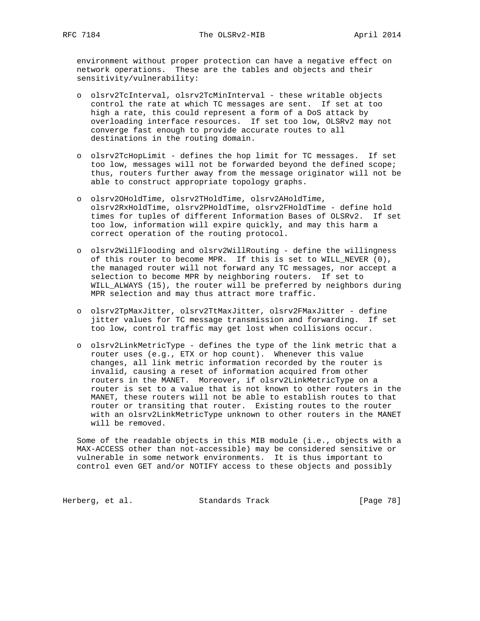environment without proper protection can have a negative effect on network operations. These are the tables and objects and their sensitivity/vulnerability:

- o olsrv2TcInterval, olsrv2TcMinInterval these writable objects control the rate at which TC messages are sent. If set at too high a rate, this could represent a form of a DoS attack by overloading interface resources. If set too low, OLSRv2 may not converge fast enough to provide accurate routes to all destinations in the routing domain.
- o olsrv2TcHopLimit defines the hop limit for TC messages. If set too low, messages will not be forwarded beyond the defined scope; thus, routers further away from the message originator will not be able to construct appropriate topology graphs.
- o olsrv2OHoldTime, olsrv2THoldTime, olsrv2AHoldTime, olsrv2RxHoldTime, olsrv2PHoldTime, olsrv2FHoldTime - define hold times for tuples of different Information Bases of OLSRv2. If set too low, information will expire quickly, and may this harm a correct operation of the routing protocol.
- o olsrv2WillFlooding and olsrv2WillRouting define the willingness of this router to become MPR. If this is set to WILL\_NEVER (0), the managed router will not forward any TC messages, nor accept a selection to become MPR by neighboring routers. If set to WILL\_ALWAYS (15), the router will be preferred by neighbors during MPR selection and may thus attract more traffic.
- o olsrv2TpMaxJitter, olsrv2TtMaxJitter, olsrv2FMaxJitter define jitter values for TC message transmission and forwarding. If set too low, control traffic may get lost when collisions occur.
- o olsrv2LinkMetricType defines the type of the link metric that a router uses (e.g., ETX or hop count). Whenever this value changes, all link metric information recorded by the router is invalid, causing a reset of information acquired from other routers in the MANET. Moreover, if olsrv2LinkMetricType on a router is set to a value that is not known to other routers in the MANET, these routers will not be able to establish routes to that router or transiting that router. Existing routes to the router with an olsrv2LinkMetricType unknown to other routers in the MANET will be removed.

 Some of the readable objects in this MIB module (i.e., objects with a MAX-ACCESS other than not-accessible) may be considered sensitive or vulnerable in some network environments. It is thus important to control even GET and/or NOTIFY access to these objects and possibly

Herberg, et al. Standards Track [Page 78]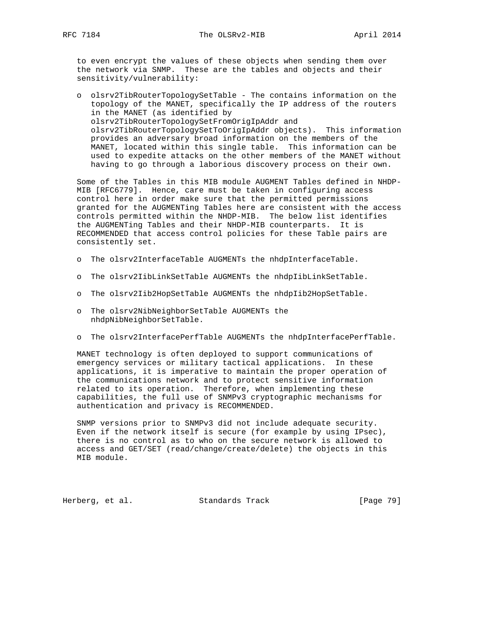to even encrypt the values of these objects when sending them over the network via SNMP. These are the tables and objects and their sensitivity/vulnerability:

 o olsrv2TibRouterTopologySetTable - The contains information on the topology of the MANET, specifically the IP address of the routers in the MANET (as identified by olsrv2TibRouterTopologySetFromOrigIpAddr and olsrv2TibRouterTopologySetToOrigIpAddr objects). This information provides an adversary broad information on the members of the MANET, located within this single table. This information can be used to expedite attacks on the other members of the MANET without having to go through a laborious discovery process on their own.

 Some of the Tables in this MIB module AUGMENT Tables defined in NHDP- MIB [RFC6779]. Hence, care must be taken in configuring access control here in order make sure that the permitted permissions granted for the AUGMENTing Tables here are consistent with the access controls permitted within the NHDP-MIB. The below list identifies the AUGMENTing Tables and their NHDP-MIB counterparts. It is RECOMMENDED that access control policies for these Table pairs are consistently set.

- o The olsrv2InterfaceTable AUGMENTs the nhdpInterfaceTable.
- o The olsrv2IibLinkSetTable AUGMENTs the nhdpIibLinkSetTable.
- o The olsrv2Iib2HopSetTable AUGMENTs the nhdpIib2HopSetTable.
- o The olsrv2NibNeighborSetTable AUGMENTs the nhdpNibNeighborSetTable.
- o The olsrv2InterfacePerfTable AUGMENTs the nhdpInterfacePerfTable.

 MANET technology is often deployed to support communications of emergency services or military tactical applications. In these applications, it is imperative to maintain the proper operation of the communications network and to protect sensitive information related to its operation. Therefore, when implementing these capabilities, the full use of SNMPv3 cryptographic mechanisms for authentication and privacy is RECOMMENDED.

 SNMP versions prior to SNMPv3 did not include adequate security. Even if the network itself is secure (for example by using IPsec), there is no control as to who on the secure network is allowed to access and GET/SET (read/change/create/delete) the objects in this MIB module.

Herberg, et al. Standards Track [Page 79]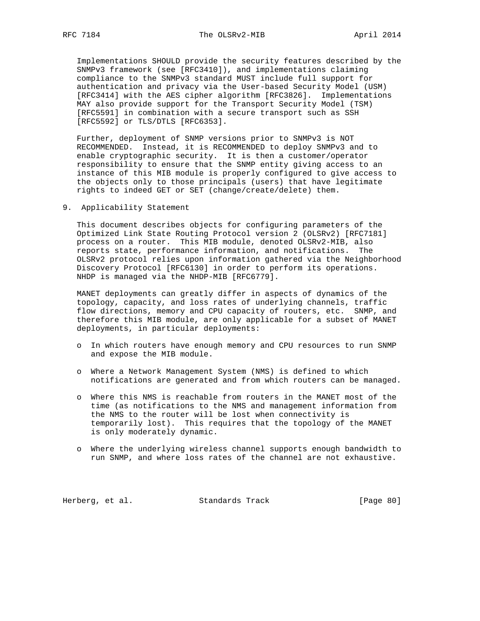Implementations SHOULD provide the security features described by the SNMPv3 framework (see [RFC3410]), and implementations claiming compliance to the SNMPv3 standard MUST include full support for authentication and privacy via the User-based Security Model (USM) [RFC3414] with the AES cipher algorithm [RFC3826]. Implementations MAY also provide support for the Transport Security Model (TSM) [RFC5591] in combination with a secure transport such as SSH [RFC5592] or TLS/DTLS [RFC6353].

 Further, deployment of SNMP versions prior to SNMPv3 is NOT RECOMMENDED. Instead, it is RECOMMENDED to deploy SNMPv3 and to enable cryptographic security. It is then a customer/operator responsibility to ensure that the SNMP entity giving access to an instance of this MIB module is properly configured to give access to the objects only to those principals (users) that have legitimate rights to indeed GET or SET (change/create/delete) them.

9. Applicability Statement

 This document describes objects for configuring parameters of the Optimized Link State Routing Protocol version 2 (OLSRv2) [RFC7181] process on a router. This MIB module, denoted OLSRv2-MIB, also reports state, performance information, and notifications. The OLSRv2 protocol relies upon information gathered via the Neighborhood Discovery Protocol [RFC6130] in order to perform its operations. NHDP is managed via the NHDP-MIB [RFC6779].

 MANET deployments can greatly differ in aspects of dynamics of the topology, capacity, and loss rates of underlying channels, traffic flow directions, memory and CPU capacity of routers, etc. SNMP, and therefore this MIB module, are only applicable for a subset of MANET deployments, in particular deployments:

- o In which routers have enough memory and CPU resources to run SNMP and expose the MIB module.
- o Where a Network Management System (NMS) is defined to which notifications are generated and from which routers can be managed.
- o Where this NMS is reachable from routers in the MANET most of the time (as notifications to the NMS and management information from the NMS to the router will be lost when connectivity is temporarily lost). This requires that the topology of the MANET is only moderately dynamic.
- o Where the underlying wireless channel supports enough bandwidth to run SNMP, and where loss rates of the channel are not exhaustive.

Herberg, et al. Standards Track [Page 80]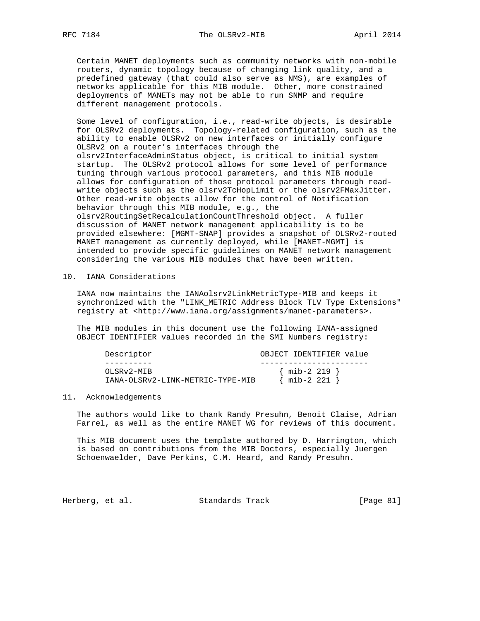Certain MANET deployments such as community networks with non-mobile routers, dynamic topology because of changing link quality, and a predefined gateway (that could also serve as NMS), are examples of networks applicable for this MIB module. Other, more constrained deployments of MANETs may not be able to run SNMP and require different management protocols.

 Some level of configuration, i.e., read-write objects, is desirable for OLSRv2 deployments. Topology-related configuration, such as the ability to enable OLSRv2 on new interfaces or initially configure OLSRv2 on a router's interfaces through the olsrv2InterfaceAdminStatus object, is critical to initial system startup. The OLSRv2 protocol allows for some level of performance tuning through various protocol parameters, and this MIB module allows for configuration of those protocol parameters through read write objects such as the olsrv2TcHopLimit or the olsrv2FMaxJitter. Other read-write objects allow for the control of Notification behavior through this MIB module, e.g., the olsrv2RoutingSetRecalculationCountThreshold object. A fuller discussion of MANET network management applicability is to be provided elsewhere: [MGMT-SNAP] provides a snapshot of OLSRv2-routed MANET management as currently deployed, while [MANET-MGMT] is intended to provide specific guidelines on MANET network management considering the various MIB modules that have been written.

### 10. IANA Considerations

 IANA now maintains the IANAolsrv2LinkMetricType-MIB and keeps it synchronized with the "LINK\_METRIC Address Block TLV Type Extensions" registry at <http://www.iana.org/assignments/manet-parameters>.

 The MIB modules in this document use the following IANA-assigned OBJECT IDENTIFIER values recorded in the SMI Numbers registry:

| Descriptor                                     | OBJECT IDENTIFIER value            |
|------------------------------------------------|------------------------------------|
|                                                |                                    |
| OLSRV2-MIB<br>IANA-OLSRv2-LINK-METRIC-TYPE-MIB | $\{$ mib-2 219 $\}$<br>mib-2 221 } |
|                                                |                                    |

## 11. Acknowledgements

 The authors would like to thank Randy Presuhn, Benoit Claise, Adrian Farrel, as well as the entire MANET WG for reviews of this document.

 This MIB document uses the template authored by D. Harrington, which is based on contributions from the MIB Doctors, especially Juergen Schoenwaelder, Dave Perkins, C.M. Heard, and Randy Presuhn.

Herberg, et al. Standards Track [Page 81]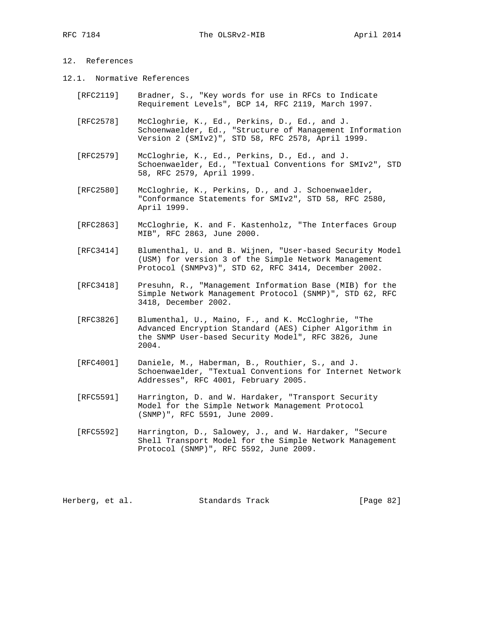# 12. References

- 12.1. Normative References
	- [RFC2119] Bradner, S., "Key words for use in RFCs to Indicate Requirement Levels", BCP 14, RFC 2119, March 1997.
	- [RFC2578] McCloghrie, K., Ed., Perkins, D., Ed., and J. Schoenwaelder, Ed., "Structure of Management Information Version 2 (SMIv2)", STD 58, RFC 2578, April 1999.
	- [RFC2579] McCloghrie, K., Ed., Perkins, D., Ed., and J. Schoenwaelder, Ed., "Textual Conventions for SMIv2", STD 58, RFC 2579, April 1999.
	- [RFC2580] McCloghrie, K., Perkins, D., and J. Schoenwaelder, "Conformance Statements for SMIv2", STD 58, RFC 2580, April 1999.
	- [RFC2863] McCloghrie, K. and F. Kastenholz, "The Interfaces Group MIB", RFC 2863, June 2000.
	- [RFC3414] Blumenthal, U. and B. Wijnen, "User-based Security Model (USM) for version 3 of the Simple Network Management Protocol (SNMPv3)", STD 62, RFC 3414, December 2002.
	- [RFC3418] Presuhn, R., "Management Information Base (MIB) for the Simple Network Management Protocol (SNMP)", STD 62, RFC 3418, December 2002.
	- [RFC3826] Blumenthal, U., Maino, F., and K. McCloghrie, "The Advanced Encryption Standard (AES) Cipher Algorithm in the SNMP User-based Security Model", RFC 3826, June 2004.
	- [RFC4001] Daniele, M., Haberman, B., Routhier, S., and J. Schoenwaelder, "Textual Conventions for Internet Network Addresses", RFC 4001, February 2005.
	- [RFC5591] Harrington, D. and W. Hardaker, "Transport Security Model for the Simple Network Management Protocol (SNMP)", RFC 5591, June 2009.
	- [RFC5592] Harrington, D., Salowey, J., and W. Hardaker, "Secure Shell Transport Model for the Simple Network Management Protocol (SNMP)", RFC 5592, June 2009.

Herberg, et al. Standards Track [Page 82]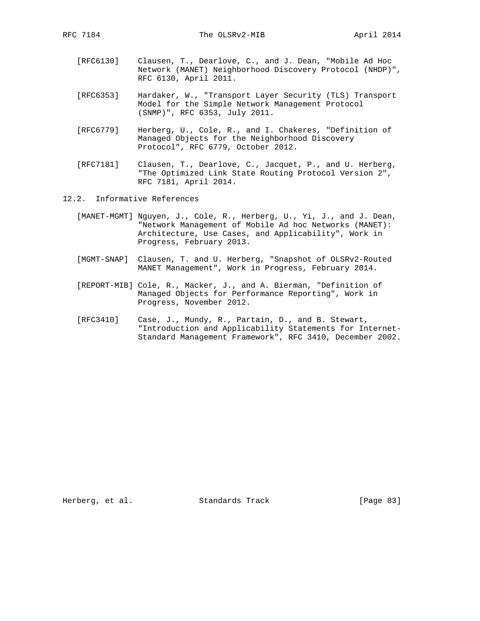- [RFC6130] Clausen, T., Dearlove, C., and J. Dean, "Mobile Ad Hoc Network (MANET) Neighborhood Discovery Protocol (NHDP)", RFC 6130, April 2011.
- [RFC6353] Hardaker, W., "Transport Layer Security (TLS) Transport Model for the Simple Network Management Protocol (SNMP)", RFC 6353, July 2011.
- [RFC6779] Herberg, U., Cole, R., and I. Chakeres, "Definition of Managed Objects for the Neighborhood Discovery Protocol", RFC 6779, October 2012.
- [RFC7181] Clausen, T., Dearlove, C., Jacquet, P., and U. Herberg, "The Optimized Link State Routing Protocol Version 2", RFC 7181, April 2014.
- 12.2. Informative References
	- [MANET-MGMT] Nguyen, J., Cole, R., Herberg, U., Yi, J., and J. Dean, "Network Management of Mobile Ad hoc Networks (MANET): Architecture, Use Cases, and Applicability", Work in Progress, February 2013.
	- [MGMT-SNAP] Clausen, T. and U. Herberg, "Snapshot of OLSRv2-Routed MANET Management", Work in Progress, February 2014.
	- [REPORT-MIB] Cole, R., Macker, J., and A. Bierman, "Definition of Managed Objects for Performance Reporting", Work in Progress, November 2012.
	- [RFC3410] Case, J., Mundy, R., Partain, D., and B. Stewart, "Introduction and Applicability Statements for Internet- Standard Management Framework", RFC 3410, December 2002.

Herberg, et al. Standards Track [Page 83]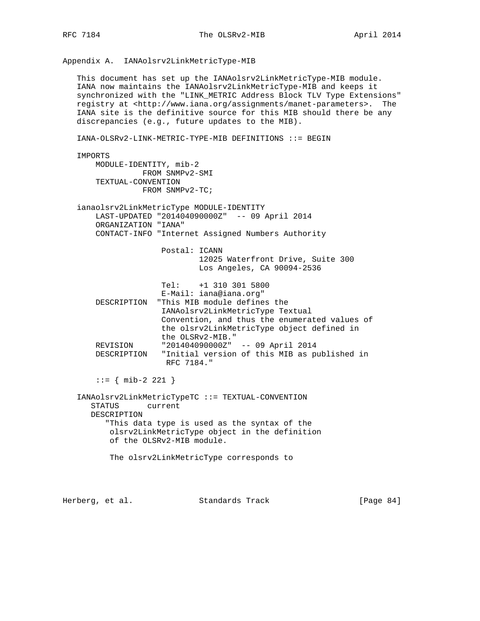Appendix A. IANAolsrv2LinkMetricType-MIB

 This document has set up the IANAolsrv2LinkMetricType-MIB module. IANA now maintains the IANAolsrv2LinkMetricType-MIB and keeps it synchronized with the "LINK\_METRIC Address Block TLV Type Extensions" registry at <http://www.iana.org/assignments/manet-parameters>. The IANA site is the definitive source for this MIB should there be any discrepancies (e.g., future updates to the MIB).

 IANA-OLSRv2-LINK-METRIC-TYPE-MIB DEFINITIONS ::= BEGIN IMPORTS MODULE-IDENTITY, mib-2 FROM SNMPv2-SMI TEXTUAL-CONVENTION FROM SNMPv2-TC; ianaolsrv2LinkMetricType MODULE-IDENTITY LAST-UPDATED "201404090000Z" -- 09 April 2014 ORGANIZATION "IANA" CONTACT-INFO "Internet Assigned Numbers Authority Postal: ICANN 12025 Waterfront Drive, Suite 300 Los Angeles, CA 90094-2536 Tel: +1 310 301 5800 E-Mail: iana@iana.org" DESCRIPTION "This MIB module defines the IANAolsrv2LinkMetricType Textual Convention, and thus the enumerated values of the olsrv2LinkMetricType object defined in the OLSRv2-MIB." REVISION "201404090000Z" -- 09 April 2014 DESCRIPTION "Initial version of this MIB as published in RFC 7184."  $::=$  { mib-2 221 } IANAolsrv2LinkMetricTypeTC ::= TEXTUAL-CONVENTION STATUS current DESCRIPTION "This data type is used as the syntax of the olsrv2LinkMetricType object in the definition of the OLSRv2-MIB module. The olsrv2LinkMetricType corresponds to Herberg, et al. Standards Track [Page 84]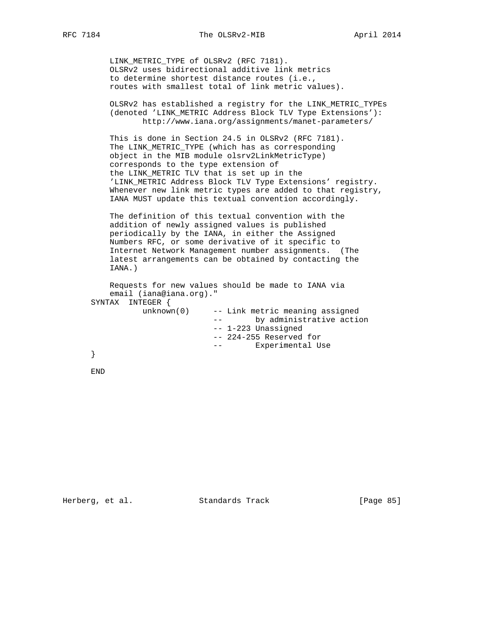LINK\_METRIC\_TYPE of OLSRv2 (RFC 7181). OLSRv2 uses bidirectional additive link metrics to determine shortest distance routes (i.e., routes with smallest total of link metric values).

 OLSRv2 has established a registry for the LINK\_METRIC\_TYPEs (denoted 'LINK\_METRIC Address Block TLV Type Extensions'): http://www.iana.org/assignments/manet-parameters/

 This is done in Section 24.5 in OLSRv2 (RFC 7181). The LINK\_METRIC\_TYPE (which has as corresponding object in the MIB module olsrv2LinkMetricType) corresponds to the type extension of the LINK\_METRIC TLV that is set up in the 'LINK\_METRIC Address Block TLV Type Extensions' registry. Whenever new link metric types are added to that registry, IANA MUST update this textual convention accordingly.

 The definition of this textual convention with the addition of newly assigned values is published periodically by the IANA, in either the Assigned Numbers RFC, or some derivative of it specific to Internet Network Management number assignments. (The latest arrangements can be obtained by contacting the IANA.)

```
 Requests for new values should be made to IANA via
    email (iana@iana.org)."
 SYNTAX INTEGER {
          unknown(0) -- Link metric meaning assigned
                          -- by administrative action
                         -- 1-223 Unassigned
                          -- 224-255 Reserved for
                          -- Experimental Use
 }
```
END

Herberg, et al. Standards Track [Page 85]